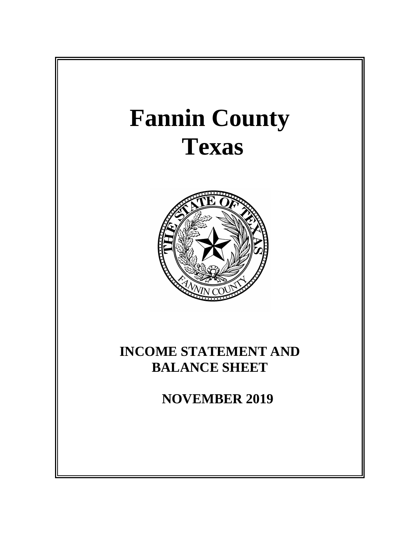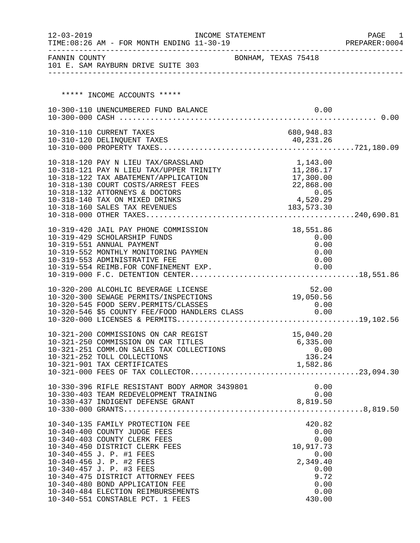| $12 - 03 - 2019$ | TIME: 08:26 AM - FOR MONTH ENDING 11-30-19                                            | INCOME STATEMENT |                     |                  | PAGE<br>- 1<br>PREPARER: 0004 |
|------------------|---------------------------------------------------------------------------------------|------------------|---------------------|------------------|-------------------------------|
|                  | FANNIN COUNTY<br>101 E. SAM RAYBURN DRIVE SUITE 303                                   |                  | BONHAM, TEXAS 75418 |                  |                               |
|                  |                                                                                       |                  |                     |                  |                               |
|                  | ***** INCOME ACCOUNTS *****                                                           |                  |                     |                  |                               |
|                  | 10-300-110 UNENCUMBERED FUND BALANCE                                                  |                  |                     | 0.00             |                               |
|                  |                                                                                       |                  |                     |                  |                               |
|                  | 10-310-110 CURRENT TAXES                                                              |                  |                     | 680,948.83       |                               |
|                  |                                                                                       |                  |                     |                  |                               |
|                  |                                                                                       |                  |                     |                  |                               |
|                  | 10-318-120 PAY N LIEU TAX/GRASSLAND                                                   |                  |                     | 1,143.00         |                               |
|                  | 10-318-121 PAY N LIEU TAX/UPPER TRINITY                                               |                  |                     | 11,286.17        |                               |
|                  | 10-318-122 TAX ABATEMENT/APPLICATION<br>10-318-130 COURT COSTS/ARREST FEES            |                  |                     | 17,300.00        |                               |
|                  | 10-318-132 ATTORNEYS & DOCTORS                                                        |                  |                     | 22,868.00        |                               |
|                  | 10-318-140 TAX ON MIXED DRINKS                                                        |                  |                     | 0.05<br>4,520.29 |                               |
|                  | 10-318-160 SALES TAX REVENUES                                                         |                  |                     | 183, 573. 30     |                               |
|                  |                                                                                       |                  |                     |                  |                               |
|                  | 10-319-420 JAIL PAY PHONE COMMISSION                                                  |                  |                     | 18,551.86        |                               |
|                  | 10-319-429 SCHOLARSHIP FUNDS                                                          |                  |                     | 0.00             |                               |
|                  | 10-319-551 ANNUAL PAYMENT                                                             |                  |                     | 0.00             |                               |
|                  | 10-319-552 MONTHLY MONITORING PAYMEN                                                  |                  |                     | 0.00             |                               |
|                  | 10-319-553 ADMINISTRATIVE FEE                                                         |                  |                     | 0.00             |                               |
|                  |                                                                                       |                  |                     |                  |                               |
|                  |                                                                                       |                  |                     |                  |                               |
|                  | 10-320-200 ALCOHLIC BEVERAGE LICENSE                                                  |                  |                     | 52.00            |                               |
|                  | 10-320-300 SEWAGE PERMITS/INSPECTIONS                                                 |                  |                     | 19,050.56        |                               |
|                  | 10-320-545 FOOD SERV.PERMITS/CLASSES<br>10-320-546 \$5 COUNTY FEE/FOOD HANDLERS CLASS |                  |                     | 0.00             |                               |
|                  |                                                                                       |                  |                     | 0.00             |                               |
|                  |                                                                                       |                  |                     |                  |                               |
|                  | 10-321-200 COMMISSIONS ON CAR REGIST                                                  |                  |                     | 15,040.20        |                               |
|                  | 10-321-250 COMMISSION ON CAR TITLES                                                   |                  |                     | 6,335.00         |                               |
|                  | 10-321-251 COMM.ON SALES TAX COLLECTIONS                                              |                  |                     | 0.00<br>136.24   |                               |
|                  | 10-321-252 TOLL COLLECTIONS                                                           |                  |                     |                  |                               |
|                  |                                                                                       |                  |                     |                  |                               |
|                  |                                                                                       |                  |                     |                  |                               |
|                  | 10-330-396 RIFLE RESISTANT BODY ARMOR 3439801                                         |                  |                     | 0.00             |                               |
|                  | 10-330-403 TEAM REDEVELOPMENT TRAINING                                                |                  |                     |                  |                               |
|                  |                                                                                       |                  |                     |                  |                               |
|                  |                                                                                       |                  |                     |                  |                               |
|                  | 10-340-135 FAMILY PROTECTION FEE                                                      |                  |                     | 420.82           |                               |
|                  | 10-340-400 COUNTY JUDGE FEES                                                          |                  |                     | 0.00             |                               |
|                  | 10-340-403 COUNTY CLERK FEES                                                          |                  |                     | 0.00             |                               |
|                  | 10-340-450 DISTRICT CLERK FEES                                                        |                  |                     | 10,917.73        |                               |
|                  | 10-340-455 J. P. #1 FEES                                                              |                  |                     | 0.00             |                               |
|                  | 10-340-456 J. P. #2 FEES<br>10-340-457 J. P. #3 FEES                                  |                  |                     | 2,349.40<br>0.00 |                               |
|                  | 10-340-475 DISTRICT ATTORNEY FEES                                                     |                  |                     | 9.72             |                               |
|                  | 10-340-480 BOND APPLICATION FEE                                                       |                  |                     | 0.00             |                               |
|                  | 10-340-484 ELECTION REIMBURSEMENTS                                                    |                  |                     | 0.00             |                               |
|                  | 10-340-551 CONSTABLE PCT. 1 FEES                                                      |                  |                     | 430.00           |                               |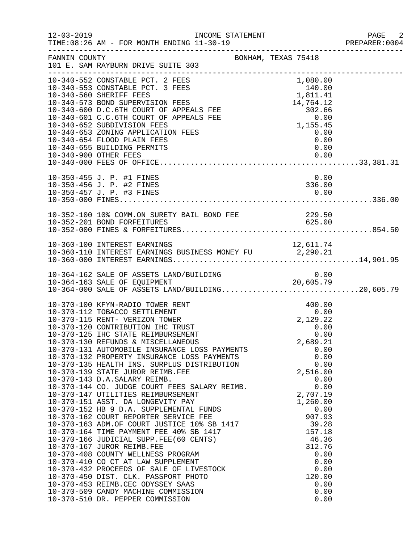| $12 - 03 - 2019$ | INCOME STATEMENT<br>TIME: 08:26 AM - FOR MONTH ENDING 11-30-19                                                                                                                                                                                                                                                                                                                                                                                                                                                                                                                                                                                                                                                                                                                                                                                                                                                                                                                                                                                                                                  | ------------------------------------                                                                                                                                                                                                                    | PAGE 2<br>PREPARER:0004 |
|------------------|-------------------------------------------------------------------------------------------------------------------------------------------------------------------------------------------------------------------------------------------------------------------------------------------------------------------------------------------------------------------------------------------------------------------------------------------------------------------------------------------------------------------------------------------------------------------------------------------------------------------------------------------------------------------------------------------------------------------------------------------------------------------------------------------------------------------------------------------------------------------------------------------------------------------------------------------------------------------------------------------------------------------------------------------------------------------------------------------------|---------------------------------------------------------------------------------------------------------------------------------------------------------------------------------------------------------------------------------------------------------|-------------------------|
| FANNIN COUNTY    | BONHAM, TEXAS 75418<br>101 E. SAM RAYBURN DRIVE SUITE 303                                                                                                                                                                                                                                                                                                                                                                                                                                                                                                                                                                                                                                                                                                                                                                                                                                                                                                                                                                                                                                       |                                                                                                                                                                                                                                                         |                         |
|                  | 10-340-552 CONSTABLE PCT. 2 FEES<br>10-340-553 CONSTABLE FOR ANY CONSTANT CONSTANT CONSTANT CONSIDER A REAL AND SUPERVISION FEES<br>10-340-573 BOND SUPERVISION FEES<br>10-340-600 D.C.6TH COURT OF APPEALS FEE<br>10-340-600 D.C.6TH COURT OF APPEALS FEE<br>10-240-601 C.C.6<br>10-340-654 FLOOD PLAIN FEES<br>10-340-655 BUILDING PERMITS<br>10-340-900 OTHER FEES                                                                                                                                                                                                                                                                                                                                                                                                                                                                                                                                                                                                                                                                                                                           | 1,080.00<br>140.00<br>$140.00$<br>1,811.41<br>14,764.12<br>302.66<br>0.00<br>0.00<br>1,155.45<br>0.00<br>0.00<br>0.00<br>0.00                                                                                                                           |                         |
|                  | 10-350-455 J. P. #1 FINES<br>10-350-456 J. P. #2 FINES<br>10-350-457 J. P. #3 FINES                                                                                                                                                                                                                                                                                                                                                                                                                                                                                                                                                                                                                                                                                                                                                                                                                                                                                                                                                                                                             | 0.00<br>336.00<br>0.00                                                                                                                                                                                                                                  |                         |
|                  | 10-352-100 10% COMM.ON SURETY BAIL BOND FEE                                                                                                                                                                                                                                                                                                                                                                                                                                                                                                                                                                                                                                                                                                                                                                                                                                                                                                                                                                                                                                                     | 229.50                                                                                                                                                                                                                                                  |                         |
|                  | 10-360-100 INTEREST EARNINGS<br>10-360-110 INTEREST EARNINGS BUSINESS MONEY FU 2,290.21                                                                                                                                                                                                                                                                                                                                                                                                                                                                                                                                                                                                                                                                                                                                                                                                                                                                                                                                                                                                         |                                                                                                                                                                                                                                                         |                         |
|                  | 10-364-162 SALE OF ASSETS LAND/BUILDING<br>10-364-163 SALE OF EQUIPMENT 20,605.79<br>10-364-000 SALE OF ASSETS LAND/BUILDING20,605.79                                                                                                                                                                                                                                                                                                                                                                                                                                                                                                                                                                                                                                                                                                                                                                                                                                                                                                                                                           | 0.00                                                                                                                                                                                                                                                    |                         |
|                  | 10-370-100 KFYN-RADIO TOWER RENT<br>10-370-112 TOBACCO SETTLEMENT<br>10-370-115 RENT- VERIZON TOWER<br>10-370-120 CONTRIBUTION IHC TRUST<br>10-370-125 IHC STATE REIMBURSEMENT<br>10-370-130 REFUNDS & MISCELLANEOUS<br>10-370-131 AUTOMOBILE INSURANCE LOSS PAYMENTS<br>10-370-132 PROPERTY INSURANCE LOSS PAYMENTS<br>10-370-135 HEALTH INS. SURPLUS DISTRIBUTION<br>10-370-139 STATE JUROR REIMB.FEE<br>10-370-143 D.A.SALARY REIMB.<br>10-370-144 CO. JUDGE COURT FEES SALARY REIMB.<br>10-370-147 UTILITIES REIMBURSEMENT<br>10-370-151 ASST. DA LONGEVITY PAY<br>10-370-152 HB 9 D.A. SUPPLEMENTAL FUNDS<br>10-370-162 COURT REPORTER SERVICE FEE<br>10-370-163 ADM.OF COURT JUSTICE 10% SB 1417<br>10-370-164 TIME PAYMENT FEE 40% SB 1417<br>10-370-166 JUDICIAL SUPP.FEE(60 CENTS)<br>10-370-167 JUROR REIMB.FEE<br>10-370-408 COUNTY WELLNESS PROGRAM<br>10-370-408 COUNII MILLINGS<br>10-370-410 CO CT AT LAW SUPPLEMENT<br>10-370-432 PROCEEDS OF SALE OF LIVESTOCK<br>10-370-453 REIMB.CEC ODYSSEY SAAS<br>10-370-509 CANDY MACHINE COMMISSION<br>10-370-510 DR. PEPPER COMMISSION | 400.00<br>$0.00$<br>2, 129.22<br>0.00<br>0.00<br>2,689.21<br>0.00<br>0.00<br>0.00<br>2,516.00<br>0.00<br>0.00<br>2,707.19<br>1,260.00<br>0.00<br>907.93<br>39.28<br>157.18<br>46.36<br>312.76<br>0.00<br>0.00<br>0.00<br>120.00<br>0.00<br>0.00<br>0.00 |                         |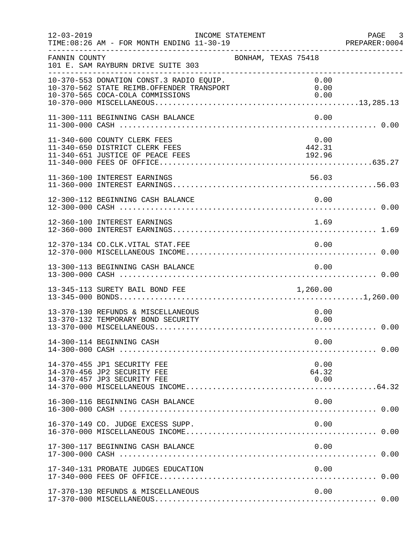| $12 - 03 - 2019$ | INCOME STATEMENT<br>TIME: 08:26 AM - FOR MONTH ENDING 11-30-19                                                            |                     |                          | PAGE 3<br>PREPARER: 0004<br>PREPARER<br>------------------------------- |
|------------------|---------------------------------------------------------------------------------------------------------------------------|---------------------|--------------------------|-------------------------------------------------------------------------|
| FANNIN COUNTY    | 101 E. SAM RAYBURN DRIVE SUITE 303                                                                                        | BONHAM, TEXAS 75418 |                          |                                                                         |
|                  | 10-370-553 DONATION CONST.3 RADIO EQUIP.<br>10-370-562 STATE REIMB.OFFENDER TRANSPORT<br>10-370-565 COCA-COLA COMMISSIONS |                     | 0.00<br>0.00<br>0.00     |                                                                         |
|                  | 11-300-111 BEGINNING CASH BALANCE                                                                                         |                     | 0.00                     |                                                                         |
|                  | 11-340-600 COUNTY CLERK FEES<br>11-340-650 DISTRICT CLERK FEES<br>11-340-651 JUSTICE OF PEACE FEES                        |                     | 0.00<br>442.31<br>192.96 |                                                                         |
|                  | 11-360-100 INTEREST EARNINGS                                                                                              |                     | 56.03                    |                                                                         |
|                  | 12-300-112 BEGINNING CASH BALANCE                                                                                         |                     | 0.00                     |                                                                         |
|                  | 12-360-100 INTEREST EARNINGS                                                                                              |                     | 1.69                     |                                                                         |
|                  | 12-370-134 CO.CLK.VITAL STAT.FEE                                                                                          |                     | 0.00                     |                                                                         |
|                  | 13-300-113 BEGINNING CASH BALANCE                                                                                         |                     | 0.00                     |                                                                         |
|                  | 13-345-113 SURETY BAIL BOND FEE                                                                                           |                     | 1,260.00                 |                                                                         |
|                  | 13-370-130 REFUNDS & MISCELLANEOUS<br>13-370-132 TEMPORARY BOND SECURITY                                                  |                     | 0.00<br>0.00             |                                                                         |
|                  | 14-300-114 BEGINNING CASH                                                                                                 |                     | 0.00                     |                                                                         |
|                  | 14-370-455 JP1 SECURITY FEE<br>14-370-456 JP2 SECURITY FEE<br>14-370-457 JP3 SECURITY FEE                                 |                     | 0.00<br>64.32<br>0.00    |                                                                         |
|                  | 16-300-116 BEGINNING CASH BALANCE                                                                                         |                     | 0.00                     |                                                                         |
|                  | 16-370-149 CO. JUDGE EXCESS SUPP.                                                                                         |                     | 0.00                     |                                                                         |
|                  | 17-300-117 BEGINNING CASH BALANCE                                                                                         |                     | 0.00                     |                                                                         |
|                  | 17-340-131 PROBATE JUDGES EDUCATION                                                                                       |                     | 0.00                     |                                                                         |
|                  | 17-370-130 REFUNDS & MISCELLANEOUS                                                                                        |                     | 0.00                     |                                                                         |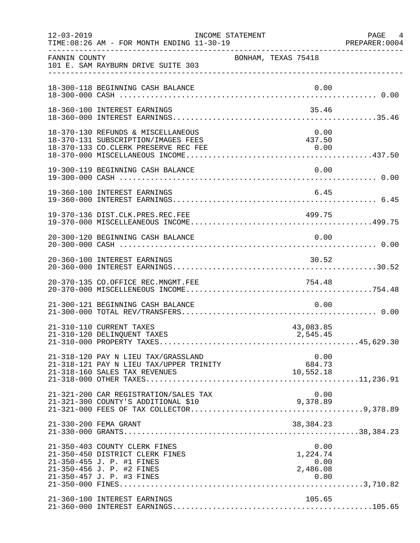| $12 - 03 - 2019$ | INCOME STATEMENT<br>TIME: 08:26 AM - FOR MONTH ENDING 11-30-19                                                                                          |                                      | PAGE 4<br>PREPARER: 0004 |
|------------------|---------------------------------------------------------------------------------------------------------------------------------------------------------|--------------------------------------|--------------------------|
| FANNIN COUNTY    | 101 E. SAM RAYBURN DRIVE SUITE 303                                                                                                                      | BONHAM, TEXAS 75418                  |                          |
|                  | 18-300-118 BEGINNING CASH BALANCE                                                                                                                       | 0.00                                 |                          |
|                  | 18-360-100 INTEREST EARNINGS                                                                                                                            | 35.46                                |                          |
|                  | 18-370-130 REFUNDS & MISCELLANEOUS<br>18-370-131 SUBSCRIPTION/IMAGES FEES                                                                               | 0.00<br>437.50                       |                          |
|                  | 19-300-119 BEGINNING CASH BALANCE                                                                                                                       | 0.00                                 |                          |
|                  | 19-360-100 INTEREST EARNINGS                                                                                                                            | 6.45                                 |                          |
|                  | 19-370-136 DIST.CLK.PRES.REC.FEE                                                                                                                        | 499.75                               |                          |
|                  | 20-300-120 BEGINNING CASH BALANCE                                                                                                                       | 0.00                                 |                          |
|                  | 20-360-100 INTEREST EARNINGS                                                                                                                            | 30.52                                |                          |
|                  | 20-370-135 CO.OFFICE REC.MNGMT.FEE                                                                                                                      | 754.48                               |                          |
|                  | 21-300-121 BEGINNING CASH BALANCE                                                                                                                       | 0.00                                 |                          |
|                  | 21-310-110 CURRENT TAXES<br>21-310-120 DELINOUENT TAXES                                                                                                 | 43,083.85<br>2,545.45                |                          |
|                  | 21-318-120 PAY N LIEU TAX/GRASSLAND<br>21-318-121 PAY N LIEU TAX/UPPER TRINITY<br>21-318-160 SALES TAX REVENUES                                         | 0.00<br>684.73<br>10,552.18          |                          |
|                  | 21-321-200 CAR REGISTRATION/SALES TAX<br>21-321-300 COUNTY'S ADDITIONAL \$10                                                                            | 0.00<br>9,378.89                     |                          |
|                  | 21-330-200 FEMA GRANT                                                                                                                                   | 38, 384. 23                          |                          |
|                  | 21-350-403 COUNTY CLERK FINES<br>21-350-450 DISTRICT CLERK FINES<br>21-350-455 J. P. #1 FINES<br>21-350-456 J. P. #2 FINES<br>21-350-457 J. P. #3 FINES | 0.00<br>1,224.74<br>0.00<br>2,486.08 |                          |
|                  | 21-360-100 INTEREST EARNINGS                                                                                                                            | 105.65                               |                          |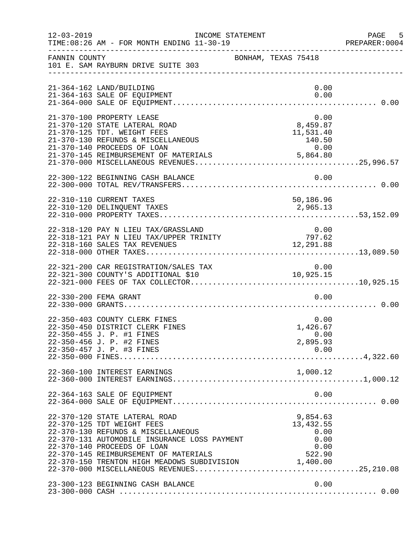| $12 - 03 - 2019$ | TIME: 08:26 AM - FOR MONTH ENDING 11-30-19                                                                                                                                                                                                                               | INCOME STATEMENT                                                     | PAGE 5<br>PREPARER: 0004 |
|------------------|--------------------------------------------------------------------------------------------------------------------------------------------------------------------------------------------------------------------------------------------------------------------------|----------------------------------------------------------------------|--------------------------|
| FANNIN COUNTY    | 101 E. SAM RAYBURN DRIVE SUITE 303                                                                                                                                                                                                                                       | BONHAM, TEXAS 75418                                                  |                          |
|                  | 21-364-162 LAND/BUILDING<br>21-364-163 SALE OF EQUIPMENT                                                                                                                                                                                                                 | 0.00<br>0.00                                                         |                          |
|                  | 21-370-100 PROPERTY LEASE<br>21-370-120 STATE LATERAL ROAD<br>21-370-125 TDT. WEIGHT FEES<br>21-370-130 REFUNDS & MISCELLANEOUS<br>21-370-140 PROCEEDS OF LOAN<br>21-370-145 REIMBURSEMENT OF MATERIALS                                                                  | 0.00<br>8,459.87<br>11,531.40<br>140.50<br>$0.00$<br>5,864.80        |                          |
|                  | 22-300-122 BEGINNING CASH BALANCE                                                                                                                                                                                                                                        | 0.00                                                                 |                          |
|                  | 22-310-110 CURRENT TAXES                                                                                                                                                                                                                                                 | 50,186.96                                                            |                          |
|                  | 22-318-120 PAY N LIEU TAX/GRASSLAND<br>22-318-121 PAY N LIEU TAX/UPPER TRINITY<br>22-318-160 SALES TAX REVENUES                                                                                                                                                          | 0.00<br>797.62<br>12,291.88                                          |                          |
|                  | 22-321-200 CAR REGISTRATION/SALES TAX                                                                                                                                                                                                                                    | 0.00                                                                 |                          |
|                  | 22-330-200 FEMA GRANT                                                                                                                                                                                                                                                    | 0.00                                                                 |                          |
|                  | 22-350-403 COUNTY CLERK FINES<br>22-350-450 DISTRICT CLERK FINES<br>22-350-455 J. P. #1 FINES<br>22-350-456 J. P. #2 FINES<br>22-350-457 J. P. #3 FINES                                                                                                                  | 0.00<br>1,426.67<br>0.00<br>2,895.93<br>0.00                         |                          |
|                  | 22-360-100 INTEREST EARNINGS                                                                                                                                                                                                                                             |                                                                      |                          |
|                  | 22-364-163 SALE OF EQUIPMENT                                                                                                                                                                                                                                             | 0.00                                                                 |                          |
|                  | 22-370-120 STATE LATERAL ROAD<br>22-370-125 TDT WEIGHT FEES<br>22-370-130 REFUNDS & MISCELLANEOUS<br>22-370-131 AUTOMOBILE INSURANCE LOSS PAYMENT<br>22-370-140 PROCEEDS OF LOAN<br>22-370-145 REIMBURSEMENT OF MATERIALS<br>22-370-150 TRENTON HIGH MEADOWS SUBDIVISION | 9,854.63<br>13, 432.55<br>0.00<br>0.00<br>0.00<br>522.90<br>1,400.00 |                          |
|                  | 23-300-123 BEGINNING CASH BALANCE                                                                                                                                                                                                                                        | 0.00                                                                 |                          |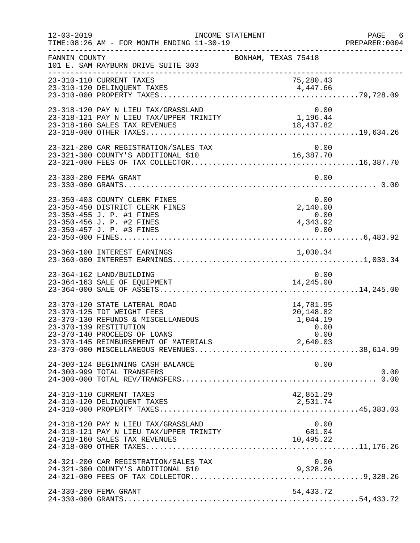| $12 - 03 - 2019$ | TIME: 08:26 AM - FOR MONTH ENDING 11-30-19                                                                                                                  | INCOME STATEMENT    | ______________________________________             | PAGE 6<br>PREPARER:0004 |
|------------------|-------------------------------------------------------------------------------------------------------------------------------------------------------------|---------------------|----------------------------------------------------|-------------------------|
| FANNIN COUNTY    | 101 E. SAM RAYBURN DRIVE SUITE 303                                                                                                                          | BONHAM, TEXAS 75418 |                                                    |                         |
|                  | 23-310-110 CURRENT TAXES                                                                                                                                    |                     | 75,280.43                                          |                         |
|                  | 23-318-120 PAY N LIEU TAX/GRASSLAND                                                                                                                         |                     | 0.00                                               |                         |
|                  |                                                                                                                                                             |                     |                                                    |                         |
|                  | 23-330-200 FEMA GRANT                                                                                                                                       |                     | 0.00                                               |                         |
|                  | 23-350-403 COUNTY CLERK FINES<br>23-350-450 DISTRICT CLERK FINES<br>23-350-455 J. P. #1 FINES<br>23-350-456 J. P. #2 FINES<br>23-350-457 J. P. #3 FINES     |                     | 0.00<br>2,140.00<br>0.00<br>4,343.92               |                         |
|                  |                                                                                                                                                             |                     |                                                    |                         |
|                  | 23-364-162 LAND/BUILDING<br>23-364-163 SALE OF EQUIPMENT                                                                                                    |                     | 0.00<br>14,245.00                                  |                         |
|                  | 23-370-120 STATE LATERAL ROAD<br>23-370-125 TDT WEIGHT FEES<br>23-370-130 REFUNDS & MISCELLANEOUS<br>23-370-139 RESTITUTION<br>23-370-140 PROCEEDS OF LOANS |                     | 14,781.95<br>20,148.82<br>1,044.19<br>0.00<br>0.00 |                         |
|                  | 24-300-124 BEGINNING CASH BALANCE<br>24-300-999 TOTAL TRANSFERS                                                                                             |                     | 0.00                                               | 0.00                    |
|                  | 24-310-110 CURRENT TAXES<br>24-310-120 DELINQUENT TAXES                                                                                                     |                     | 42,851.29<br>2,531.74                              |                         |
|                  | 24-318-120 PAY N LIEU TAX/GRASSLAND<br>24-318-121 PAY N LIEU TAX/UPPER TRINITY<br>24-318-160 SALES TAX REVENUES                                             |                     | 0.00<br>681.04<br>10,495.22                        |                         |
|                  | 24-321-200 CAR REGISTRATION/SALES TAX                                                                                                                       |                     | 0.00                                               |                         |
|                  | 24-330-200 FEMA GRANT                                                                                                                                       |                     | 54,433.72                                          |                         |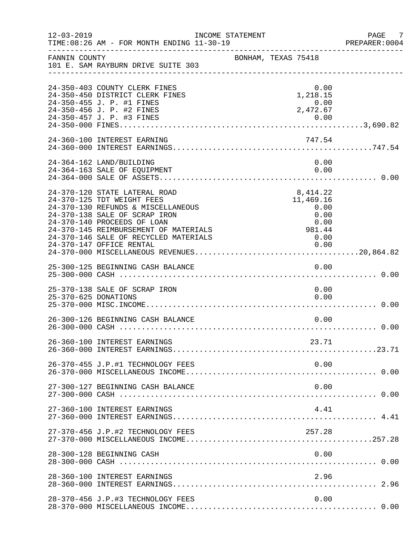| $12 - 03 - 2019$     | TIME: 08:26 AM - FOR MONTH ENDING 11-30-19                                                                                                                                                                                                                                      | INCOME STATEMENT    |  |                                                                         |      | PAGE 7<br>PREPARER: 0004 |
|----------------------|---------------------------------------------------------------------------------------------------------------------------------------------------------------------------------------------------------------------------------------------------------------------------------|---------------------|--|-------------------------------------------------------------------------|------|--------------------------|
| FANNIN COUNTY        | 101 E. SAM RAYBURN DRIVE SUITE 303                                                                                                                                                                                                                                              | BONHAM, TEXAS 75418 |  |                                                                         |      |                          |
|                      | 24-350-403 COUNTY CLERK FINES<br>24-350-450 DISTRICT CLERK FINES<br>24-350-455 J. P. #1 FINES<br>24-350-456 J. P. #2 FINES                                                                                                                                                      |                     |  | 0.00<br>1,218.15<br>0.00<br>2,472.67                                    |      |                          |
|                      | 24-360-100 INTEREST EARNING                                                                                                                                                                                                                                                     |                     |  | 747.54                                                                  |      |                          |
|                      | 24-364-162 LAND/BUILDING<br>24-364-163 SALE OF EQUIPMENT                                                                                                                                                                                                                        |                     |  | 0.00<br>0.00                                                            |      |                          |
|                      | 24-370-120 STATE LATERAL ROAD<br>24-370-125 TDT WEIGHT FEES<br>24-370-130 REFUNDS & MISCELLANEOUS<br>24-370-138 SALE OF SCRAP IRON<br>24-370-140 PROCEEDS OF LOAN<br>24-370-145 REIMBURSEMENT OF MATERIALS<br>24-370-146 SALE OF RECYCLED MATERIALS<br>24-370-147 OFFICE RENTAL |                     |  | 8,414.22<br>11,469.16<br>0.00<br>0.00<br>0.00<br>981.44<br>0.00<br>0.00 |      |                          |
|                      | 25-300-125 BEGINNING CASH BALANCE                                                                                                                                                                                                                                               |                     |  | 0.00                                                                    |      |                          |
| 25-370-625 DONATIONS | 25-370-138 SALE OF SCRAP IRON                                                                                                                                                                                                                                                   |                     |  | 0.00                                                                    | 0.00 |                          |
|                      | 26-300-126 BEGINNING CASH BALANCE                                                                                                                                                                                                                                               |                     |  |                                                                         | 0.00 |                          |
|                      | 26-360-100 INTEREST EARNINGS                                                                                                                                                                                                                                                    |                     |  | 23.71                                                                   |      |                          |
|                      | 26-370-455 J.P.#1 TECHNOLOGY FEES                                                                                                                                                                                                                                               |                     |  |                                                                         | 0.00 |                          |
|                      | 27-300-127 BEGINNING CASH BALANCE                                                                                                                                                                                                                                               |                     |  |                                                                         | 0.00 |                          |
|                      | 27-360-100 INTEREST EARNINGS                                                                                                                                                                                                                                                    |                     |  |                                                                         | 4.41 |                          |
|                      | 27-370-456 J.P.#2 TECHNOLOGY FEES                                                                                                                                                                                                                                               |                     |  | 257.28                                                                  |      |                          |
|                      | 28-300-128 BEGINNING CASH                                                                                                                                                                                                                                                       |                     |  |                                                                         | 0.00 |                          |
|                      | 28-360-100 INTEREST EARNINGS                                                                                                                                                                                                                                                    |                     |  |                                                                         | 2.96 |                          |
|                      | 28-370-456 J.P.#3 TECHNOLOGY FEES                                                                                                                                                                                                                                               |                     |  |                                                                         | 0.00 |                          |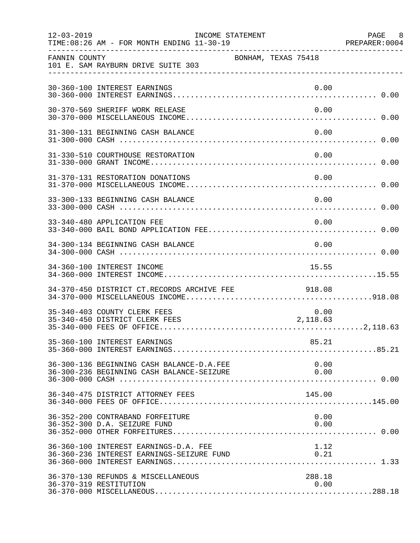| $12 - 03 - 2019$ | TIME: 08:26 AM - FOR MONTH ENDING 11-30-19                                                                                  | INCOME STATEMENT    | ______________________________________ | PAGE 8<br>PREPARER: 0004 |
|------------------|-----------------------------------------------------------------------------------------------------------------------------|---------------------|----------------------------------------|--------------------------|
| FANNIN COUNTY    | 101 E. SAM RAYBURN DRIVE SUITE 303                                                                                          | BONHAM, TEXAS 75418 |                                        |                          |
|                  | 30-360-100 INTEREST EARNINGS                                                                                                |                     | 0.00                                   |                          |
|                  | 30-370-569 SHERIFF WORK RELEASE                                                                                             |                     | 0.00                                   |                          |
|                  | 31-300-131 BEGINNING CASH BALANCE                                                                                           |                     | 0.00                                   |                          |
|                  | 31-330-510 COURTHOUSE RESTORATION                                                                                           |                     | 0.00                                   |                          |
|                  | 31-370-131 RESTORATION DONATIONS                                                                                            |                     | 0.00                                   |                          |
|                  | 33-300-133 BEGINNING CASH BALANCE                                                                                           |                     | 0.00                                   |                          |
|                  | 33-340-480 APPLICATION FEE                                                                                                  |                     | 0.00                                   |                          |
|                  | 34-300-134 BEGINNING CASH BALANCE                                                                                           |                     | 0.00                                   |                          |
|                  | 34-360-100 INTEREST INCOME                                                                                                  |                     | 15.55                                  |                          |
|                  | 34-370-450 DISTRICT CT.RECORDS ARCHIVE FEE 918.08                                                                           |                     |                                        |                          |
|                  | 35-340-403 COUNTY CLERK FEES<br>35-340-450 DISTRICT CLERK FEES                                                              |                     | 0.00<br>2,118.63                       |                          |
|                  | 35-360-100 INTEREST EARNINGS                                                                                                |                     | 85.21                                  |                          |
|                  | 36-300-136 BEGINNING CASH BALANCE-D.A.FEE                                                                                   |                     | 0.00                                   |                          |
|                  | 36-340-475 DISTRICT ATTORNEY FEES                                                                                           |                     | 145.00                                 |                          |
|                  | 36-352-200 CONTRABAND FORFEITURE<br>36-352-300 D.A. SEIZURE FUND                                                            |                     | 0.00<br>0.00                           |                          |
|                  | 36-360-100 INTEREST EARNINGS-D.A. FEE<br>36-360-100 INTEREST EARNINGS-D.A. FEE<br>36-360-236 INTEREST EARNINGS-SEIZURE FUND |                     | 1.12                                   |                          |
|                  | 36-370-130 REFUNDS & MISCELLANEOUS<br>36-370-319 RESTITUTION                                                                |                     | 288.18<br>0.00                         |                          |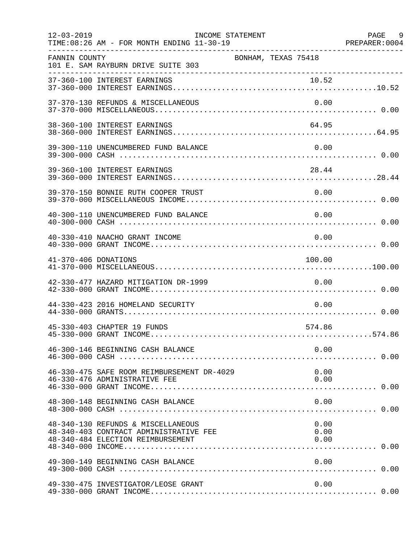| $12 - 03 - 2019$     | TIME: 08:26 AM - FOR MONTH ENDING 11-30-19                                                                        | INCOME STATEMENT    |                      | PAGE 9 |
|----------------------|-------------------------------------------------------------------------------------------------------------------|---------------------|----------------------|--------|
| FANNIN COUNTY        | 101 E. SAM RAYBURN DRIVE SUITE 303                                                                                | BONHAM, TEXAS 75418 |                      |        |
|                      | 37-360-100 INTEREST EARNINGS                                                                                      |                     |                      |        |
|                      | 37-370-130 REFUNDS & MISCELLANEOUS                                                                                |                     | 0.00                 |        |
|                      | 38-360-100 INTEREST EARNINGS                                                                                      |                     | 64.95                |        |
|                      | 39-300-110 UNENCUMBERED FUND BALANCE                                                                              |                     | 0.00                 |        |
|                      | 39-360-100 INTEREST EARNINGS                                                                                      |                     | 28.44                |        |
|                      | 39-370-150 BONNIE RUTH COOPER TRUST                                                                               |                     | 0.00                 |        |
|                      | 40-300-110 UNENCUMBERED FUND BALANCE                                                                              |                     | 0.00                 |        |
|                      | 40-330-410 NAACHO GRANT INCOME                                                                                    |                     | 0.00                 |        |
| 41-370-406 DONATIONS |                                                                                                                   |                     | 100.00               |        |
|                      | 42-330-477 HAZARD MITIGATION DR-1999                                                                              |                     | 0.00                 |        |
|                      | 44-330-423 2016 HOMELAND SECURITY                                                                                 |                     | 0.00                 |        |
|                      | 45-330-403 CHAPTER 19 FUNDS                                                                                       |                     | 574.86               |        |
|                      | 46-300-146 BEGINNING CASH BALANCE                                                                                 |                     | 0.00                 |        |
|                      | 46-330-475 SAFE ROOM REIMBURSEMENT DR-4029<br>46-330-476 ADMINISTRATIVE FEE                                       |                     | 0.00<br>0.00         |        |
|                      | 48-300-148 BEGINNING CASH BALANCE                                                                                 |                     | 0.00                 |        |
|                      | 48-340-130 REFUNDS & MISCELLANEOUS<br>48-340-403 CONTRACT ADMINISTRATIVE FEE<br>48-340-484 ELECTION REIMBURSEMENT |                     | 0.00<br>0.00<br>0.00 |        |
|                      | 49-300-149 BEGINNING CASH BALANCE                                                                                 |                     | 0.00                 |        |
|                      | 49-330-475 INVESTIGATOR/LEOSE GRANT                                                                               |                     | 0.00                 |        |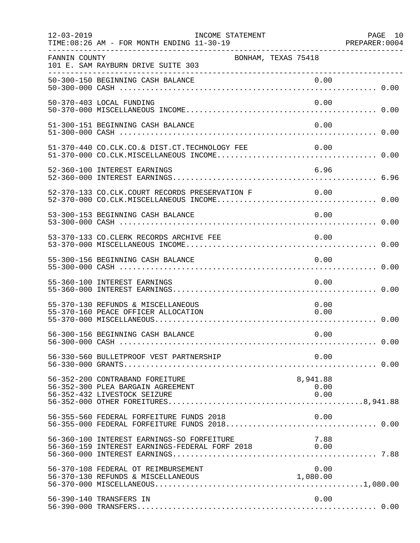| $12 - 03 - 2019$ | INCOME STATEMENT<br>TIME: 08:26 AM - FOR MONTH ENDING 11-30-19                                       |                          | PAGE 10 |
|------------------|------------------------------------------------------------------------------------------------------|--------------------------|---------|
| FANNIN COUNTY    | 101 E. SAM RAYBURN DRIVE SUITE 303                                                                   | BONHAM, TEXAS 75418      |         |
|                  |                                                                                                      |                          |         |
|                  | 50-370-403 LOCAL FUNDING                                                                             | 0.00                     |         |
|                  | 51-300-151 BEGINNING CASH BALANCE                                                                    | 0.00                     |         |
|                  | 51-370-440 CO.CLK.CO.& DIST.CT.TECHNOLOGY FEE 0.00                                                   |                          |         |
|                  | 52-360-100 INTEREST EARNINGS                                                                         | 6.96                     |         |
|                  | 52-370-133 CO.CLK.COURT RECORDS PRESERVATION F 0.00                                                  |                          |         |
|                  | 53-300-153 BEGINNING CASH BALANCE                                                                    | 0.00                     |         |
|                  | 53-370-133 CO. CLERK RECORDS ARCHIVE FEE                                                             | 0.00                     |         |
|                  | 55-300-156 BEGINNING CASH BALANCE                                                                    | 0.00                     |         |
|                  | 55-360-100 INTEREST EARNINGS                                                                         | 0.00                     |         |
|                  | 55-370-130 REFUNDS & MISCELLANEOUS<br>55-370-160 PEACE OFFICER ALLOCATION                            | 0.00<br>0.00             |         |
|                  | 56-300-156 BEGINNING CASH BALANCE                                                                    | 0.00                     |         |
|                  | 56-330-560 BULLETPROOF VEST PARTNERSHIP                                                              | 0.00                     |         |
|                  | 56-352-200 CONTRABAND FOREITURE<br>56-352-300 PLEA BARGAIN AGREEMENT<br>56-352-432 LIVESTOCK SEIZURE | 8,941.88<br>0.00<br>0.00 |         |
|                  | 56-355-560 FEDERAL FORFEITURE FUNDS 2018<br>56-355-000 FEDERAL FORFEITURE FUNDS 2018 0.00            | 0.00                     |         |
|                  | 56-360-100 INTEREST EARNINGS-SO FORFEITURE<br>56-360-159 INTEREST EARNINGS-FEDERAL FORF 2018 0.00    | 7.88                     |         |
|                  | 56-370-108 FEDERAL OT REIMBURSEMENT                                                                  | 0.00                     |         |
|                  | 56-390-140 TRANSFERS IN                                                                              | 0.00                     |         |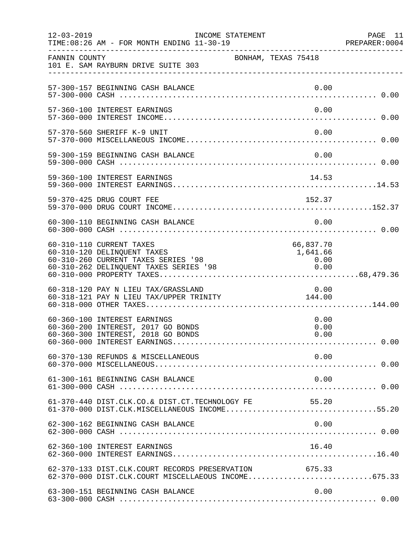| $12 - 03 - 2019$ | TIME: 08:26 AM - FOR MONTH ENDING 11-30-19                                                                                               | INCOME STATEMENT    |                                       | PAGE 11<br>PREPARER: 0004 |
|------------------|------------------------------------------------------------------------------------------------------------------------------------------|---------------------|---------------------------------------|---------------------------|
| FANNIN COUNTY    | 101 E. SAM RAYBURN DRIVE SUITE 303                                                                                                       | BONHAM, TEXAS 75418 |                                       |                           |
|                  | 57-300-157 BEGINNING CASH BALANCE                                                                                                        |                     | 0.00                                  |                           |
|                  | 57-360-100 INTEREST EARNINGS                                                                                                             |                     | 0.00                                  |                           |
|                  | 57-370-560 SHERIFF K-9 UNIT                                                                                                              |                     | 0.00                                  |                           |
|                  | 59-300-159 BEGINNING CASH BALANCE                                                                                                        |                     | 0.00                                  |                           |
|                  |                                                                                                                                          |                     |                                       |                           |
|                  | 59-370-425 DRUG COURT FEE                                                                                                                |                     | 152.37                                |                           |
|                  | 60-300-110 BEGINNING CASH BALANCE                                                                                                        |                     | 0.00                                  |                           |
|                  | 60-310-110 CURRENT TAXES<br>60-310-120 DELINQUENT TAXES<br>60-310-260 CURRENT TAXES SERIES '98<br>60-310-262 DELINQUENT TAXES SERIES '98 |                     | 66,837.70<br>1,641.66<br>0.00<br>0.00 |                           |
|                  | 60-318-120 PAY N LIEU TAX/GRASSLAND<br>60-318-121 PAY N LIEU TAX/UPPER TRINITY 144.00                                                    |                     | 0.00                                  |                           |
|                  | 60-360-100 INTEREST EARNINGS<br>60-360-200 INTEREST, 2017 GO BONDS<br>60-360-300 INTEREST, 2018 GO BONDS                                 |                     | 0.00<br>0.00<br>0.00                  |                           |
|                  | 60-370-130 REFUNDS & MISCELLANEOUS                                                                                                       |                     | 0.00                                  |                           |
|                  | 61-300-161 BEGINNING CASH BALANCE                                                                                                        |                     | 0.00                                  |                           |
|                  | 61-370-440 DIST.CLK.CO.& DIST.CT.TECHNOLOGY FE<br>61-370-000 DIST.CLK.MISCELLANEOUS INCOME55.20                                          |                     | 55.20                                 |                           |
|                  | 62-300-162 BEGINNING CASH BALANCE                                                                                                        |                     | 0.00                                  |                           |
|                  | 62-360-100 INTEREST EARNINGS                                                                                                             |                     | 16.40                                 |                           |
|                  | 62-370-133 DIST.CLK.COURT RECORDS PRESERVATION<br>62-370-000 DIST.CLK.COURT MISCELLAEOUS INCOME675.33                                    |                     | 675.33                                |                           |
|                  | 63-300-151 BEGINNING CASH BALANCE                                                                                                        |                     | 0.00                                  |                           |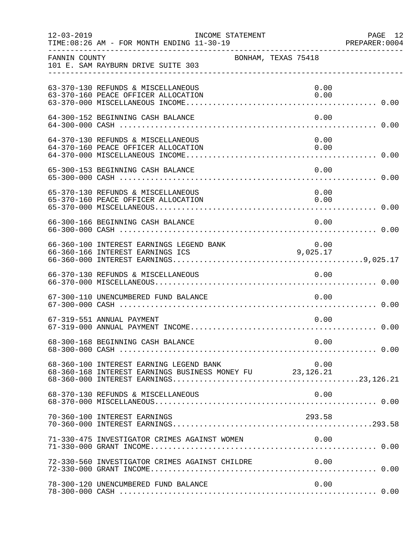| $12 - 03 - 2019$ | TIME: 08:26 AM - FOR MONTH ENDING 11-30-19                                                          | INCOME STATEMENT    |  |              | PAGE 12<br>PREPARER: 0004 |
|------------------|-----------------------------------------------------------------------------------------------------|---------------------|--|--------------|---------------------------|
| FANNIN COUNTY    | 101 E. SAM RAYBURN DRIVE SUITE 303                                                                  | BONHAM, TEXAS 75418 |  |              |                           |
|                  | 63-370-130 REFUNDS & MISCELLANEOUS<br>63-370-160 PEACE OFFICER ALLOCATION                           |                     |  | 0.00<br>0.00 |                           |
|                  | 64-300-152 BEGINNING CASH BALANCE                                                                   |                     |  | 0.00         |                           |
|                  | 64-370-130 REFUNDS & MISCELLANEOUS<br>64-370-160 PEACE OFFICER ALLOCATION                           |                     |  | 0.00<br>0.00 |                           |
|                  | 65-300-153 BEGINNING CASH BALANCE                                                                   |                     |  | 0.00         |                           |
|                  | 65-370-130 REFUNDS & MISCELLANEOUS                                                                  |                     |  | 0.00         |                           |
|                  | 66-300-166 BEGINNING CASH BALANCE                                                                   |                     |  | 0.00         |                           |
|                  | 0.00 UNIVEREST EARNINGS LEGEND BANK 0.00                                                            |                     |  |              |                           |
|                  | 66-370-130 REFUNDS & MISCELLANEOUS                                                                  |                     |  | 0.00         |                           |
|                  | 67-300-110 UNENCUMBERED FUND BALANCE                                                                |                     |  | 0.00         |                           |
|                  | 67-319-551 ANNUAL PAYMENT                                                                           |                     |  | 0.00         |                           |
|                  | 68-300-168 BEGINNING CASH BALANCE                                                                   |                     |  | 0.00         |                           |
|                  | 68-360-100 INTEREST EARNING LEGEND BANK<br>68-360-168 INTEREST EARNINGS BUSINESS MONEY FU 23,126.21 |                     |  | 0.00         |                           |
|                  | 68-370-130 REFUNDS & MISCELLANEOUS                                                                  |                     |  | 0.00         |                           |
|                  | 70-360-100 INTEREST EARNINGS                                                                        |                     |  | 293.58       |                           |
|                  | 71-330-475 INVESTIGATOR CRIMES AGAINST WOMEN                                                        |                     |  | 0.00         |                           |
|                  | 72-330-560 INVESTIGATOR CRIMES AGAINST CHILDRE                                                      |                     |  | 0.00         |                           |
|                  | 78-300-120 UNENCUMBERED FUND BALANCE                                                                |                     |  | 0.00         |                           |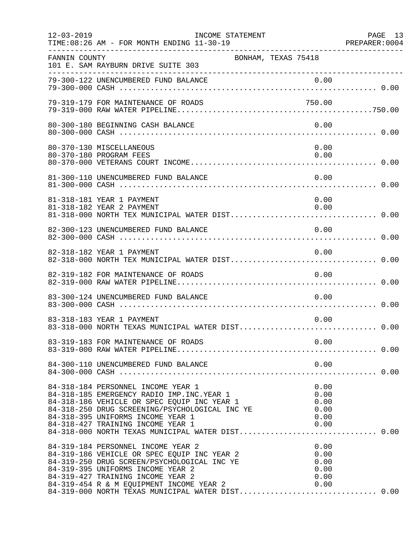| $12 - 03 - 2019$ | INCOME STATEMENT<br>TIME: 08:26 AM - FOR MONTH ENDING 11-30-19                                                                                                                                                                                                                                                                                           |                                              | PAGE 13<br>PREPARER:0004 |
|------------------|----------------------------------------------------------------------------------------------------------------------------------------------------------------------------------------------------------------------------------------------------------------------------------------------------------------------------------------------------------|----------------------------------------------|--------------------------|
| FANNIN COUNTY    | 101 E. SAM RAYBURN DRIVE SUITE 303                                                                                                                                                                                                                                                                                                                       | BONHAM, TEXAS 75418                          |                          |
|                  | 79-300-122 UNENCUMBERED FUND BALANCE                                                                                                                                                                                                                                                                                                                     | 0.00                                         |                          |
|                  | 79-319-179 FOR MAINTENANCE OF ROADS                                                                                                                                                                                                                                                                                                                      | 750.00                                       |                          |
|                  | 80-300-180 BEGINNING CASH BALANCE                                                                                                                                                                                                                                                                                                                        | 0.00                                         |                          |
|                  | 80-370-130 MISCELLANEOUS<br>80-370-180 PROGRAM FEES                                                                                                                                                                                                                                                                                                      | 0.00<br>0.00                                 |                          |
|                  | 81-300-110 UNENCUMBERED FUND BALANCE                                                                                                                                                                                                                                                                                                                     | 0.00                                         |                          |
|                  | 81-318-181 YEAR 1 PAYMENT<br>81-318-182 YEAR 2 PAYMENT                                                                                                                                                                                                                                                                                                   | 0.00<br>0.00                                 |                          |
|                  | 82-300-123 UNENCUMBERED FUND BALANCE                                                                                                                                                                                                                                                                                                                     | 0.00                                         |                          |
|                  | 82-318-182 YEAR 1 PAYMENT                                                                                                                                                                                                                                                                                                                                | 0.00                                         |                          |
|                  | 82-319-182 FOR MAINTENANCE OF ROADS                                                                                                                                                                                                                                                                                                                      | 0.00                                         |                          |
|                  | 83-300-124 UNENCUMBERED FUND BALANCE                                                                                                                                                                                                                                                                                                                     | 0.00                                         |                          |
|                  | 83-318-183 YEAR 1 PAYMENT<br>83-318-000 NORTH TEXAS MUNICIPAL WATER DIST 0.00                                                                                                                                                                                                                                                                            | 0.00                                         |                          |
|                  |                                                                                                                                                                                                                                                                                                                                                          |                                              |                          |
|                  | 84-300-110 UNENCUMBERED FUND BALANCE                                                                                                                                                                                                                                                                                                                     | 0.00                                         |                          |
|                  | 84-318-184 PERSONNEL INCOME YEAR 1<br>84-318-185 EMERGENCY RADIO IMP. INC. YEAR 1<br>84-318-186 VEHICLE OR SPEC EQUIP INC YEAR 1<br>84-318-250 DRUG SCREENING/PSYCHOLOGICAL INC YE<br>84-318-395 UNIFORMS INCOME YEAR 1<br>84-318-427 TRAINING INCOME YEAR 1                                                                                             | 0.00<br>0.00<br>0.00<br>0.00<br>0.00<br>0.00 |                          |
|                  | 84-319-184 PERSONNEL INCOME YEAR 2<br>84-319-186 VEHICLE OR SPEC EQUIP INC YEAR 2<br>84-319-250 DRUG SCREEN/PSYCHOLOGICAL INC YE<br>84-319-395 UNIFORMS INCOME YEAR 2<br>84-319-427 TRAINING INCOME YEAR 2<br>84-319-427 TRAINING INCOME YEAR 2 0.00<br>84-319-454 R & M EQUIPMENT INCOME YEAR 2 0.00<br>84-319-000 NORTH TEXAS MUNICIPAL WATER DIST0.00 | 0.00<br>0.00<br>0.00<br>0.00<br>0.00         |                          |
|                  |                                                                                                                                                                                                                                                                                                                                                          |                                              |                          |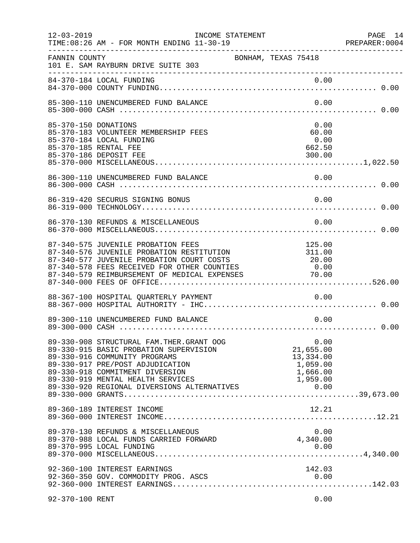| $12 - 03 - 2019$     | INCOME STATEMENT<br>TIME: 08:26 AM - FOR MONTH ENDING 11-30-19<br>----------------------------------                                                                                                                              |                                                                    | PAGE 14<br>PREPARER: 0004 |
|----------------------|-----------------------------------------------------------------------------------------------------------------------------------------------------------------------------------------------------------------------------------|--------------------------------------------------------------------|---------------------------|
| FANNIN COUNTY        | 101 E. SAM RAYBURN DRIVE SUITE 303                                                                                                                                                                                                | BONHAM, TEXAS 75418                                                |                           |
|                      |                                                                                                                                                                                                                                   |                                                                    |                           |
|                      | 85-300-110 UNENCUMBERED FUND BALANCE                                                                                                                                                                                              | 0.00                                                               |                           |
| 85-370-150 DONATIONS | 85-370-183 VOLUNTEER MEMBERSHIP FEES<br>85-370-184 LOCAL FUNDING<br>85-370-185 RENTAL FEE<br>85-370-186 DEPOSIT FEE                                                                                                               | 0.00<br>60.00<br>0.00<br>662.50<br>300.00                          |                           |
|                      | 86-300-110 UNENCUMBERED FUND BALANCE                                                                                                                                                                                              | 0.00                                                               |                           |
|                      | 86-319-420 SECURUS SIGNING BONUS                                                                                                                                                                                                  | 0.00                                                               |                           |
|                      | 86-370-130 REFUNDS & MISCELLANEOUS                                                                                                                                                                                                | 0.00                                                               |                           |
|                      | 87-340-575 JUVENILE PROBATION FEES<br>87-340-576 JUVENILE PROBATION RESTITUTION<br>87-340-577 JUVENILE PROBATION COURT COSTS<br>87-340-578 FEES RECEIVED FOR OTHER COUNTIES<br>87-340-579 REIMBURSEMENT OF MEDICAL EXPENSES 70.00 | 125.00<br>311.00<br>20.00<br>0.00                                  |                           |
|                      |                                                                                                                                                                                                                                   |                                                                    |                           |
|                      | 89-300-110 UNENCUMBERED FUND BALANCE                                                                                                                                                                                              | 0.00                                                               |                           |
|                      | 89-330-908 STRUCTURAL FAM. THER. GRANT OOG<br>89-330-915 BASIC PROBATION SUPERVISION<br>89-330-916 COMMUNITY PROGRAMS<br>89-330-917 PRE/POST ADJUDICATION<br>89-330-918 COMMITMENT DIVERSION<br>89-330-919 MENTAL HEALTH SERVICES | 0.00<br>21,655.00<br>13,334.00<br>1,059.00<br>1,666.00<br>1,959.00 |                           |
|                      | 89-360-189 INTEREST INCOME                                                                                                                                                                                                        | 12.21                                                              |                           |
|                      | 89-370-130 REFUNDS & MISCELLANEOUS<br>89-370-988 LOCAL FUNDS CARRIED FORWARD                                                                                                                                                      | 0.00<br>4,340.00                                                   |                           |
|                      | 92-360-100 INTEREST EARNINGS<br>92-360-350 GOV. COMMODITY PROG. ASCS                                                                                                                                                              | 142.03<br>0.00                                                     |                           |
| 92-370-100 RENT      |                                                                                                                                                                                                                                   | 0.00                                                               |                           |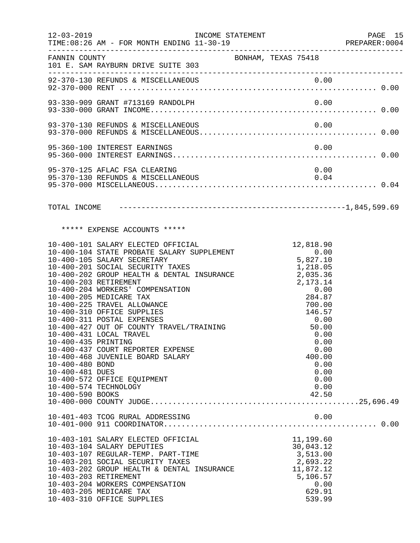| $12 - 03 - 2019$                                                              | TIME: 08:26 AM - FOR MONTH ENDING 11-30-19                                                                                                                                                                                                                                                                                                                                                                                                                                                                                                                                                   | INCOME STATEMENT    |                                                                                                                                                                                                     | PAGE 15<br>PREPARER:0004 |
|-------------------------------------------------------------------------------|----------------------------------------------------------------------------------------------------------------------------------------------------------------------------------------------------------------------------------------------------------------------------------------------------------------------------------------------------------------------------------------------------------------------------------------------------------------------------------------------------------------------------------------------------------------------------------------------|---------------------|-----------------------------------------------------------------------------------------------------------------------------------------------------------------------------------------------------|--------------------------|
| FANNIN COUNTY                                                                 | 101 E. SAM RAYBURN DRIVE SUITE 303                                                                                                                                                                                                                                                                                                                                                                                                                                                                                                                                                           | BONHAM, TEXAS 75418 |                                                                                                                                                                                                     |                          |
|                                                                               |                                                                                                                                                                                                                                                                                                                                                                                                                                                                                                                                                                                              |                     |                                                                                                                                                                                                     |                          |
|                                                                               | 93-330-909 GRANT #713169 RANDOLPH                                                                                                                                                                                                                                                                                                                                                                                                                                                                                                                                                            |                     | 0.00                                                                                                                                                                                                |                          |
|                                                                               | 93-370-130 REFUNDS & MISCELLANEOUS                                                                                                                                                                                                                                                                                                                                                                                                                                                                                                                                                           |                     | 0.00                                                                                                                                                                                                |                          |
|                                                                               | 95-360-100 INTEREST EARNINGS                                                                                                                                                                                                                                                                                                                                                                                                                                                                                                                                                                 |                     | 0.00                                                                                                                                                                                                |                          |
|                                                                               | 95-370-125 AFLAC FSA CLEARING<br>95-370-130 REFUNDS & MISCELLANEOUS                                                                                                                                                                                                                                                                                                                                                                                                                                                                                                                          |                     | 0.00<br>0.04                                                                                                                                                                                        |                          |
|                                                                               |                                                                                                                                                                                                                                                                                                                                                                                                                                                                                                                                                                                              |                     |                                                                                                                                                                                                     |                          |
|                                                                               | ***** EXPENSE ACCOUNTS *****                                                                                                                                                                                                                                                                                                                                                                                                                                                                                                                                                                 |                     |                                                                                                                                                                                                     |                          |
| 10-400-435 PRINTING<br>10-400-480 BOND<br>10-400-481 DUES<br>10-400-590 BOOKS | 10-400-101 SALARY ELECTED OFFICIAL<br>10-400-104 STATE PROBATE SALARY SUPPLEMENT<br>10-400-105 SALARY SECRETARY<br>10-400-201 SOCIAL SECURITY TAXES<br>10-400-202 GROUP HEALTH & DENTAL INSURANCE<br>10-400-203 RETIREMENT<br>10-400-204 WORKERS' COMPENSATION<br>10-400-205 MEDICARE TAX<br>10-400-225 TRAVEL ALLOWANCE<br>10-400-310 OFFICE SUPPLIES<br>10-400-311 POSTAL EXPENSES<br>10-400-427 OUT OF COUNTY TRAVEL/TRAINING<br>10-400-431 LOCAL TRAVEL<br>10-400-437 COURT REPORTER EXPENSE<br>10-400-468 JUVENILE BOARD SALARY<br>10-400-572 OFFICE EQUIPMENT<br>10-400-574 TECHNOLOGY |                     | 12,818.90<br>0.00<br>5,827.10<br>1,218.05<br>2,035.36<br>2,173.14<br>0.00<br>284.87<br>700.00<br>146.57<br>0.00<br>50.00<br>0.00<br>0.00<br>0.00<br>400.00<br>0.00<br>0.00<br>0.00<br>0.00<br>42.50 |                          |
|                                                                               |                                                                                                                                                                                                                                                                                                                                                                                                                                                                                                                                                                                              |                     |                                                                                                                                                                                                     |                          |
|                                                                               | 10-403-101 SALARY ELECTED OFFICIAL<br>10-403-104 SALARY DEPUTIES<br>10-403-107 REGULAR-TEMP. PART-TIME<br>10-403-201 SOCIAL SECURITY TAXES<br>10-403-202 GROUP HEALTH & DENTAL INSURANCE<br>10-403-203 RETIREMENT<br>10-403-204 WORKERS COMPENSATION<br>10-403-205 MEDICARE TAX<br>10-403-310 OFFICE SUPPLIES                                                                                                                                                                                                                                                                                |                     | 11,199.60<br>30,043.12<br>3,513.00<br>2,693.22<br>11,872.12<br>5,106.57<br>0.00<br>629.91<br>539.99                                                                                                 |                          |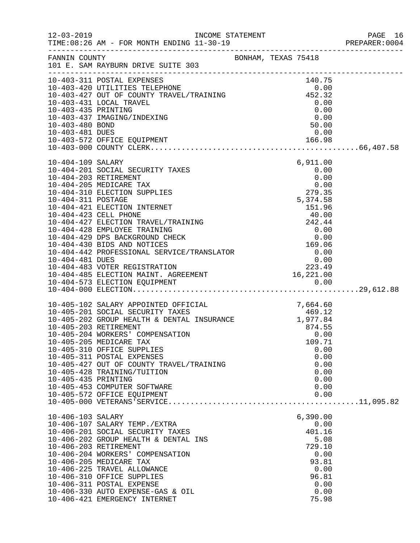| FANNIN COUNTY                           | BONHAM, TEXAS 75418<br>101 E. SAM RAYBURN DRIVE SUITE 303                                                                                                                                                                                                                                                                                                                                                                                |                                                                                                         |  |
|-----------------------------------------|------------------------------------------------------------------------------------------------------------------------------------------------------------------------------------------------------------------------------------------------------------------------------------------------------------------------------------------------------------------------------------------------------------------------------------------|---------------------------------------------------------------------------------------------------------|--|
|                                         | 10-403-420 UTILITIES TELEPHONE<br>10-403-427 OUT OF COUNTY TRAVEL/TRAINING<br>10-403-431 LOCAL TRAVEL<br>10-403-435 PRINTING<br>10-403-435 PRINTING<br>10-403-437 IMAGING/INFREEL                                                                                                                                                                                                                                                        |                                                                                                         |  |
| 10-403-480 BOND<br>10-403-481 DUES      |                                                                                                                                                                                                                                                                                                                                                                                                                                          | $\begin{array}{c} 0.00 \\ 0.00 \\ 50.00 \end{array}$<br>0.00                                            |  |
| 10-404-109 SALARY<br>10-404-311 POSTAGE | 10-404-201 SOCIAL SECURITY TAXES<br>10-404-203 RETIREMENT<br>10-404-205 MEDICARE TAX<br>10-404-310 ELECTION SUPPLIES<br>10-404-421 ELECTION INTERNET<br>10-404-421 ELECTION INTERNET<br>10-404-423 CELL PHONE<br>10-404-423 CELL PHONE<br>10-404-423 CELL PHONE<br>10-404-427 ELECTION TRAVEL/TRAINING<br>10-404-428 EMPLOYEE TRAINING<br>10-404-429 DPS BACKGROUND CHECK<br>10-404-430 BIDS AND NOT                                     | 6,911.00<br>$0.00$<br>0.00<br>0.00<br>0.00<br>279.35<br>279.35<br>5,374.58<br>151.96                    |  |
| 10-405-435 PRINTING                     | 10-405-102 SALARY APPOINTED OFFICIAL 7,664.60<br>10-405-201 SOCIAL SECURITY TAXES 469.12<br>10-405-202 GROUP HEALTH & DENTAL INSURANCE 1,977.84<br>10-405-203 RETIREMENT 8 DENTAL INSURANCE 1,977.84<br>10-405-204 WORKERS' COMPENSATI<br>10-405-205 MEDICARE TAX<br>10-405-310 OFFICE SUPPLIES<br>10-405-311 POSTAL EXPENSES<br>10-405-427 OUT OF COUNTY TRAVEL/TRAINING<br>10-405-428 TRAINING/TUITION<br>10-405-453 COMPUTER SOFTWARE | 109.71<br>0.00<br>0.00<br>0.00<br>0.00<br>0.00<br>0.00                                                  |  |
| 10-406-103 SALARY                       | 10-406-107 SALARY TEMP./EXTRA<br>10-406-201 SOCIAL SECURITY TAXES<br>10-406-202 GROUP HEALTH & DENTAL INS<br>10-406-203 RETIREMENT<br>10-406-204 WORKERS' COMPENSATION<br>10-406-205 MEDICARE TAX<br>10-406-225 TRAVEL ALLOWANCE<br>10-406-310 OFFICE SUPPLIES<br>10-406-311 POSTAL EXPENSE<br>10-406-330 AUTO EXPENSE-GAS & OIL<br>10-406-421 EMERGENCY INTERNET                                                                        | 6,390.00<br>0.00<br>401.16<br>5.08<br>729.10<br>0.00<br>93.81<br>0.00<br>96.81<br>0.00<br>0.00<br>75.98 |  |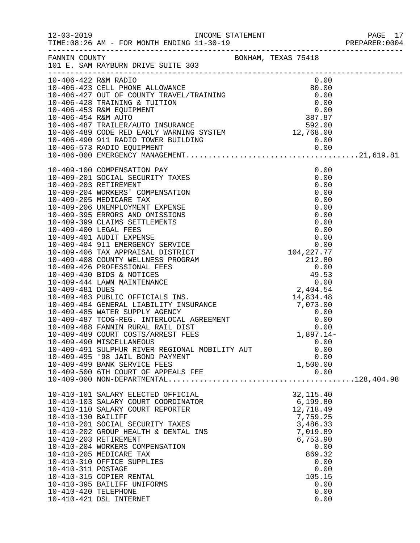|                      |                                                                                                                                                   |                                                              | PAGE 17 |
|----------------------|---------------------------------------------------------------------------------------------------------------------------------------------------|--------------------------------------------------------------|---------|
|                      | FANNIN COUNTY BONHAM, TEXAS 75418<br>101 E. SAM RAYBURN DRIVE SUITE 303                                                                           |                                                              |         |
| 10-406-422 R&M RADIO |                                                                                                                                                   | 0.00                                                         |         |
|                      |                                                                                                                                                   |                                                              |         |
|                      |                                                                                                                                                   |                                                              |         |
|                      |                                                                                                                                                   |                                                              |         |
|                      |                                                                                                                                                   |                                                              |         |
|                      |                                                                                                                                                   |                                                              |         |
|                      |                                                                                                                                                   |                                                              |         |
|                      |                                                                                                                                                   |                                                              |         |
|                      |                                                                                                                                                   |                                                              |         |
|                      | 10-409-490 MISCELLANEOUS<br>10-409-491 SULPHUR RIVER REGIONAL MOBILITY AUT                                                                        | 0.00<br>0.00                                                 |         |
|                      | 10-409-495 '98 JAIL BOND PAYMENT<br>10-409-499 BANK SERVICE FEES<br>10-409-500 6TH COURT OF APPEALS FEE                                           | 0.00<br>1,500.00<br>0.00                                     |         |
| 10-410-130 BAILIFF   | 10-410-101 SALARY ELECTED OFFICIAL<br>10-410-103 SALARY COURT COORDINATOR<br>10-410-110 SALARY COURT REPORTER<br>10-410-201 SOCIAL SECURITY TAXES | 32, 115.40<br>6, 199.80<br>12,718.49<br>7,759.25<br>3,486.33 |         |
|                      | 10-410-202 GROUP HEALTH & DENTAL INS<br>10-410-203 RETIREMENT<br>10-410-204 WORKERS COMPENSATION<br>10-410-205 MEDICARE TAX                       | 7,019.89<br>6,753.90<br>0.00<br>869.32                       |         |
| 10-410-311 POSTAGE   | 10-410-310 OFFICE SUPPLIES<br>10-410-315 COPIER RENTAL<br>10-410-395 BAILIFF UNIFORMS                                                             | 0.00<br>0.00<br>105.15<br>0.00                               |         |
| 10-410-420 TELEPHONE | 10-410-421 DSL INTERNET                                                                                                                           | 0.00<br>0.00                                                 |         |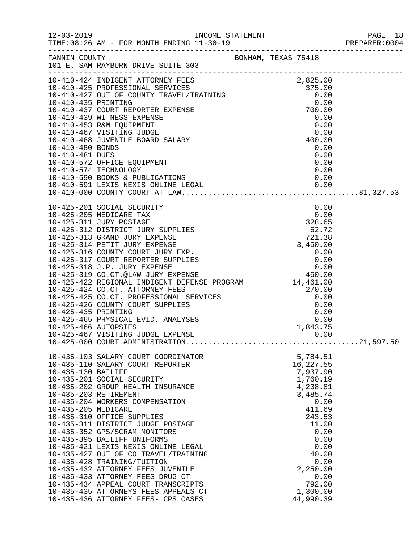|                                           | $12-03-2019$ INCOME ST<br>TIME:08:26 AM - FOR MONTH ENDING $11-30-19$<br>----------------------------------                                                                                                                                                                                                                                                                                                                                                                                                                                                                                                                                            |  |                                                                                                                                                            |                                              |  |
|-------------------------------------------|--------------------------------------------------------------------------------------------------------------------------------------------------------------------------------------------------------------------------------------------------------------------------------------------------------------------------------------------------------------------------------------------------------------------------------------------------------------------------------------------------------------------------------------------------------------------------------------------------------------------------------------------------------|--|------------------------------------------------------------------------------------------------------------------------------------------------------------|----------------------------------------------|--|
|                                           | FANNIN COUNTY BONHAM, TEXAS 75418<br>101 E. SAM RAYBURN DRIVE SUITE 303                                                                                                                                                                                                                                                                                                                                                                                                                                                                                                                                                                                |  |                                                                                                                                                            |                                              |  |
|                                           | $[10-410-424$~INDIGENT ATING10-410-425 $PCFESTONAL SEKUTEES10-410-427~OUT OF COUNTY TRAVEL/TRAINING10-410-435 PRINTING10-410-437~CORTR EZFER EXPENSE10-410-439 WITNESS EXPENSE10-410-439 WITNESS EXPENSE10-410-439 WITNESS EXPENSE10-410-457 VISTITING JUDGE10-410-467 VISTITING JUDGE10-410-468 JOVENILE BO$                                                                                                                                                                                                                                                                                                                                          |  |                                                                                                                                                            |                                              |  |
|                                           | 10-425-201 SOCIAL SECURITY                                                                                                                                                                                                                                                                                                                                                                                                                                                                                                                                                                                                                             |  |                                                                                                                                                            | 0.00                                         |  |
|                                           | 14,461.00<br>10-425-425 CO.CT. PROFESSIONAL SERVICES<br>10-425-426 COUNTY COURT SUPPLIES<br>10-425-435 PRINTING<br>10-425-465 PHYSICAL EVID. ANALYSES<br>10-425-466 AUTOPSIES<br>10-425-466 AUTOPSIES<br>10-425-467 VICTORIES<br>10-425-467 VISITING JUDGE EXPENSE                                                                                                                                                                                                                                                                                                                                                                                     |  |                                                                                                                                                            | 0.00                                         |  |
| 10-435-130 BAILIFF<br>10-435-205 MEDICARE | 10-435-103 SALARY COURT COORDINATOR<br>10-435-110 SALARY COURT REPORTER<br>10-435-201 SOCIAL SECURITY<br>10-435-202 GROUP HEALTH INSURANCE<br>10-435-203 RETIREMENT<br>10-435-204 WORKERS COMPENSATION<br>10-435-310 OFFICE SUPPLIES<br>10-435-311 DISTRICT JUDGE POSTAGE<br>10-435-352 GPS/SCRAM MONITORS<br>10-435-395 BAILIFF UNIFORMS<br>10-435-421 LEXIS NEXIS ONLINE LEGAL<br>10-435-427 OUT OF CO TRAVEL/TRAINING<br>10-435-428 TRAINING/TUITION<br>10-435-432 ATTORNEY FEES JUVENILE<br>10-435-433 ATTORNEY FEES DRUG CT<br>10-435-434 APPEAL COURT TRANSCRIPTS<br>10-435-435 ATTORNEYS FEES APPEALS CT<br>10-435-436 ATTORNEY FEES- CPS CASES |  | 5,784.51<br>16,227.55<br>7,937.90<br>1,760.19<br>4,238.81<br>3,485.74<br>411.69<br>243.53<br>11.00<br>40.00<br>2,250.00<br>792.00<br>1,300.00<br>44,990.39 | 0.00<br>0.00<br>0.00<br>0.00<br>0.00<br>0.00 |  |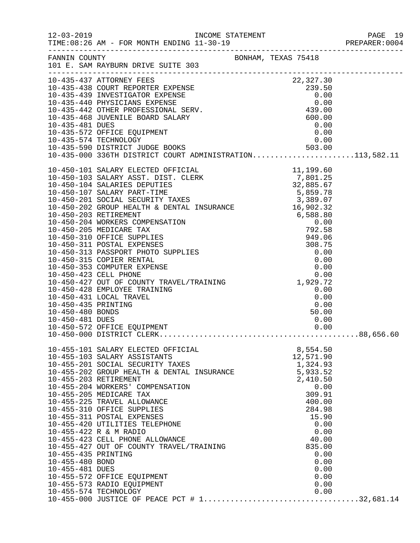|                     |                                                                                                                                                                                                                                                                                                   |                  | PREPARER: 0004 |
|---------------------|---------------------------------------------------------------------------------------------------------------------------------------------------------------------------------------------------------------------------------------------------------------------------------------------------|------------------|----------------|
|                     | FANNIN COUNTY<br>101 E. SAM RAYBURN DRIVE SUITE 303<br>101 E. SAM KAIDUNG LUCHER CONTRESSENSE<br>10-435-437 ATTORNEY FEES<br>10-435-438 COURT REPORTER EXPENSE<br>10-435-440 PHYSICIANS EXPENSE<br>10-435-440 PHYSICIANS EXPENSE<br>10-435-442 OTHER PROFESSIONAL SERV.<br>10-435-442 OTHER PROFE |                  |                |
|                     |                                                                                                                                                                                                                                                                                                   |                  |                |
|                     |                                                                                                                                                                                                                                                                                                   |                  |                |
|                     |                                                                                                                                                                                                                                                                                                   |                  |                |
|                     |                                                                                                                                                                                                                                                                                                   |                  |                |
|                     |                                                                                                                                                                                                                                                                                                   |                  |                |
|                     |                                                                                                                                                                                                                                                                                                   |                  |                |
|                     |                                                                                                                                                                                                                                                                                                   |                  |                |
|                     |                                                                                                                                                                                                                                                                                                   |                  |                |
|                     |                                                                                                                                                                                                                                                                                                   |                  |                |
|                     |                                                                                                                                                                                                                                                                                                   |                  |                |
|                     |                                                                                                                                                                                                                                                                                                   |                  |                |
|                     |                                                                                                                                                                                                                                                                                                   |                  |                |
|                     |                                                                                                                                                                                                                                                                                                   |                  |                |
|                     |                                                                                                                                                                                                                                                                                                   |                  |                |
|                     |                                                                                                                                                                                                                                                                                                   |                  |                |
|                     |                                                                                                                                                                                                                                                                                                   |                  |                |
|                     |                                                                                                                                                                                                                                                                                                   |                  |                |
|                     |                                                                                                                                                                                                                                                                                                   |                  |                |
|                     |                                                                                                                                                                                                                                                                                                   |                  |                |
|                     |                                                                                                                                                                                                                                                                                                   |                  |                |
|                     |                                                                                                                                                                                                                                                                                                   |                  |                |
|                     |                                                                                                                                                                                                                                                                                                   |                  |                |
|                     |                                                                                                                                                                                                                                                                                                   |                  |                |
|                     |                                                                                                                                                                                                                                                                                                   |                  |                |
|                     |                                                                                                                                                                                                                                                                                                   |                  |                |
|                     |                                                                                                                                                                                                                                                                                                   |                  |                |
|                     |                                                                                                                                                                                                                                                                                                   |                  |                |
|                     |                                                                                                                                                                                                                                                                                                   |                  |                |
|                     |                                                                                                                                                                                                                                                                                                   |                  |                |
|                     |                                                                                                                                                                                                                                                                                                   |                  |                |
|                     | 10-455-101 SALARY ELECTED OFFICIAL                                                                                                                                                                                                                                                                | 8,554.50         |                |
|                     | 10-455-103 SALARY ASSISTANTS                                                                                                                                                                                                                                                                      | 12,571.90        |                |
|                     |                                                                                                                                                                                                                                                                                                   | 1,324.93         |                |
|                     | 10-455-201 SOCIAL SECURITY TAXES<br>10-455-202 GROUP HEALTH & DENTAL INSURANCE                                                                                                                                                                                                                    | 5,933.52         |                |
|                     | 10-455-203 RETIREMENT                                                                                                                                                                                                                                                                             | 2,410.50         |                |
|                     | 10-455-204 WORKERS' COMPENSATION                                                                                                                                                                                                                                                                  | 0.00             |                |
|                     | 10-455-205 MEDICARE TAX                                                                                                                                                                                                                                                                           | 309.91           |                |
|                     | 10-455-225 TRAVEL ALLOWANCE<br>10-455-310 OFFICE SUPPLIES                                                                                                                                                                                                                                         | 400.00<br>284.98 |                |
|                     | 10-455-311 POSTAL EXPENSES                                                                                                                                                                                                                                                                        | 15.90            |                |
|                     | 10-455-420 UTILITIES TELEPHONE                                                                                                                                                                                                                                                                    | 0.00             |                |
|                     | 10-455-422 R & M RADIO                                                                                                                                                                                                                                                                            | 0.00             |                |
|                     | 10-455-422 K & M KADIO<br>10-455-423 CELL PHONE ALLOWANCE<br>10-455-427 OUT OF COUNTY TRAVEL/TRAINING                                                                                                                                                                                             | 40.00            |                |
|                     |                                                                                                                                                                                                                                                                                                   | 835.00           |                |
| 10-455-435 PRINTING |                                                                                                                                                                                                                                                                                                   | 0.00             |                |
| 10-455-480 BOND     |                                                                                                                                                                                                                                                                                                   | 0.00             |                |
| 10-455-481 DUES     | 10-455-572 OFFICE EQUIPMENT                                                                                                                                                                                                                                                                       | 0.00<br>0.00     |                |
|                     | 10-455-573 RADIO EQUIPMENT                                                                                                                                                                                                                                                                        | 0.00             |                |
|                     | 10-455-574 TECHNOLOGY                                                                                                                                                                                                                                                                             | 0.00             |                |
|                     |                                                                                                                                                                                                                                                                                                   |                  |                |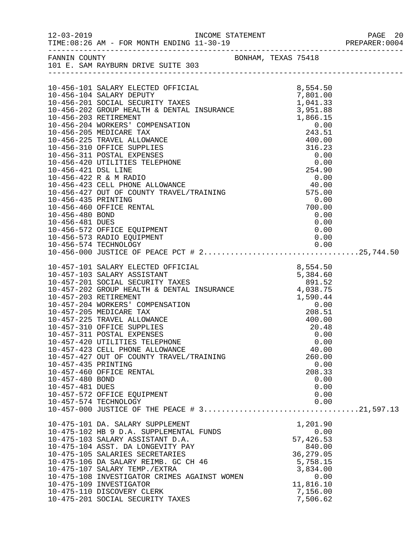| $12 - 03 - 2019$                                                                                                                                                                                                                                                                                                                                                                                                                                                                                                                                                                                                                                                   |                                                                                                                            |  |
|--------------------------------------------------------------------------------------------------------------------------------------------------------------------------------------------------------------------------------------------------------------------------------------------------------------------------------------------------------------------------------------------------------------------------------------------------------------------------------------------------------------------------------------------------------------------------------------------------------------------------------------------------------------------|----------------------------------------------------------------------------------------------------------------------------|--|
| BONHAM, TEXAS 75418<br>FANNIN COUNTY<br>101 E. SAM RAYBURN DRIVE SUITE 303                                                                                                                                                                                                                                                                                                                                                                                                                                                                                                                                                                                         |                                                                                                                            |  |
| 10-456-104 SALARY ELECTED OFFICIAL 67 8,554.50<br>10-456-104 SALARY DEPUTY 7AXES 7,801.00<br>10-456-201 SOCIAL SECURITY TAXES 1,041.33<br>10-456-202 GROUP HEALTH & DENTAL INSURANCE 3,951.88<br>10-456-203 RETIREMENT<br>10-456-573 RADIO EQUIPMENT                                                                                                                                                                                                                                                                                                                                                                                                               | 0.00                                                                                                                       |  |
| 10-457-101 SALARY ELECTED OFFICIAL 8,554.50<br>10-457-103 SALARY ASSISTANT 5,384.60<br>10-457-201 SCIAL SECURITY TAXES<br>10-457-202 GROUP HEALTH & DENTAL INSURANCE 4,038.75<br>10-457-203 RETIREMENT<br>$1,590.44$<br>0.00<br>208.51<br>10-457-204 WORKERS' COMPENSATION<br>10-457-205 MEDICARE TAX<br>10-457-225 TRAVEL ALLOWANCE<br>10-457-310 OFFICE SUPPLIES<br>10-457-311 POSTAL EXPENSES<br>10-457-420 UTILITIES TELEPHONE<br>10-457-423 CELL PHONE ALLOWANCE<br>10-457-427 OUT OF COUNTY TRAVEL/TRAINING<br>10-457-435 PRINTING<br>10-457-460 OFFICE RENTAL<br>10-457-480 BOND<br>10-457-481 DUES<br>10-457-572 OFFICE EQUIPMENT<br>10-457-574 TECHNOLOGY | 400.00<br>20.48<br>0.00<br>0.00<br>40.00<br>260.00<br>0.00<br>208.33<br>0.00<br>0.00<br>0.00<br>0.00                       |  |
| 10-475-101 DA. SALARY SUPPLEMENTAL FUNDS<br>10-475-102 HB 9 D.A. SUPPLEMENTAL FUNDS<br>10-475-103 SALARY ASSISTANT D.A.<br>10-475-104 ASST. DA LONGEVITY PAY<br>10-475-105 SALARIES SECRETARIES<br>10-475-106 DA SALARY REIMB. GC CH 46<br>10-475-107 SALARY TEMP./EXTRA<br>10-475-108 INVESTIGATOR CRIMES AGAINST WOMEN<br>10-475-109 INVESTIGATOR<br>10-475-110 DISCOVERY CLERK<br>10-475-201 SOCIAL SECURITY TAXES                                                                                                                                                                                                                                              | 1,201.90<br>0.00<br>57,426.53<br>840.00<br>36, 279.05<br>5,758.15<br>3,834.00<br>0.00<br>11,816.10<br>7,156.00<br>7,506.62 |  |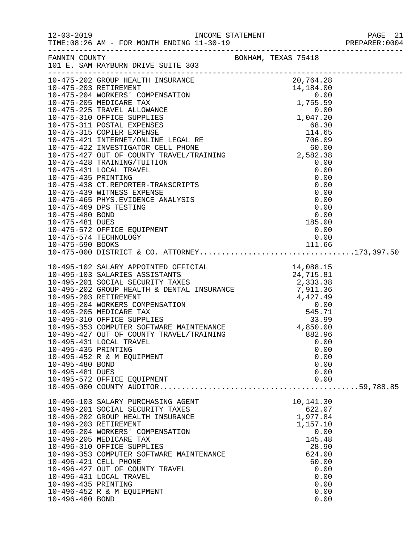| $12 - 03 - 2019$                                          | TIME: 08:26 AM - FOR MONTH ENDING 11-30-19                                                                                                                                                                                                                                                                                                                                                         |                                                                                                                                   |  |
|-----------------------------------------------------------|----------------------------------------------------------------------------------------------------------------------------------------------------------------------------------------------------------------------------------------------------------------------------------------------------------------------------------------------------------------------------------------------------|-----------------------------------------------------------------------------------------------------------------------------------|--|
| FANNIN COUNTY                                             | 101 E. SAM RAYBURN DRIVE SUITE 303                                                                                                                                                                                                                                                                                                                                                                 | BONHAM, TEXAS 75418                                                                                                               |  |
|                                                           | 10-475-574 TECHNOLOGY                                                                                                                                                                                                                                                                                                                                                                              | 0.00                                                                                                                              |  |
| 10-495-435 PRINTING<br>10-495-480 BOND<br>10-495-481 DUES | 10-495-431 LOCAL TRAVEL<br>10-495-452 R & M EQUIPMENT<br>10-495-572 OFFICE EQUIPMENT                                                                                                                                                                                                                                                                                                               | 0.00<br>0.00<br>0.00<br>0.00<br>0.00<br>0.00                                                                                      |  |
| 10-496-435 PRINTING<br>10-496-480 BOND                    | 10-496-103 SALARY PURCHASING AGENT<br>10-496-201 SOCIAL SECURITY TAXES<br>10-496-202 GROUP HEALTH INSURANCE<br>10-496-203 RETIREMENT<br>10-496-204 WORKERS' COMPENSATION<br>10-496-205 MEDICARE TAX<br>10-496-310 OFFICE SUPPLIES<br>10-496-353 COMPUTER SOFTWARE MAINTENANCE<br>10-496-421 CELL PHONE<br>10-496-427 OUT OF COUNTY TRAVEL<br>10-496-431 LOCAL TRAVEL<br>10-496-452 R & M EQUIPMENT | 10,141.30<br>622.07<br>1,977.84<br>1,157.10<br>0.00<br>145.48<br>28.90<br>624.00<br>60.00<br>0.00<br>0.00<br>0.00<br>0.00<br>0.00 |  |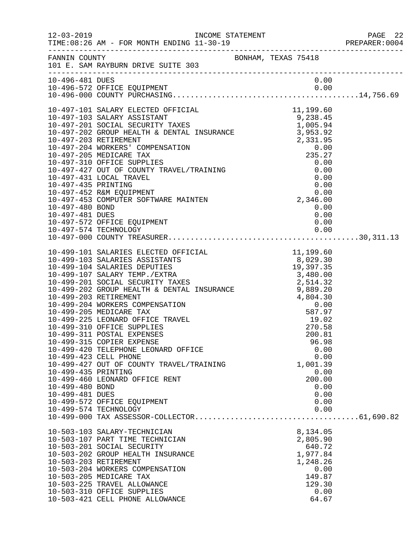|                                                                                    |                                                                                                                                                                                                                                                                                                                           |  |                                                                                     |                                                      | 22 PAGE<br>2004:PREPARER<br>PAGE 22 |
|------------------------------------------------------------------------------------|---------------------------------------------------------------------------------------------------------------------------------------------------------------------------------------------------------------------------------------------------------------------------------------------------------------------------|--|-------------------------------------------------------------------------------------|------------------------------------------------------|-------------------------------------|
|                                                                                    | FANNIN COUNTY<br>101 E. SAM RAYBURN DRIVE SUITE 303                                                                                                                                                                                                                                                                       |  |                                                                                     |                                                      |                                     |
| 10-496-481 DUES                                                                    |                                                                                                                                                                                                                                                                                                                           |  |                                                                                     | 0.00                                                 |                                     |
| 10-497-480 BOND<br>10-497-481 DUES                                                 | 10-497-572 OFFICE EQUIPMENT                                                                                                                                                                                                                                                                                               |  | 0.00                                                                                | 0.00<br>0.00                                         |                                     |
|                                                                                    | 10-497-574 TECHNOLOGY                                                                                                                                                                                                                                                                                                     |  |                                                                                     | 0.00                                                 |                                     |
| 10-499-423 CELL PHONE<br>10-499-435 PRINTING<br>10-499-480 BOND<br>10-499-481 DUES | 10-499-311 POSTAL EXPENSES<br>10-499-315 COPIER EXPENSE<br>10-499-420 TELEPHONE LEONARD OFFICE<br>10-499-427 OUT OF COUNTY TRAVEL/TRAINING<br>10-499-460 LEONARD OFFICE RENT<br>10-499-572 OFFICE EQUIPMENT<br>10-499-574 TECHNOLOGY                                                                                      |  | 200.81<br>96.98<br>1,001.39<br>200.00                                               | 0.00<br>0.00<br>0.00<br>0.00<br>0.00<br>0.00<br>0.00 |                                     |
|                                                                                    | 10-503-103 SALARY-TECHNICIAN<br>10-503-107 PART TIME TECHNICIAN<br>10-503-201 SOCIAL SECURITY<br>10-503-202 GROUP HEALTH INSURANCE<br>10-503-203 RETIREMENT<br>10-503-204 WORKERS COMPENSATION<br>10-503-205 MEDICARE TAX<br>10-503-225 TRAVEL ALLOWANCE<br>10-503-310 OFFICE SUPPLIES<br>10-503-421 CELL PHONE ALLOWANCE |  | 8,134.05<br>2,805.90<br>640.72<br>1,977.84<br>1,248.26<br>149.87<br>129.30<br>64.67 | 0.00<br>0.00                                         |                                     |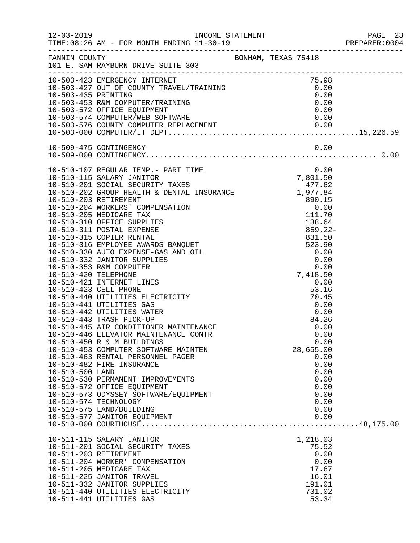|                 |                                                                                                                                                                                                                                              |  |                 | PAGE 23<br>PREPARER:0004<br>PAGE 23 |
|-----------------|----------------------------------------------------------------------------------------------------------------------------------------------------------------------------------------------------------------------------------------------|--|-----------------|-------------------------------------|
|                 | FANNIN COUNTY<br>101 E. SAM RAYBURN DRIVE SUITE 303                                                                                                                                                                                          |  |                 |                                     |
|                 | 10-503-423 EMERGENCY INTERNET<br>10-503-423 EMERGENCY INTERNET<br>10-503-427 OUT OF COUNTY TRAVEL/TRAINING<br>10-503-435 PRINTING<br>10-503-435 PRINTING<br>10-503-572 OFFICE EQUIPMENT<br>10-503-574 COMPUTER/WEB SOFTWARE<br>10-503-574 CO |  |                 |                                     |
|                 |                                                                                                                                                                                                                                              |  |                 |                                     |
|                 |                                                                                                                                                                                                                                              |  |                 |                                     |
|                 |                                                                                                                                                                                                                                              |  |                 |                                     |
|                 |                                                                                                                                                                                                                                              |  |                 |                                     |
|                 |                                                                                                                                                                                                                                              |  |                 |                                     |
|                 |                                                                                                                                                                                                                                              |  |                 |                                     |
|                 |                                                                                                                                                                                                                                              |  |                 |                                     |
|                 |                                                                                                                                                                                                                                              |  |                 |                                     |
|                 | 10-510-107 REGULAR TEMP.- PART TIME 0.00<br>10-510-115 SALARY JANITOR 7,801.50<br>10-510-201 SOCIAL SECURITY TAXES 477.62<br>10-510-202 GROUP HEALTH & DENTAL INSURANCE 1,977.84                                                             |  |                 |                                     |
|                 |                                                                                                                                                                                                                                              |  |                 |                                     |
|                 |                                                                                                                                                                                                                                              |  |                 |                                     |
|                 |                                                                                                                                                                                                                                              |  |                 |                                     |
|                 |                                                                                                                                                                                                                                              |  |                 |                                     |
|                 |                                                                                                                                                                                                                                              |  |                 |                                     |
|                 |                                                                                                                                                                                                                                              |  |                 |                                     |
|                 |                                                                                                                                                                                                                                              |  |                 |                                     |
|                 |                                                                                                                                                                                                                                              |  |                 |                                     |
|                 |                                                                                                                                                                                                                                              |  |                 |                                     |
|                 |                                                                                                                                                                                                                                              |  |                 |                                     |
|                 |                                                                                                                                                                                                                                              |  |                 |                                     |
|                 |                                                                                                                                                                                                                                              |  |                 |                                     |
|                 |                                                                                                                                                                                                                                              |  |                 |                                     |
|                 | 10-510-423 CELL PHONE<br>10-510-440 UTILITIES ELECTRICITY<br>10-510-441 UTILITIES GAS<br>10-510-442 UTILITIES WATER<br>10-510-442 UTILITIES WATER<br>10-510-442 TILITIES WATER<br>10-510-443 TRASH PICK-UP<br>10-510-445 AIR CONDITIONER MAI |  |                 |                                     |
|                 |                                                                                                                                                                                                                                              |  |                 |                                     |
|                 |                                                                                                                                                                                                                                              |  |                 |                                     |
|                 |                                                                                                                                                                                                                                              |  |                 |                                     |
|                 |                                                                                                                                                                                                                                              |  |                 |                                     |
|                 |                                                                                                                                                                                                                                              |  |                 |                                     |
|                 |                                                                                                                                                                                                                                              |  |                 |                                     |
|                 |                                                                                                                                                                                                                                              |  |                 |                                     |
|                 | 10-510-453 COMPUTER SOFTWARE MAINTEN                                                                                                                                                                                                         |  | 28,655.00       |                                     |
|                 | 10-510-463 RENTAL PERSONNEL PAGER                                                                                                                                                                                                            |  | 0.00            |                                     |
|                 | 10-510-482 FIRE INSURANCE                                                                                                                                                                                                                    |  | 0.00            |                                     |
| 10-510-500 LAND |                                                                                                                                                                                                                                              |  | 0.00            |                                     |
|                 | 10-510-530 PERMANENT IMPROVEMENTS                                                                                                                                                                                                            |  | 0.00            |                                     |
|                 | 10-510-572 OFFICE EQUIPMENT                                                                                                                                                                                                                  |  | 0.00            |                                     |
|                 | 10-510-573 ODYSSEY SOFTWARE/EQUIPMENT                                                                                                                                                                                                        |  | 0.00            |                                     |
|                 | 10-510-574 TECHNOLOGY                                                                                                                                                                                                                        |  | 0.00            |                                     |
|                 | 10-510-575 LAND/BUILDING                                                                                                                                                                                                                     |  | 0.00            |                                     |
|                 | 10-510-577 JANITOR EQUIPMENT                                                                                                                                                                                                                 |  | 0.00            |                                     |
|                 |                                                                                                                                                                                                                                              |  |                 |                                     |
|                 | 10-511-115 SALARY JANITOR                                                                                                                                                                                                                    |  | 1,218.03        |                                     |
|                 | 10-511-201 SOCIAL SECURITY TAXES                                                                                                                                                                                                             |  | 75.52           |                                     |
|                 | 10-511-203 RETIREMENT                                                                                                                                                                                                                        |  | 0.00            |                                     |
|                 | 10-511-204 WORKER' COMPENSATION                                                                                                                                                                                                              |  | 0.00            |                                     |
|                 | 10-511-205 MEDICARE TAX                                                                                                                                                                                                                      |  | 17.67           |                                     |
|                 | 10-511-225 JANITOR TRAVEL                                                                                                                                                                                                                    |  | 16.01           |                                     |
|                 | 10-511-332 JANITOR SUPPLIES                                                                                                                                                                                                                  |  | 191.01          |                                     |
|                 | 10-511-440 UTILITIES ELECTRICITY<br>10-511-441 UTILITIES GAS                                                                                                                                                                                 |  | 731.02<br>53.34 |                                     |
|                 |                                                                                                                                                                                                                                              |  |                 |                                     |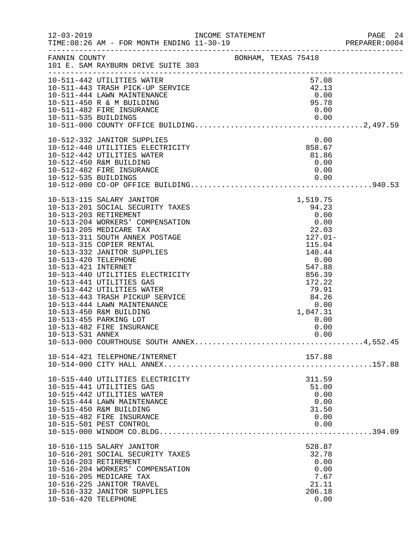|                                                                 |                                                                                                                                                                                                                                                                                                                                                                                                                                                                                                      |                                                                                                                                                                             |                                                            |              | PREPARER: 0004 |
|-----------------------------------------------------------------|------------------------------------------------------------------------------------------------------------------------------------------------------------------------------------------------------------------------------------------------------------------------------------------------------------------------------------------------------------------------------------------------------------------------------------------------------------------------------------------------------|-----------------------------------------------------------------------------------------------------------------------------------------------------------------------------|------------------------------------------------------------|--------------|----------------|
|                                                                 | FANNIN COUNTY<br>101 E. SAM RAYBURN DRIVE SUITE 303                                                                                                                                                                                                                                                                                                                                                                                                                                                  |                                                                                                                                                                             |                                                            |              |                |
|                                                                 | 10-511-442 UTILITIES WATER<br>10-511-443 TRASH PICK-UP SERVICE<br>10-511-444 LAWN MAINTENANCE<br>10-511-450 R & M BUILDING<br>10-511-482 FIRE INSURANCE                                                                                                                                                                                                                                                                                                                                              |                                                                                                                                                                             | 57.08<br>42.13<br>0.00<br>95.78<br>0.00                    |              |                |
|                                                                 | 10-512-332 JANITOR SUPPLIES<br>10-512-440 UTILITIES ELECTRICITY<br>10-512-442 UTILITIES WATER<br>10-512-450 R&M BUILDING<br>10-512-482 FIRE INSURANCE                                                                                                                                                                                                                                                                                                                                                |                                                                                                                                                                             | 0.00<br>858.67<br>81.86<br>0.00<br>0.00                    |              |                |
| 10-513-420 TELEPHONE<br>10-513-421 INTERNET<br>10-513-531 ANNEX | 10-513-115 SALARY JANITOR<br>10-513-201 SOCIAL SECURITY TAXES<br>10-513-203 RETIREMENT<br>10-513-204 WORKERS' COMPENSATION<br>10-513-205 MEDICARE TAX<br>10-513-311 SOUTH ANNEX POSTAGE<br>10-513-315 COPIER RENTAL<br>10-513-332 JANITOR SUPPLIES<br>10-513-440 UTILITIES ELECTRICITY<br>10-513-441 UTILITIES GAS<br>10-513-442 UTILITIES WATER<br>10-513-443 TRASH PICKUP SERVICE<br>10-513-444 LAWN MAINTENANCE<br>10-513-450 R&M BUILDING<br>10-513-455 PARKING LOT<br>10-513-482 FIRE INSURANCE | $0.00$<br>22.03<br>127.01<br>$\begin{array}{r} 12.1 \\ 115.04 \\ 140.44 \\ 0.00 \\ 547.88 \\ 856.39 \\ 172.22 \\ 79.91 \\ 84.26 \\ 0.00 \\ 1,047.31 \\ 0.01 \\ \end{array}$ | 1,519.75<br>94.23<br>0.00                                  | 0.00<br>0.00 |                |
|                                                                 | 10-514-421 TELEPHONE/INTERNET                                                                                                                                                                                                                                                                                                                                                                                                                                                                        |                                                                                                                                                                             | 157.88                                                     |              |                |
|                                                                 | 10-515-440 UTILITIES ELECTRICITY<br>10-515-441 UTILITIES GAS<br>10-515-442 UTILITIES WATER<br>10-515-444 LAWN MAINTENANCE<br>10-515-450 R&M BUILDING<br>10-515-482 FIRE INSURANCE<br>10-515-501 PEST CONTROL                                                                                                                                                                                                                                                                                         |                                                                                                                                                                             | 311.59<br>51.00<br>0.00<br>31.50<br>0.00<br>0.00           | 0.00         |                |
| 10-516-420 TELEPHONE                                            | 10-516-115 SALARY JANITOR<br>10-516-201 SOCIAL SECURITY TAXES<br>10-516-203 RETIREMENT<br>10-516-204 WORKERS' COMPENSATION<br>10-516-205 MEDICARE TAX<br>10-516-225 JANITOR TRAVEL<br>10-516-332 JANITOR SUPPLIES                                                                                                                                                                                                                                                                                    |                                                                                                                                                                             | 528.87<br>32.78<br>0.00<br>0.00<br>7.67<br>21.11<br>206.18 | 0.00         |                |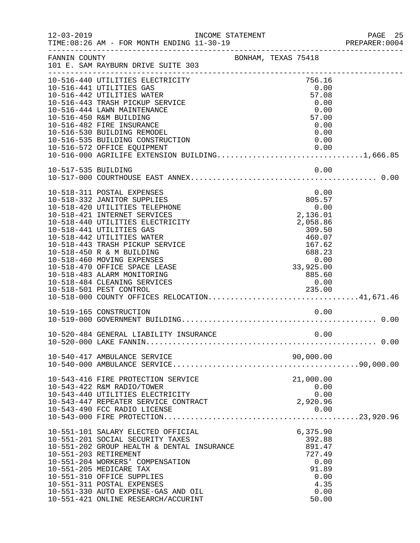|               |                                                                                 |                     |                   |                      |      | PREPARER: 0004 |
|---------------|---------------------------------------------------------------------------------|---------------------|-------------------|----------------------|------|----------------|
| FANNIN COUNTY | 101 E. SAM RAYBURN DRIVE SUITE 303                                              | BONHAM, TEXAS 75418 |                   |                      |      |                |
|               | 10-516-440 UTILITIES ELECTRICITY<br>10-516-441 UTILITIES GAS                    |                     |                   | 756.16<br>0.00       |      |                |
|               | 10-516-442 UTILITIES WATER                                                      |                     |                   | 57.08                |      |                |
|               | 10-516-443 TRASH PICKUP SERVICE                                                 |                     |                   | 0.00                 |      |                |
|               | 10-516-444 LAWN MAINTENANCE                                                     |                     |                   | 0.00                 |      |                |
|               | 10-516-450 R&M BUILDING<br>10-516-482 FIRE INSURANCE                            |                     |                   | 57.00<br>0.00        |      |                |
|               | 10-516-530 BUILDING REMODEL                                                     |                     |                   |                      | 0.00 |                |
|               | 10-516-535 BUILDING CONSTRUCTION                                                |                     |                   |                      | 0.00 |                |
|               | 10-516-572 OFFICE EQUIPMENT                                                     |                     |                   |                      | 0.00 |                |
|               | $10-516-000$ AGRILIFE EXTENSION BUILDING1,666.85                                |                     |                   |                      |      |                |
|               |                                                                                 |                     |                   |                      |      |                |
|               |                                                                                 |                     |                   |                      |      |                |
|               | 10-518-311 POSTAL EXPENSES                                                      |                     |                   |                      | 0.00 |                |
|               | 10-518-332 JANITOR SUPPLIES                                                     |                     |                   | 805.57               |      |                |
|               | 10-518-420 UTILITIES TELEPHONE                                                  |                     |                   |                      | 0.00 |                |
|               | 10-518-421 INTERNET SERVICES<br>10-518-440 UTILITIES ELECTRICITY                |                     |                   | 2,136.01<br>2,058.86 |      |                |
|               | 10-518-441 UTILITIES GAS                                                        |                     |                   | 309.50               |      |                |
|               | 10-518-442 UTILITIES WATER                                                      |                     |                   | 460.07               |      |                |
|               | 10-518-443 TRASH PICKUP SERVICE                                                 |                     |                   | 167.62               |      |                |
|               | 10-518-450 R & M BUILDING                                                       |                     |                   | 688.23               |      |                |
|               | 10-518-460 MOVING EXPENSES                                                      |                     |                   |                      |      |                |
|               | 10-518-470 OFFICE SPACE LEASE                                                   |                     | 0.00<br>33,925.00 |                      |      |                |
|               | 10-518-483 ALARM MONITORING                                                     |                     |                   | 885.60               |      |                |
|               | 10-518-484 CLEANING SERVICES                                                    |                     |                   | 0.00                 |      |                |
|               | 10-518-501 PEST CONTROL 235.00<br>10-518-000 COUNTY OFFICES RELOCATION41,671.46 |                     |                   |                      |      |                |
|               | 10-519-165 CONSTRUCTION                                                         |                     |                   |                      | 0.00 |                |
|               |                                                                                 |                     |                   |                      |      |                |
|               | 10-520-484 GENERAL LIABILITY INSURANCE                                          |                     |                   |                      | 0.00 |                |
|               |                                                                                 |                     |                   |                      |      |                |
|               |                                                                                 |                     |                   |                      |      |                |
|               |                                                                                 |                     |                   |                      |      |                |
|               | 10-543-416 FIRE PROTECTION SERVICE                                              |                     |                   | 21,000.00            |      |                |
|               | 10-543-422 R&M RADIO/TOWER                                                      |                     |                   |                      | 0.00 |                |
|               | 10-543-440 UTILITIES ELECTRICITY<br>10-543-447 REPEATER SERVICE CONTRACT        |                     |                   | 2,920.96             | 0.00 |                |
|               |                                                                                 |                     |                   |                      |      |                |
|               |                                                                                 |                     |                   |                      |      |                |
|               | 10-551-101 SALARY ELECTED OFFICIAL                                              |                     |                   | 6,375.90             |      |                |
|               | 10-551-201 SOCIAL SECURITY TAXES                                                |                     |                   | 392.88               |      |                |
|               | 10-551-202 GROUP HEALTH & DENTAL INSURANCE                                      |                     |                   | 891.47               |      |                |
|               | 10-551-203 RETIREMENT                                                           |                     |                   | 727.49               |      |                |
|               | 10-551-204 WORKERS' COMPENSATION                                                |                     |                   |                      | 0.00 |                |
|               | 10-551-205 MEDICARE TAX<br>10-551-310 OFFICE SUPPLIES                           |                     |                   | 91.89                | 0.00 |                |
|               | 10-551-311 POSTAL EXPENSES                                                      |                     |                   |                      | 4.35 |                |
|               | 10-551-330 AUTO EXPENSE-GAS AND OIL                                             |                     |                   |                      | 0.00 |                |
|               | 10-551-421 ONLINE RESEARCH/ACCURINT                                             |                     |                   | 50.00                |      |                |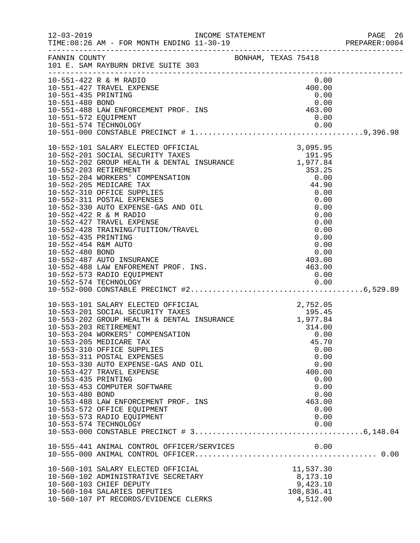|                                                                 |                                                                                                                                                                                                                                                                                                                                                                                                                                                                                                            |  |                                                                                                                     | 26 PAGE<br>2004:PREPARER<br>PAGE 26 |
|-----------------------------------------------------------------|------------------------------------------------------------------------------------------------------------------------------------------------------------------------------------------------------------------------------------------------------------------------------------------------------------------------------------------------------------------------------------------------------------------------------------------------------------------------------------------------------------|--|---------------------------------------------------------------------------------------------------------------------|-------------------------------------|
|                                                                 | FANNIN COUNTY BONHAM, TEXAS 75418<br>101 E. SAM RAYBURN DRIVE SUITE 303                                                                                                                                                                                                                                                                                                                                                                                                                                    |  |                                                                                                                     |                                     |
|                                                                 | 10-551-422 R & M RADIO<br>10-551-427 TRAVEL EXPENSE<br>10-551-435 PRINTING<br>10-551-480 BOND<br>10-551-488 LAW ENFORCEMENT PROF. INS<br>10-551-572 EQUIPMENT<br>10-551-574 TECHNOLOGY<br>10-551-574 TECHNOLOGY<br>0.00<br>0.00                                                                                                                                                                                                                                                                            |  | 0.00<br>400.00                                                                                                      |                                     |
|                                                                 |                                                                                                                                                                                                                                                                                                                                                                                                                                                                                                            |  |                                                                                                                     |                                     |
| 10-553-203 RETIREMENT<br>10-553-435 PRINTING<br>10-553-480 BOND | 10-553-101 SALARY ELECTED OFFICIAL 2,752.05<br>10-553-201 SOCIAL SECURITY TAXES 195.45<br>10-553-202 GROUP HEALTH & DENTAL INSURANCE 1,977.84<br>10-553-204 WORKERS' COMPENSATION<br>10-553-205 MEDICARE TAX<br>10-553-310 OFFICE SUPPLIES<br>10-553-311 POSTAL EXPENSES<br>10-553-330 AUTO EXPENSE-GAS AND OIL<br>10-553-427 TRAVEL EXPENSE<br>10-553-453 COMPUTER SOFTWARE<br>10-553-488 LAW ENFORCEMENT PROF. INS<br>10-553-572 OFFICE EQUIPMENT<br>10-553-573 RADIO EQUIPMENT<br>10-553-574 TECHNOLOGY |  | 314.00<br>0.00<br>45.70<br>0.00<br>0.00<br>0.00<br>400.00<br>0.00<br>0.00<br>0.00<br>463.00<br>0.00<br>0.00<br>0.00 |                                     |
|                                                                 |                                                                                                                                                                                                                                                                                                                                                                                                                                                                                                            |  |                                                                                                                     |                                     |
|                                                                 | 10-560-101 SALARY ELECTED OFFICIAL<br>10-560-102 ADMINISTRATIVE SECRETARY<br>10-560-103 CHIEF DEPUTY<br>10-560-104 SALARIES DEPUTIES<br>10-560-107 PT RECORDS/EVIDENCE CLERKS                                                                                                                                                                                                                                                                                                                              |  | 11,537.30<br>8,173.10<br>9,423.10<br>108,836.41<br>4,512.00                                                         |                                     |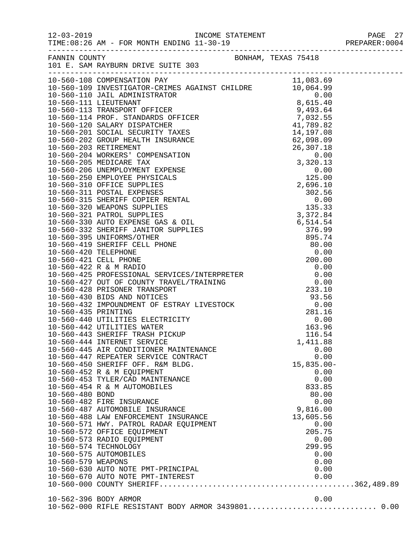|                    | 10-560-444 INTERNET SERVICE                                                                          | 1,411.88       |  |
|--------------------|------------------------------------------------------------------------------------------------------|----------------|--|
|                    | 10-560-445 AIR CONDITIONER MAINTENANCE<br>10-560-447 REPEATER SERVICE CONTRACT                       | 0.00<br>0.00   |  |
|                    | 10-560-450 SHERIFF OFF. R&M BLDG.                                                                    | $15,835.00-$   |  |
|                    | 10-560-452 R & M EQUIPMENT                                                                           | 0.00           |  |
|                    | 10-560-453 TYLER/CAD MAINTENANCE                                                                     | 0.00           |  |
|                    | 10-560-454 R & M AUTOMOBILES                                                                         | 833.85         |  |
| 10-560-480 BOND    |                                                                                                      | 80.00          |  |
|                    | 10-560-482 FIRE INSURANCE                                                                            | 0.00           |  |
|                    | 10-560-487 AUTOMOBILE INSURANCE                                                                      | 9,816.00       |  |
|                    | 10-560-488 LAW ENFORCEMENT INSURANCE<br>10-560-571 HWY. PATROL RADAR EQUIPMENT                       | 13,605.56      |  |
|                    | 10-560-572 OFFICE EQUIPMENT                                                                          | 0.00<br>205.75 |  |
|                    | 10-560-573 RADIO EQUIPMENT                                                                           | 0.00           |  |
|                    | 10-560-574 TECHNOLOGY                                                                                | 299.95         |  |
|                    | 10-560-575 AUTOMOBILES                                                                               | 0.00           |  |
| 10-560-579 WEAPONS |                                                                                                      | 0.00           |  |
|                    |                                                                                                      | 0.00           |  |
|                    | 10-560-630 AUTO NOTE PMT-PRINCIPAL<br>10-560-670 AUTO NOTE PMT-INTEREST<br>10-560-000 COUNTY SUPRITE | 0.00           |  |
|                    |                                                                                                      |                |  |
|                    | 10-562-396 BODY ARMOR                                                                                | 0.00           |  |
|                    | 10-562-000 RIFLE RESISTANT BODY ARMOR 3439801 0.00                                                   |                |  |
|                    |                                                                                                      |                |  |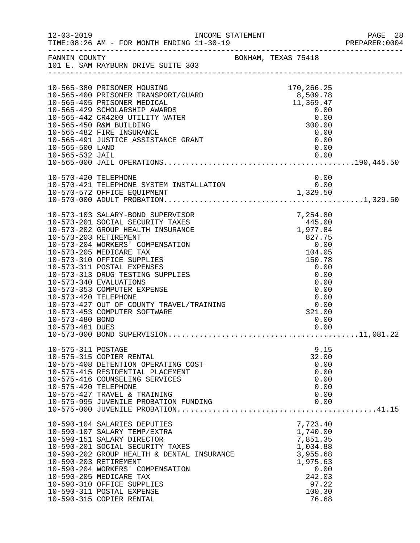| $12 - 03 - 2019$                        | INCOME STATEMENT                                                                                                                                                                                                                                                                                                                                                                                                                        |                                                                                                                                          | PAGE 28<br>PREPARER: 0004 |
|-----------------------------------------|-----------------------------------------------------------------------------------------------------------------------------------------------------------------------------------------------------------------------------------------------------------------------------------------------------------------------------------------------------------------------------------------------------------------------------------------|------------------------------------------------------------------------------------------------------------------------------------------|---------------------------|
|                                         | FANNIN COUNTY<br>101 E. SAM RAYBURN DRIVE SUITE 303                                                                                                                                                                                                                                                                                                                                                                                     |                                                                                                                                          |                           |
| 10-565-500 LAND<br>10-565-532 JAIL      | 10-565-380 PRISONER HOUSING<br>10-565-400 PRISONER TRANSPORT/GUARD<br>10-565-405 PRISONER MEDICAL<br>10-565-429 SCHOLARSHIP AWARDS<br>10-565-442 CR4200 UTILITY WATER<br>10-565-450 R&M BUILDING<br>10-565-482 FIRE INSURANCE<br>10-565-491 JUSTICE ASSISTANCE GRANT                                                                                                                                                                    | 170,266.25<br>8,509.78<br>11,369.47<br>0.00<br>0.00<br>300.00<br>0.00<br>0.00<br>0.00<br>0.00                                            |                           |
| 10-570-420 TELEPHONE                    |                                                                                                                                                                                                                                                                                                                                                                                                                                         | 0.00                                                                                                                                     |                           |
| 10-573-420 TELEPHONE<br>10-573-480 BOND | 10-573-103 SALARY-BOND SUPERVISOR<br>10-573-201 SOCIAL SECURITY TAXES<br>10-573-202 GROUP HEALTH INSURANCE<br>10-573-203 RETIREMENT<br>10-573-204 WORKERS' COMPENSATION<br>10-573-205 MEDICARE TAX<br>10-573-310 OFFICE SUPPLIES<br>10-573-311 POSTAL EXPENSES<br>10-573-313 DRUG TESTING SUPPLIES<br>10-573-340 EVALUATIONS<br>10-573-353 COMPUTER EXPENSE<br>10-573-427 OUT OF COUNTY TRAVEL/TRAINING<br>10-573-453 COMPUTER SOFTWARE | 7, 254.80<br>445.00<br>1, 977.84<br>827.75<br>0.00<br>104.05<br>150.78<br>0.00<br>0.00<br>0.00<br>0.00<br>0.00<br>0.00<br>321.00<br>0.00 |                           |
| 10-575-311 POSTAGE                      | 10-575-315 COPIER RENTAL<br>10-575-408 DETENTION OPERATING COST<br>10-575-415 RESIDENTIAL PLACEMENT<br>10-575-416 COUNSELING SERVICES<br>10-575-427 TRAVEL & TRAINING<br>10-575-995 JUVENILE PROBATION FUNDING<br>10-575-000 JUVENILE PROBATION FUNDING                                                                                                                                                                                 | 9.15<br>32.00<br>0.00<br>0.00<br>0.00<br>0.00<br>0.00<br>0.00                                                                            |                           |
|                                         | 10-590-104 SALARIES DEPUTIES<br>10-590-107 SALARY TEMP/EXTRA<br>10-590-151 SALARY DIRECTOR<br>10-590-201 SOCIAL SECURITY TAXES<br>10-590-202 GROUP HEALTH & DENTAL INSURANCE<br>10-590-203 RETIREMENT<br>10-590-204 WORKERS' COMPENSATION<br>10-590-205 MEDICARE TAX<br>10-590-310 OFFICE SUPPLIES<br>10-590-311 POSTAL EXPENSE<br>10-590-315 COPIER RENTAL                                                                             | 7,723.40<br>1,740.00<br>7,851.35<br>1,034.88<br>3,955.68<br>1,975.63<br>0.00<br>242.03<br>97.22<br>100.30<br>76.68                       |                           |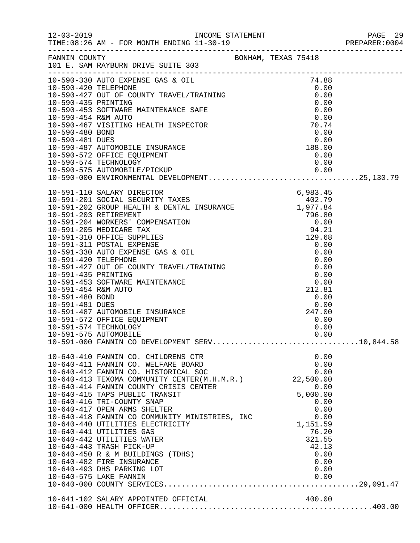|                                                                                                                                                                                                                                                                                                                                                                          |  |                 |              | PREPARER: 0004 |
|--------------------------------------------------------------------------------------------------------------------------------------------------------------------------------------------------------------------------------------------------------------------------------------------------------------------------------------------------------------------------|--|-----------------|--------------|----------------|
|                                                                                                                                                                                                                                                                                                                                                                          |  |                 |              |                |
|                                                                                                                                                                                                                                                                                                                                                                          |  |                 |              |                |
|                                                                                                                                                                                                                                                                                                                                                                          |  |                 |              |                |
|                                                                                                                                                                                                                                                                                                                                                                          |  |                 |              |                |
|                                                                                                                                                                                                                                                                                                                                                                          |  |                 |              |                |
|                                                                                                                                                                                                                                                                                                                                                                          |  |                 |              |                |
|                                                                                                                                                                                                                                                                                                                                                                          |  |                 |              |                |
|                                                                                                                                                                                                                                                                                                                                                                          |  |                 |              |                |
|                                                                                                                                                                                                                                                                                                                                                                          |  |                 |              |                |
|                                                                                                                                                                                                                                                                                                                                                                          |  |                 |              |                |
|                                                                                                                                                                                                                                                                                                                                                                          |  |                 |              |                |
|                                                                                                                                                                                                                                                                                                                                                                          |  |                 |              |                |
|                                                                                                                                                                                                                                                                                                                                                                          |  |                 |              |                |
| $10-591-201\,\text{SOLALARY DIRECTOR}\,\text{6,983.45}\\ 10-591-201\,\text{SOCIALARY DIRECTOR}\,\text{6,983.45}\\ 10-591-202\,\text{GROUD HEALTH & DENTAL INSURANCE}\,\text{402.79}\\ 10-591-202\,\text{RROUD HEALTH & DENTAL INSURANCE}\,\text{796.80}\\ 10-591-203\,\text{RETIREMENT}\,\text{796.80}\\ 10-591-204\,\text{WOKKERS'}\,\text{COMPENSATION}\,\text{796.80$ |  |                 |              |                |
|                                                                                                                                                                                                                                                                                                                                                                          |  |                 |              |                |
|                                                                                                                                                                                                                                                                                                                                                                          |  |                 |              |                |
|                                                                                                                                                                                                                                                                                                                                                                          |  |                 |              |                |
|                                                                                                                                                                                                                                                                                                                                                                          |  |                 |              |                |
|                                                                                                                                                                                                                                                                                                                                                                          |  |                 |              |                |
|                                                                                                                                                                                                                                                                                                                                                                          |  |                 |              |                |
|                                                                                                                                                                                                                                                                                                                                                                          |  |                 |              |                |
|                                                                                                                                                                                                                                                                                                                                                                          |  |                 |              |                |
|                                                                                                                                                                                                                                                                                                                                                                          |  |                 |              |                |
|                                                                                                                                                                                                                                                                                                                                                                          |  |                 |              |                |
|                                                                                                                                                                                                                                                                                                                                                                          |  |                 |              |                |
|                                                                                                                                                                                                                                                                                                                                                                          |  |                 |              |                |
|                                                                                                                                                                                                                                                                                                                                                                          |  |                 |              |                |
|                                                                                                                                                                                                                                                                                                                                                                          |  |                 |              |                |
| 10-591-572 OFFICE EQUIPMENT                                                                                                                                                                                                                                                                                                                                              |  |                 | 0.00         |                |
| 10-591-574 TECHNOLOGY                                                                                                                                                                                                                                                                                                                                                    |  |                 | 0.00         |                |
| 10-591-575 AUTOMOBILE                                                                                                                                                                                                                                                                                                                                                    |  |                 | 0.00         |                |
| 10-591-000 FANNIN CO DEVELOPMENT SERV10,844.58                                                                                                                                                                                                                                                                                                                           |  |                 |              |                |
| 10-640-410 FANNIN CO. CHILDRENS CTR                                                                                                                                                                                                                                                                                                                                      |  |                 | 0.00         |                |
| 10-640-411 FANNIN CO. WELFARE BOARD<br>10-640-412 FANNIN CO. HISTORICAL SOC                                                                                                                                                                                                                                                                                              |  |                 | 0.00<br>0.00 |                |
| 10-640-413 TEXOMA COMMUNITY CENTER(M.H.M.R.) 22,500.00                                                                                                                                                                                                                                                                                                                   |  |                 |              |                |
| 10-640-414 FANNIN COUNTY CRISIS CENTER                                                                                                                                                                                                                                                                                                                                   |  |                 | 0.00         |                |
| 10-640-415 TAPS PUBLIC TRANSIT                                                                                                                                                                                                                                                                                                                                           |  | 5,000.00        |              |                |
| 10-640-416 TRI-COUNTY SNAP                                                                                                                                                                                                                                                                                                                                               |  |                 | 0.00         |                |
| 10-640-417 OPEN ARMS SHELTER                                                                                                                                                                                                                                                                                                                                             |  |                 | 0.00         |                |
| 10-640-418 FANNIN CO COMMUNITY MINISTRIES, INC                                                                                                                                                                                                                                                                                                                           |  |                 | 0.00         |                |
| 10-640-440 UTILITIES ELECTRICITY                                                                                                                                                                                                                                                                                                                                         |  | 1,151.59        |              |                |
| 10-640-441 UTILITIES GAS<br>10-640-442 UTILITIES WATER                                                                                                                                                                                                                                                                                                                   |  | 76.20<br>321.55 |              |                |
| 10-640-443 TRASH PICK-UP                                                                                                                                                                                                                                                                                                                                                 |  | 42.13           |              |                |
| 10-640-450 R & M BUILDINGS (TDHS)                                                                                                                                                                                                                                                                                                                                        |  |                 | 0.00         |                |
| 10-640-482 FIRE INSURANCE                                                                                                                                                                                                                                                                                                                                                |  |                 | 0.00         |                |
| 10-640-493 DHS PARKING LOT                                                                                                                                                                                                                                                                                                                                               |  |                 | 0.00         |                |
|                                                                                                                                                                                                                                                                                                                                                                          |  |                 |              |                |
|                                                                                                                                                                                                                                                                                                                                                                          |  |                 |              |                |
| 10-641-102 SALARY APPOINTED OFFICIAL                                                                                                                                                                                                                                                                                                                                     |  | 400.00          |              |                |
|                                                                                                                                                                                                                                                                                                                                                                          |  |                 |              |                |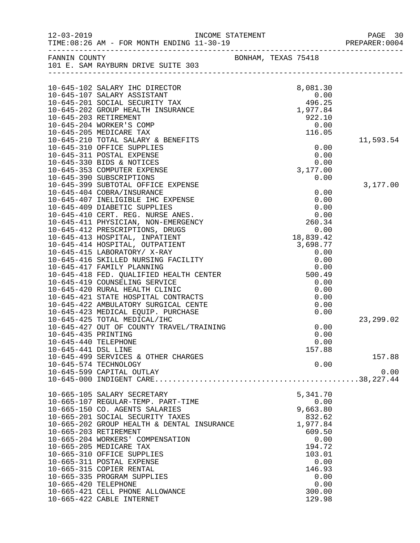| $12 - 03 - 2019$     | TIME: 08:26 AM - FOR MONTH ENDING 11-30-19                                                                                                                                                                                                                                                                                                                                                                                                                                                    | INCOME STATEMENT |                     |              | PAGE 30<br>PREPARER: 0004 |
|----------------------|-----------------------------------------------------------------------------------------------------------------------------------------------------------------------------------------------------------------------------------------------------------------------------------------------------------------------------------------------------------------------------------------------------------------------------------------------------------------------------------------------|------------------|---------------------|--------------|---------------------------|
| FANNIN COUNTY        |                                                                                                                                                                                                                                                                                                                                                                                                                                                                                               |                  | BONHAM, TEXAS 75418 |              |                           |
|                      | 101 E. SAM RAYBURN DRIVE SUITE 303                                                                                                                                                                                                                                                                                                                                                                                                                                                            |                  |                     |              |                           |
|                      |                                                                                                                                                                                                                                                                                                                                                                                                                                                                                               |                  |                     |              |                           |
|                      |                                                                                                                                                                                                                                                                                                                                                                                                                                                                                               |                  |                     |              |                           |
|                      | 10-645-102 SALARY IHC DIRECTOR                                                                                                                                                                                                                                                                                                                                                                                                                                                                |                  |                     | 8,081.30     |                           |
|                      | 10-645-107 SALARY ASSISTANT                                                                                                                                                                                                                                                                                                                                                                                                                                                                   |                  |                     | 0.00         |                           |
|                      | 10-645-201 SOCIAL SECURITY TAX 496.25<br>10-645-202 GROUP HEALTH INSURANCE 1.977.84                                                                                                                                                                                                                                                                                                                                                                                                           |                  |                     |              |                           |
|                      |                                                                                                                                                                                                                                                                                                                                                                                                                                                                                               |                  |                     |              |                           |
|                      | 10-645-203 RETIREMENT                                                                                                                                                                                                                                                                                                                                                                                                                                                                         |                  |                     | 922.10       |                           |
|                      | 10-645-204 WORKER'S COMP                                                                                                                                                                                                                                                                                                                                                                                                                                                                      |                  |                     | 0.00         |                           |
|                      | 10-645-205 MEDICARE TAX                                                                                                                                                                                                                                                                                                                                                                                                                                                                       |                  |                     | 116.05       |                           |
|                      | 10-645-210 TOTAL SALARY & BENEFITS                                                                                                                                                                                                                                                                                                                                                                                                                                                            |                  |                     |              | 11,593.54                 |
|                      | 10-645-310 OFFICE SUPPLIES<br>10-645-311 POSTAL EXPENSE                                                                                                                                                                                                                                                                                                                                                                                                                                       |                  |                     | 0.00<br>0.00 |                           |
|                      | 10-645-330 BIDS & NOTICES                                                                                                                                                                                                                                                                                                                                                                                                                                                                     |                  |                     | 0.00         |                           |
|                      | 10-645-353 COMPUTER EXPENSE                                                                                                                                                                                                                                                                                                                                                                                                                                                                   |                  |                     | 3,177.00     |                           |
|                      | 10-645-390 SUBSCRIPTIONS                                                                                                                                                                                                                                                                                                                                                                                                                                                                      |                  |                     | 0.00         |                           |
|                      | 10-645-399 SUBTOTAL OFFICE EXPENSE                                                                                                                                                                                                                                                                                                                                                                                                                                                            |                  |                     |              | 3,177.00                  |
|                      |                                                                                                                                                                                                                                                                                                                                                                                                                                                                                               |                  |                     | 0.00         |                           |
|                      |                                                                                                                                                                                                                                                                                                                                                                                                                                                                                               |                  |                     | 0.00         |                           |
|                      |                                                                                                                                                                                                                                                                                                                                                                                                                                                                                               |                  |                     | 0.00         |                           |
|                      |                                                                                                                                                                                                                                                                                                                                                                                                                                                                                               |                  |                     | 0.00         |                           |
|                      |                                                                                                                                                                                                                                                                                                                                                                                                                                                                                               |                  |                     | 260.34       |                           |
|                      |                                                                                                                                                                                                                                                                                                                                                                                                                                                                                               |                  |                     | 0.00         |                           |
|                      |                                                                                                                                                                                                                                                                                                                                                                                                                                                                                               |                  |                     | 18,839.42    |                           |
|                      |                                                                                                                                                                                                                                                                                                                                                                                                                                                                                               |                  |                     | 3,698.77     |                           |
|                      |                                                                                                                                                                                                                                                                                                                                                                                                                                                                                               |                  |                     | 0.00         |                           |
|                      |                                                                                                                                                                                                                                                                                                                                                                                                                                                                                               |                  |                     | 0.00         |                           |
|                      |                                                                                                                                                                                                                                                                                                                                                                                                                                                                                               |                  |                     | 0.00         |                           |
|                      | IO-645-410 CERT. REG. NURSE ANES.<br>10-645-410 CERT. REG. NURSE ANES.<br>10-645-411 PHYSICIAN, NON-EMERGENCY<br>10-645-412 PRESCRIPTIONS, DRUGS<br>10-645-413 HOSPITAL, INPATIENT<br>10-645-414 HOSPITAL, OUTPATIENT<br>0-645-415 LABORAT<br>10-645-416 SKILLED NURSING FACILITY<br>10-645-417 FAMILY PLANNING<br>10-645-418 FED. QUALIFIED HEALTH CENTER<br>10-645-419 COUNSELING SERVICE<br>10-645-420 RURAL HEALTH CLINIC<br>10-645-421 STATE HOSPITAL CONTRACTS<br>10-645-422 AMBULATORY |                  |                     | 500.49       |                           |
|                      |                                                                                                                                                                                                                                                                                                                                                                                                                                                                                               |                  |                     | 0.00         |                           |
|                      |                                                                                                                                                                                                                                                                                                                                                                                                                                                                                               |                  |                     | 0.00         |                           |
|                      |                                                                                                                                                                                                                                                                                                                                                                                                                                                                                               |                  |                     | 0.00         |                           |
|                      |                                                                                                                                                                                                                                                                                                                                                                                                                                                                                               |                  |                     | 0.00         |                           |
|                      |                                                                                                                                                                                                                                                                                                                                                                                                                                                                                               |                  |                     | 0.00         |                           |
|                      |                                                                                                                                                                                                                                                                                                                                                                                                                                                                                               |                  |                     |              | 23, 299.02                |
|                      | 10-645-427 OUT OF COUNTY TRAVEL/TRAINING                                                                                                                                                                                                                                                                                                                                                                                                                                                      |                  |                     | 0.00         |                           |
| 10-645-435 PRINTING  |                                                                                                                                                                                                                                                                                                                                                                                                                                                                                               |                  |                     | 0.00         |                           |
| 10-645-440 TELEPHONE |                                                                                                                                                                                                                                                                                                                                                                                                                                                                                               |                  |                     | 0.00         |                           |
| 10-645-441 DSL LINE  |                                                                                                                                                                                                                                                                                                                                                                                                                                                                                               |                  |                     | 157.88       |                           |
|                      | 10-645-499 SERVICES & OTHER CHARGES                                                                                                                                                                                                                                                                                                                                                                                                                                                           |                  |                     |              | 157.88                    |
|                      | 10-645-574 TECHNOLOGY                                                                                                                                                                                                                                                                                                                                                                                                                                                                         |                  |                     | 0.00         |                           |
|                      | 10-645-599 CAPITAL OUTLAY                                                                                                                                                                                                                                                                                                                                                                                                                                                                     |                  |                     |              | 0.00                      |
|                      |                                                                                                                                                                                                                                                                                                                                                                                                                                                                                               |                  |                     |              |                           |
|                      | 10-665-105 SALARY SECRETARY                                                                                                                                                                                                                                                                                                                                                                                                                                                                   |                  |                     | 5,341.70     |                           |
|                      | 10-665-107 REGULAR-TEMP. PART-TIME                                                                                                                                                                                                                                                                                                                                                                                                                                                            |                  |                     | 0.00         |                           |
|                      | 10-665-150 CO. AGENTS SALARIES                                                                                                                                                                                                                                                                                                                                                                                                                                                                |                  |                     | 9,663.80     |                           |
|                      | 10-665-201 SOCIAL SECURITY TAXES                                                                                                                                                                                                                                                                                                                                                                                                                                                              |                  |                     | 832.62       |                           |
|                      | 10-665-202 GROUP HEALTH & DENTAL INSURANCE                                                                                                                                                                                                                                                                                                                                                                                                                                                    |                  |                     | 1,977.84     |                           |
|                      | 10-665-203 RETIREMENT                                                                                                                                                                                                                                                                                                                                                                                                                                                                         |                  |                     | 609.50       |                           |
|                      | 10-665-204 WORKERS' COMPENSATION                                                                                                                                                                                                                                                                                                                                                                                                                                                              |                  |                     | 0.00         |                           |
|                      | 10-665-205 MEDICARE TAX                                                                                                                                                                                                                                                                                                                                                                                                                                                                       |                  |                     | 194.72       |                           |
|                      | 10-665-310 OFFICE SUPPLIES                                                                                                                                                                                                                                                                                                                                                                                                                                                                    |                  |                     | 103.01       |                           |
|                      | 10-665-311 POSTAL EXPENSE                                                                                                                                                                                                                                                                                                                                                                                                                                                                     |                  |                     | 0.00         |                           |
|                      | 10-665-315 COPIER RENTAL                                                                                                                                                                                                                                                                                                                                                                                                                                                                      |                  |                     | 146.93       |                           |
|                      | 10-665-335 PROGRAM SUPPLIES                                                                                                                                                                                                                                                                                                                                                                                                                                                                   |                  |                     | 0.00         |                           |
| 10-665-420 TELEPHONE |                                                                                                                                                                                                                                                                                                                                                                                                                                                                                               |                  |                     | 0.00         |                           |
|                      | 10-665-421 CELL PHONE ALLOWANCE                                                                                                                                                                                                                                                                                                                                                                                                                                                               |                  |                     | 300.00       |                           |
|                      | 10-665-422 CABLE INTERNET                                                                                                                                                                                                                                                                                                                                                                                                                                                                     |                  |                     | 129.98       |                           |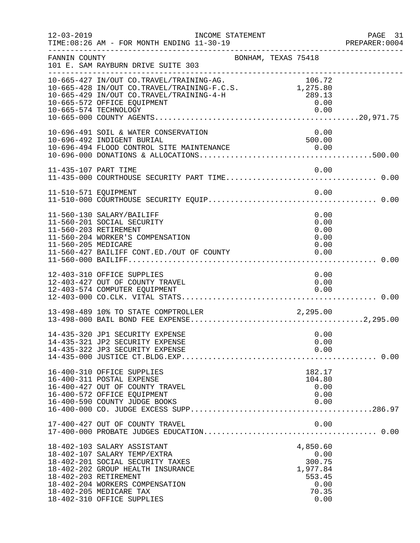| $12 - 03 - 2019$                             | INCOME STATEMENT<br>TIME: 08:26 AM - FOR MONTH ENDING 11-30-19                                                                                                                                                                                            |  |                                                   |                                      | PAGE 31<br>PREPARER:0004 |
|----------------------------------------------|-----------------------------------------------------------------------------------------------------------------------------------------------------------------------------------------------------------------------------------------------------------|--|---------------------------------------------------|--------------------------------------|--------------------------|
| FANNIN COUNTY                                | BONHAM, TEXAS 75418<br>101 E. SAM RAYBURN DRIVE SUITE 303<br>-----------------------                                                                                                                                                                      |  |                                                   |                                      |                          |
|                                              | 10-665-427 IN/OUT CO.TRAVEL/TRAINING-AG. 106.72<br>10-665-428 IN/OUT CO.TRAVEL/TRAINING-F.C.S. 1,275.80<br>10-665-429 IN/OUT CO.TRAVEL/TRAINING-4-H<br>289.13<br>10-665-572 OFFICE EQUIPMENT                                                              |  | 0.00                                              |                                      |                          |
|                                              | 10-696-491 SOIL & WATER CONSERVATION<br>10-696-492 INDIGENT BURIAL                                                                                                                                                                                        |  | 0.00<br>500.00                                    |                                      |                          |
|                                              |                                                                                                                                                                                                                                                           |  |                                                   |                                      |                          |
|                                              |                                                                                                                                                                                                                                                           |  |                                                   |                                      |                          |
| 11-560-203 RETIREMENT<br>11-560-205 MEDICARE | 11-560-130 SALARY/BAILIFF<br>11-560-201 SOCIAL SECURITY<br>11-560-204 WORKER'S COMPENSATION<br>11-560-427 BAILIFF CONT.ED./OUT OF COUNTY                                                                                                                  |  | 0.00                                              | 0.00<br>0.00<br>0.00<br>0.00<br>0.00 |                          |
|                                              | 12-403-310 OFFICE SUPPLIES<br>12-403-427 OUT OF COUNTY TRAVEL<br>12-403-574 COMPUTER EQUIPMENT                                                                                                                                                            |  |                                                   | 0.00<br>0.00<br>0.00                 |                          |
|                                              |                                                                                                                                                                                                                                                           |  |                                                   |                                      |                          |
|                                              | 14-435-320 JP1 SECURITY EXPENSE<br>14-435-321 JP2 SECURITY EXPENSE<br>14-435-322 JP3 SECURITY EXPENSE                                                                                                                                                     |  |                                                   | 0.00<br>0.00<br>0.00                 |                          |
|                                              | 16-400-310 OFFICE SUPPLIES<br>16-400-311 POSTAL EXPENSE<br>16-400-427 OUT OF COUNTY TRAVEL<br>16-400-572 OFFICE EQUIPMENT<br>16-400-590 COUNTY JUDGE BOOKS                                                                                                |  | 182.17<br>104.80                                  | 0.00<br>0.00<br>0.00                 |                          |
|                                              | 17-400-427 OUT OF COUNTY TRAVEL                                                                                                                                                                                                                           |  |                                                   | 0.00                                 |                          |
|                                              | 18-402-103 SALARY ASSISTANT<br>18-402-107 SALARY TEMP/EXTRA<br>18-402-201 SOCIAL SECURITY TAXES<br>18-402-202 GROUP HEALTH INSURANCE<br>18-402-203 RETIREMENT<br>18-402-204 WORKERS COMPENSATION<br>18-402-205 MEDICARE TAX<br>18-402-310 OFFICE SUPPLIES |  | 4,850.60<br>300.75<br>1,977.84<br>553.45<br>70.35 | 0.00<br>0.00<br>0.00                 |                          |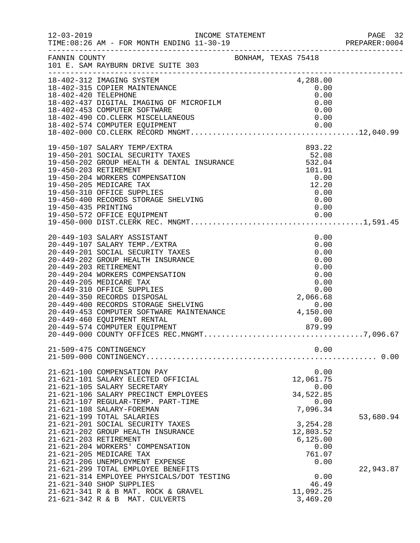|                       |                                                                                                                                                                                                                                                                                                                                                                                                                                                                                                        |  |                                                                                                                                    | PAGE 32<br>PREPARER:0004 |
|-----------------------|--------------------------------------------------------------------------------------------------------------------------------------------------------------------------------------------------------------------------------------------------------------------------------------------------------------------------------------------------------------------------------------------------------------------------------------------------------------------------------------------------------|--|------------------------------------------------------------------------------------------------------------------------------------|--------------------------|
|                       | FANNIN COUNTY BONHAM, TEXAS 75418<br>101 E. SAM RAYBURN DRIVE SUITE 303                                                                                                                                                                                                                                                                                                                                                                                                                                |  |                                                                                                                                    |                          |
|                       | 18-402-312 IMAGING SYSTEM<br>18-402-312 IMAGING SYSTEM<br>18-402-315 COPIER MAINTENANCE<br>18-402-420 TELEPHONE<br>18-402-437 DIGITAL IMAGING OF MICROFILM<br>18-402-437 DIGITAL IMAGING OF MICROFILM<br>18-402-433 COMPUTER SOFTWARE<br>18-                                                                                                                                                                                                                                                           |  |                                                                                                                                    |                          |
|                       |                                                                                                                                                                                                                                                                                                                                                                                                                                                                                                        |  |                                                                                                                                    |                          |
|                       | 20-449-103 SALARY ASSISTANT                                                                                                                                                                                                                                                                                                                                                                                                                                                                            |  | 0.00                                                                                                                               |                          |
|                       | 21-509-475 CONTINGENCY                                                                                                                                                                                                                                                                                                                                                                                                                                                                                 |  | 0.00                                                                                                                               | . 0.00                   |
| 21-621-203 RETIREMENT | 21-621-100 COMPENSATION PAY<br>21-621-101 SALARY ELECTED OFFICIAL<br>21-621-105 SALARY SECRETARY<br>21-621-106 SALARY PRECINCT EMPLOYEES<br>21-621-107 REGULAR-TEMP. PART-TIME<br>21-621-108 SALARY-FOREMAN<br>21-621-199 TOTAL SALARIES<br>21-621-201 SOCIAL SECURITY TAXES<br>21-621-202 GROUP HEALTH INSURANCE<br>21-621-204 WORKERS' COMPENSATION<br>21-621-205 MEDICARE TAX<br>21-621-206 UNEMPLOYMENT EXPENSE<br>21-621-299 TOTAL EMPLOYEE BENEFITS<br>21-621-314 EMPLOYEE PHYSICALS/DOT TESTING |  | 0.00<br>12,061.75<br>0.00<br>34,522.85<br>0.00<br>7,096.34<br>3,254.28<br>12,803.52<br>6, 125.00<br>0.00<br>761.07<br>0.00<br>0.00 | 53,680.94<br>22,943.87   |
|                       | 21-621-340 SHOP SUPPLIES<br>21-621-341 R & B MAT. ROCK & GRAVEL<br>21-621-342 R & B MAT. CULVERTS                                                                                                                                                                                                                                                                                                                                                                                                      |  | 46.49<br>11,092.25<br>3,469.20                                                                                                     |                          |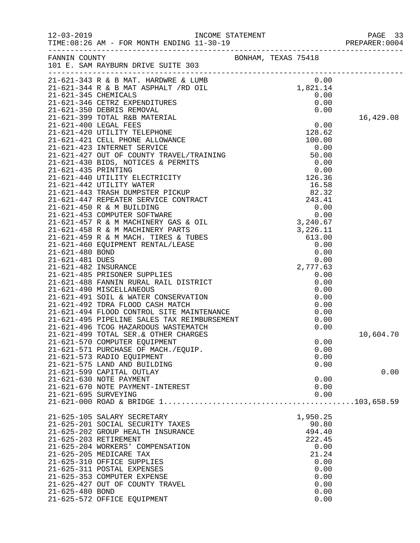| $12 - 03 - 2019$     | TIME: 08:26 AM - FOR MONTH ENDING 11-30-19                |  |          |           |
|----------------------|-----------------------------------------------------------|--|----------|-----------|
| FANNIN COUNTY        | BONHAM, TEXAS 75418<br>101 E. SAM RAYBURN DRIVE SUITE 303 |  |          |           |
|                      | 0.00 0 0.01 1,821-344 R & B MAT ASPHALT /RD OIL 1,821.14  |  |          |           |
|                      |                                                           |  |          |           |
|                      |                                                           |  |          |           |
|                      |                                                           |  |          |           |
|                      |                                                           |  |          | 16,429.08 |
|                      |                                                           |  |          |           |
|                      |                                                           |  |          |           |
|                      |                                                           |  |          |           |
|                      |                                                           |  |          |           |
|                      |                                                           |  |          |           |
|                      |                                                           |  |          |           |
|                      |                                                           |  |          |           |
|                      |                                                           |  |          |           |
|                      |                                                           |  |          |           |
|                      |                                                           |  |          |           |
|                      |                                                           |  |          |           |
|                      |                                                           |  |          |           |
|                      |                                                           |  |          |           |
|                      |                                                           |  |          |           |
|                      |                                                           |  |          |           |
|                      |                                                           |  |          |           |
|                      |                                                           |  |          |           |
|                      |                                                           |  |          |           |
|                      |                                                           |  |          |           |
|                      |                                                           |  |          |           |
|                      |                                                           |  |          |           |
|                      |                                                           |  |          |           |
|                      |                                                           |  |          |           |
|                      |                                                           |  |          |           |
|                      |                                                           |  |          |           |
|                      |                                                           |  |          |           |
|                      |                                                           |  |          | 10,604.70 |
|                      | 21-621-570 COMPUTER EQUIPMENT                             |  | 0.00     |           |
|                      | 21-621-571 PURCHASE OF MACH./EQUIP.                       |  | 0.00     |           |
|                      | 21-621-573 RADIO EQUIPMENT                                |  | 0.00     |           |
|                      | 21-621-575 LAND AND BUILDING                              |  | 0.00     |           |
|                      | 21-621-599 CAPITAL OUTLAY                                 |  |          | 0.00      |
|                      | 21-621-630 NOTE PAYMENT                                   |  | 0.00     |           |
|                      | 21-621-670 NOTE PAYMENT-INTEREST                          |  | 0.00     |           |
| 21-621-695 SURVEYING |                                                           |  | 0.00     |           |
|                      |                                                           |  |          |           |
|                      | 21-625-105 SALARY SECRETARY                               |  | 1,950.25 |           |
|                      | 21-625-201 SOCIAL SECURITY TAXES                          |  | 90.80    |           |
|                      | 21-625-202 GROUP HEALTH INSURANCE                         |  | 494.40   |           |
|                      | 21-625-203 RETIREMENT                                     |  | 222.45   |           |
|                      | 21-625-204 WORKERS' COMPENSATION                          |  | 0.00     |           |
|                      | 21-625-205 MEDICARE TAX                                   |  | 21.24    |           |
|                      | 21-625-310 OFFICE SUPPLIES                                |  | 0.00     |           |
|                      | 21-625-311 POSTAL EXPENSES                                |  | 0.00     |           |
|                      | 21-625-353 COMPUTER EXPENSE                               |  | 0.00     |           |
|                      | 21-625-427 OUT OF COUNTY TRAVEL                           |  | 0.00     |           |
| 21-625-480 BOND      |                                                           |  | 0.00     |           |
|                      | 21-625-572 OFFICE EQUIPMENT                               |  | 0.00     |           |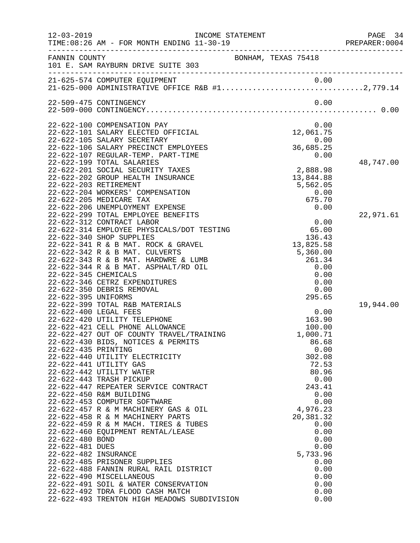|                                    |                                                                                                                                                  |                                       | PAGE 34<br>PREPARER: 0004 |
|------------------------------------|--------------------------------------------------------------------------------------------------------------------------------------------------|---------------------------------------|---------------------------|
| FANNIN COUNTY                      | 101 E. SAM RAYBURN DRIVE SUITE 303                                                                                                               | BONHAM, TEXAS 75418                   |                           |
|                                    |                                                                                                                                                  |                                       |                           |
|                                    | 22-509-475 CONTINGENCY                                                                                                                           | 0.00                                  |                           |
|                                    | 22-622-100 COMPENSATION PAY<br>22-622-101 SALARY ELECTED OFFICIAL                                                                                | 0.00<br>12,061.75                     |                           |
|                                    | 22-622-105 SALARY SECRETARY<br>22-622-106 SALARY PRECINCT EMPLOYEES                                                                              | $0.00$<br>36,685.25                   |                           |
|                                    | 22-622-107 REGULAR-TEMP. PART-TIME<br>22-622-199 TOTAL SALARIES<br>22-622-201 SOCIAL SECURITY TAXES                                              | 0.00<br>2,888.98                      | 48,747.00                 |
|                                    | 22-622-202 GROUP HEALTH INSURANCE<br>22-622-203 RETIREMENT<br>22-622-204 WORKERS' COMPENSATION                                                   | 13,844.88<br>5,562.05<br>0.00         |                           |
|                                    | 22-622-205 MEDICARE TAX<br>22-622-206 UNEMPLOYMENT EXPENSE<br>22-622-299 TOTAL EMPLOYEE BENEFITS                                                 | 675.70<br>0.00                        | 22,971.61                 |
|                                    | 22-622-312 CONTRACT LABOR<br>22-622-314 EMPLOYEE PHYSICALS/DOT TESTING<br>22-622-340 SHOP SUPPLIES<br>22-622-341 R & B MAT. ROCK & GRAVEL        | 0.00<br>65.00<br>136.43<br>13,825.58  |                           |
|                                    | 22-622-342 R & B MAT. CULVERTS<br>22-622-343 R & B MAT. HARDWRE & LUMB<br>22-622-344 R & B MAT. ASPHALT/RD OIL                                   | 5,360.00<br>261.34<br>0.00            |                           |
| 22-622-395 UNIFORMS                | 22-622-345 CHEMICALS<br>22-622-346 CETRZ EXPENDITURES<br>22-622-350 DEBRIS REMOVAL                                                               | 0.00<br>0.00<br>0.00<br>295.65        |                           |
|                                    | 22-622-399 TOTAL R&B MATERIALS<br>22-622-400 LEGAL FEES<br>22-622-420 UTILITY TELEPHONE                                                          | 0.00<br>163.90                        | 19,944.00                 |
| 22-622-435 PRINTING                | 22-622-421 CELL PHONE ALLOWANCE<br>22-622-427 OUT OF COUNTY TRAVEL/TRAINING<br>22-622-430 BIDS, NOTICES & PERMITS                                | 100.00<br>1,000.71<br>86.68<br>0.00   |                           |
|                                    | 22-622-440 UTILITY ELECTRICITY<br>22-622-441 UTILITY GAS<br>22-622-442 UTILITY WATER                                                             | 302.08<br>72.53<br>80.96              |                           |
|                                    | 22-622-443 TRASH PICKUP<br>22-622-447 REPEATER SERVICE CONTRACT<br>22-622-450 R&M BUILDING                                                       | 0.00<br>243.41<br>0.00                |                           |
|                                    | 22-622-453 COMPUTER SOFTWARE<br>22-622-457 R & M MACHINERY GAS & OIL<br>22-622-458 R & M MACHINERY PARTS<br>22-622-459 R & M MACH. TIRES & TUBES | 0.00<br>4,976.23<br>20,381.32<br>0.00 |                           |
| 22-622-480 BOND<br>22-622-481 DUES | 22-622-460 EQUIPMENT RENTAL/LEASE                                                                                                                | 0.00<br>0.00<br>0.00                  |                           |
|                                    | 22-622-482 INSURANCE<br>22-622-485 PRISONER SUPPLIES<br>22-622-488 FANNIN RURAL RAIL DISTRICT<br>22-622-490 MISCELLANEOUS                        | 5,733.96<br>0.00<br>0.00<br>0.00      |                           |
|                                    | 22-622-491 SOIL & WATER CONSERVATION<br>22-622-492 TDRA FLOOD CASH MATCH<br>22-622-493 TRENTON HIGH MEADOWS SUBDIVISION                          | 0.00<br>0.00<br>0.00                  |                           |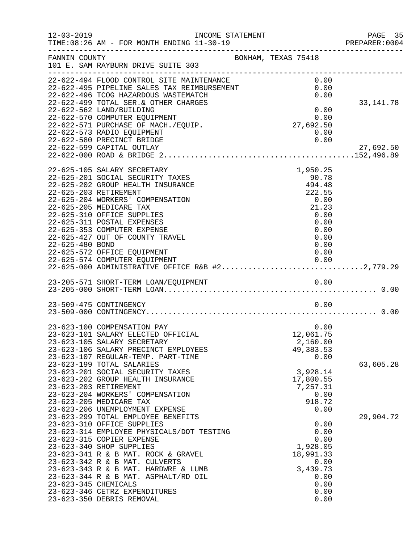| $12 - 03 - 2019$     | INCOME STATEMENT<br>TIME: 08:26 AM - FOR MONTH ENDING 11-30-19                                                                                                                                                                                                                                                                                                                                                                                |                                                                                                        | PAGE 35<br>PREPARER: 0004 |
|----------------------|-----------------------------------------------------------------------------------------------------------------------------------------------------------------------------------------------------------------------------------------------------------------------------------------------------------------------------------------------------------------------------------------------------------------------------------------------|--------------------------------------------------------------------------------------------------------|---------------------------|
| FANNIN COUNTY        | 101 E. SAM RAYBURN DRIVE SUITE 303                                                                                                                                                                                                                                                                                                                                                                                                            | BONHAM, TEXAS 75418                                                                                    |                           |
|                      | 22-622-494 FLOOD CONTROL SITE MAINTENANCE<br>22-622-495 PIPELINE SALES TAX REIMBURSEMENT<br>22-622-496 TCOG HAZARDOUS WASTEMATCH<br>22-622-499 TOTAL SER. & OTHER CHARGES<br>22-622-562 LAND/BUILDING                                                                                                                                                                                                                                         | 0.00<br>0.00<br>0.00                                                                                   | 33,141.78                 |
|                      | 22-622-570 COMPUTER EQUIPMENT<br>22-622-571 PURCHASE OF MACH./EQUIP.<br>22-622-573 RADIO EQUIPMENT<br>22-622-580 PRECINCT BRIDGE                                                                                                                                                                                                                                                                                                              | 0.00<br>0.00<br>27,692.50<br>0.00<br>0.00                                                              |                           |
|                      | 22-622-599 CAPITAL OUTLAY                                                                                                                                                                                                                                                                                                                                                                                                                     |                                                                                                        | 27,692.50                 |
| 22-625-480 BOND      | 22-625-105 SALARY SECRETARY<br>22-625-201 SOCIAL SECURITY TAXES<br>22-625-202 GROUP HEALTH INSURANCE<br>22-625-203 RETIREMENT<br>22-625-204 WORKERS' COMPENSATION<br>22-625-205 MEDICARE TAX<br>22-625-310 OFFICE SUPPLIES<br>22-625-311 POSTAL EXPENSES<br>22-625-353 COMPUTER EXPENSE<br>22-625-427 OUT OF COUNTY TRAVEL<br>22-625-572 OFFICE EQUIPMENT<br>22-625-574 COMPUTER EQUIPMENT<br>22-625-000 ADMINISTRATIVE OFFICE R&B #22,779.29 | 1,950.25<br>90.78<br>494.48<br>222.55<br>0.00<br>21.23<br>0.00<br>0.00<br>0.00<br>0.00<br>0.00<br>0.00 |                           |
|                      |                                                                                                                                                                                                                                                                                                                                                                                                                                               |                                                                                                        |                           |
|                      | 23-509-475 CONTINGENCY                                                                                                                                                                                                                                                                                                                                                                                                                        | 0.00                                                                                                   |                           |
|                      | 23-623-100 COMPENSATION PAY<br>23-623-101 SALARY ELECTED OFFICIAL<br>23-623-105 SALARY SECRETARY<br>23-623-106 SALARY PRECINCT EMPLOYEES<br>23-623-107 REGULAR-TEMP. PART-TIME                                                                                                                                                                                                                                                                | 0.00<br>12,061.75<br>2,160.00<br>49, 383.53<br>0.00                                                    |                           |
|                      | 23-623-199 TOTAL SALARIES<br>23-623-201 SOCIAL SECURITY TAXES<br>23-623-202 GROUP HEALTH INSURANCE<br>23-623-203 RETIREMENT<br>23-623-204 WORKERS' COMPENSATION<br>23-623-205 MEDICARE TAX<br>23-623-206 UNEMPLOYMENT EXPENSE                                                                                                                                                                                                                 | 3,928.14<br>17,800.55<br>7,257.31<br>0.00<br>918.72<br>0.00                                            | 63,605.28                 |
| 23-623-345 CHEMICALS | 23-623-299 TOTAL EMPLOYEE BENEFITS<br>23-623-310 OFFICE SUPPLIES<br>23-623-314 EMPLOYEE PHYSICALS/DOT TESTING<br>23-623-315 COPIER EXPENSE<br>23-623-340 SHOP SUPPLIES<br>23-623-341 R & B MAT. ROCK & GRAVEL<br>23-623-342 R & B MAT. CULVERTS<br>23-623-343 R & B MAT. HARDWRE & LUMB<br>23-623-344 R & B MAT. ASPHALT/RD OIL<br>23-623-346 CETRZ EXPENDITURES<br>23-623-350 DEBRIS REMOVAL                                                 | 0.00<br>0.00<br>0.00<br>1,928.05<br>18,991.33<br>0.00<br>3,439.73<br>0.00<br>0.00<br>0.00<br>0.00      | 29,904.72                 |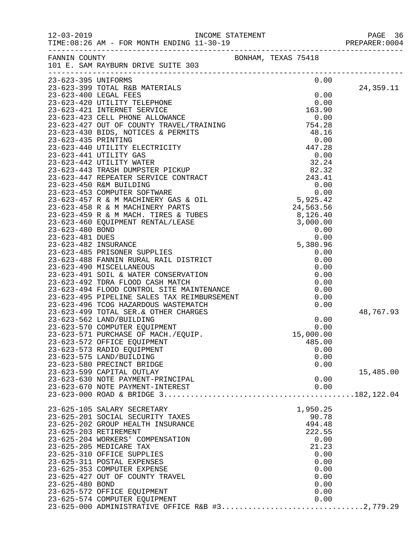| FANNIN COUNTY         | BONHAM, TEXAS 75418<br>101 E. SAM RAYBURN DRIVE SUITE 303                                                                                |           |              |           |
|-----------------------|------------------------------------------------------------------------------------------------------------------------------------------|-----------|--------------|-----------|
| 23-623-395 UNIFORMS   |                                                                                                                                          |           | 0.00         |           |
|                       | 23-623-399 TOTAL R&B MATERIALS                                                                                                           |           |              | 24,359.11 |
|                       |                                                                                                                                          | 0.00      |              |           |
|                       |                                                                                                                                          |           |              |           |
|                       |                                                                                                                                          |           |              |           |
|                       |                                                                                                                                          |           |              |           |
|                       |                                                                                                                                          |           |              |           |
|                       |                                                                                                                                          |           |              |           |
|                       |                                                                                                                                          |           |              |           |
|                       |                                                                                                                                          |           |              |           |
|                       |                                                                                                                                          |           |              |           |
|                       |                                                                                                                                          |           |              |           |
|                       |                                                                                                                                          |           |              |           |
|                       |                                                                                                                                          |           |              |           |
|                       |                                                                                                                                          |           |              |           |
|                       |                                                                                                                                          |           |              |           |
|                       |                                                                                                                                          |           |              |           |
|                       |                                                                                                                                          |           |              |           |
|                       |                                                                                                                                          |           |              |           |
|                       |                                                                                                                                          |           |              |           |
|                       |                                                                                                                                          |           |              |           |
|                       |                                                                                                                                          |           |              |           |
|                       |                                                                                                                                          |           |              |           |
|                       |                                                                                                                                          |           |              |           |
|                       |                                                                                                                                          |           |              |           |
|                       |                                                                                                                                          |           |              |           |
|                       |                                                                                                                                          |           |              |           |
|                       |                                                                                                                                          |           |              |           |
|                       | 23-623-499 TOTAL SER.& OTHER CHARGES<br>23-623-562 LAND/BUILDING<br>23-623-570 COMPUTER EQUIPMENT<br>23-623-571 PURCHASE OF MACH./EQUIP. |           |              | 48,767.93 |
|                       |                                                                                                                                          |           | 0.00         |           |
|                       |                                                                                                                                          |           | 0.00         |           |
|                       |                                                                                                                                          | 15,000.00 |              |           |
|                       | 23-623-572 OFFICE EQUIPMENT<br>23-623-573 RADIO EQUIPMENT                                                                                |           | 485.00       |           |
|                       | 23-623-575 LAND/BUILDING                                                                                                                 |           | 0.00<br>0.00 |           |
|                       | 23-623-580 PRECINCT BRIDGE                                                                                                               |           | 0.00         |           |
|                       | 23-623-599 CAPITAL OUTLAY                                                                                                                |           |              | 15,485.00 |
|                       | 23-623-630 NOTE PAYMENT-PRINCIPAL                                                                                                        |           | 0.00         |           |
|                       | 23-623-670 NOTE PAYMENT-INTEREST                                                                                                         |           | 0.00         |           |
|                       |                                                                                                                                          |           |              |           |
|                       |                                                                                                                                          |           |              |           |
|                       | 23-625-105 SALARY SECRETARY<br>23-625-201 SOCIAL SECURITY TAXES                                                                          | 1,950.25  | 90.78        |           |
|                       | 23-625-202 GROUP HEALTH INSURANCE                                                                                                        |           | 494.48       |           |
| 23-625-203 RETIREMENT |                                                                                                                                          |           | 222.55       |           |
|                       | 23-625-204 WORKERS' COMPENSATION                                                                                                         |           | 0.00         |           |
|                       | 23-625-205 MEDICARE TAX                                                                                                                  |           | 21.23        |           |
|                       | 23-625-310 OFFICE SUPPLIES                                                                                                               |           | 0.00         |           |
|                       | 23-625-311 POSTAL EXPENSES                                                                                                               |           | 0.00         |           |
|                       | 23-625-353 COMPUTER EXPENSE                                                                                                              |           | 0.00         |           |
|                       | 23-625-427 OUT OF COUNTY TRAVEL                                                                                                          |           | 0.00         |           |
| 23-625-480 BOND       |                                                                                                                                          |           | 0.00         |           |
|                       | 23-625-572 OFFICE EQUIPMENT<br>23-625-574 COMPUTER EQUIPMENT                                                                             |           | 0.00<br>0.00 |           |
|                       |                                                                                                                                          |           |              |           |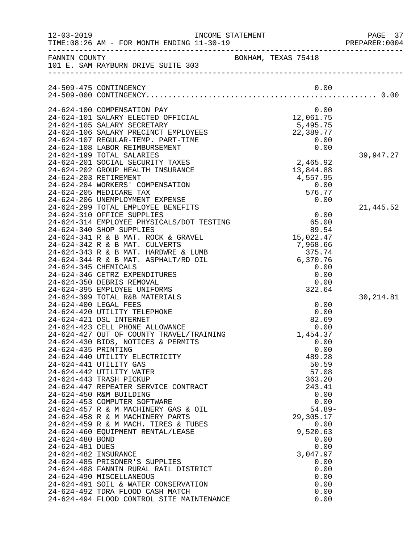| $12 - 03 - 2019$                                                                  |                                                                                                                                                                                                                                                                                                                                                                                                                                                                                                                                                                                                                                                                                                                                                                                                                                                        | INCOME STATEMENT                                                                                                                                                                                                                                   | PAGE 37<br>PREPARER: 0004 |
|-----------------------------------------------------------------------------------|--------------------------------------------------------------------------------------------------------------------------------------------------------------------------------------------------------------------------------------------------------------------------------------------------------------------------------------------------------------------------------------------------------------------------------------------------------------------------------------------------------------------------------------------------------------------------------------------------------------------------------------------------------------------------------------------------------------------------------------------------------------------------------------------------------------------------------------------------------|----------------------------------------------------------------------------------------------------------------------------------------------------------------------------------------------------------------------------------------------------|---------------------------|
|                                                                                   | FANNIN COUNTY<br>101 E. SAM RAYBURN DRIVE SUITE 303                                                                                                                                                                                                                                                                                                                                                                                                                                                                                                                                                                                                                                                                                                                                                                                                    | BONHAM, TEXAS 75418                                                                                                                                                                                                                                |                           |
|                                                                                   | 24-509-475 CONTINGENCY                                                                                                                                                                                                                                                                                                                                                                                                                                                                                                                                                                                                                                                                                                                                                                                                                                 | 0.00                                                                                                                                                                                                                                               |                           |
|                                                                                   | 24-624-100 COMPENSATION PAY<br>24-624-101 SALARY ELECTED OFFICIAL<br>24-624-105 SALARY SECRETARY<br>24-624-106 SALARY PRECINCT EMPLOYEES<br>24-624-107 REGULAR-TEMP. PART-TIME<br>24-624-108 LABOR REIMBURSEMENT<br>24-624-199 TOTAL SALARIES<br>24-624-201 SOCIAL SECURITY TAXES<br>24-624-202 GROUP HEALTH INSURANCE<br>24-624-203 RETIREMENT<br>24-624-204 WORKERS' COMPENSATION                                                                                                                                                                                                                                                                                                                                                                                                                                                                    | 0.00<br>12,061.75<br>5,495.75<br>22,389.77<br>0.00<br>0.00<br>2,465.92<br>13,844.88<br>4,557.95<br>0.00<br>576.77                                                                                                                                  | 39,947.27                 |
| 24-624-345 CHEMICALS                                                              | 24-624-205 MEDICARE TAX<br>24-624-206 UNEMPLOYMENT EXPENSE<br>24-624-299 TOTAL EMPLOYEE BENEFITS<br>24-624-310 OFFICE SUPPLIES<br>24-624-314 EMPLOYEE PHYSICALS/DOT TESTING<br>24-624-340 SHOP SUPPLIES<br>24-624-341 R & B MAT. ROCK & GRAVEL<br>24-624-342 R & B MAT. CULVERTS<br>24-624-343 R & B MAT. HARDWRE & LUMB<br>24-624-344 R & B MAT. ASPHALT/RD OIL<br>24-624-346 CETRZ EXPENDITURES<br>24-624-350 DEBRIS REMOVAL<br>24-624-395 EMPLOYEE UNIFORMS                                                                                                                                                                                                                                                                                                                                                                                         | 0.00<br>0.00<br>65.00<br>89.54<br>15,022.47<br>7,968.66<br>375.74<br>6,370.76<br>0.00<br>0.00<br>0.00<br>322.64                                                                                                                                    | 21,445.52                 |
| 24-624-435 PRINTING<br>24-624-480 BOND<br>24-624-481 DUES<br>24-624-482 INSURANCE | 24-624-399 TOTAL R&B MATERIALS<br>24-624-400 LEGAL FEES<br>24-624-420 UTILITY TELEPHONE<br>24-624-421 DSL INTERNET<br>24-624-423 CELL PHONE ALLOWANCE<br>24-624-427 OUT OF COUNTY TRAVEL/TRAINING<br>24-624-430 BIDS, NOTICES & PERMITS<br>24-624-440 UTILITY ELECTRICITY<br>24-624-441 UTILITY GAS<br>24-624-442 UTILITY WATER<br>24-624-443 TRASH PICKUP<br>24-624-447 REPEATER SERVICE CONTRACT<br>24-624-450 R&M BUILDING<br>24-624-453 COMPUTER SOFTWARE<br>24-624-457 R & M MACHINERY GAS & OIL<br>24-624-458 R & M MACHINERY PARTS<br>24-624-459 R & M MACH. TIRES & TUBES<br>24-624-460 EQUIPMENT RENTAL/LEASE<br>24-624-485 PRISONER'S SUPPLIES<br>24-624-488 FANNIN RURAL RAIL DISTRICT<br>24-624-490 MISCELLANEOUS<br>24-624-491 SOIL & WATER CONSERVATION<br>24-624-492 TDRA FLOOD CASH MATCH<br>24-624-494 FLOOD CONTROL SITE MAINTENANCE | 0.00<br>0.00<br>82.69<br>0.00<br>1,454.37<br>0.00<br>0.00<br>489.28<br>50.59<br>57.08<br>363.20<br>243.41<br>0.00<br>0.00<br>$54.89-$<br>29,305.17<br>0.00<br>9,520.63<br>0.00<br>0.00<br>3,047.97<br>0.00<br>0.00<br>0.00<br>0.00<br>0.00<br>0.00 | 30, 214.81                |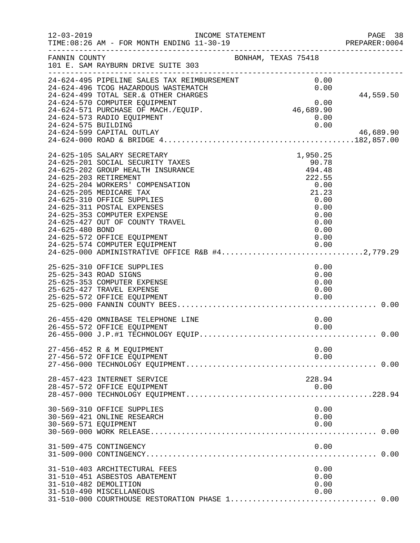| $12 - 03 - 2019$      | INCOME STATEMENT<br>TIME: 08:26 AM - FOR MONTH ENDING 11-30-19                                                                                                                                                                                                                                                                                                                                                                                                                      |                                                                                                                | PAGE 38<br>PREPARER:0004 |
|-----------------------|-------------------------------------------------------------------------------------------------------------------------------------------------------------------------------------------------------------------------------------------------------------------------------------------------------------------------------------------------------------------------------------------------------------------------------------------------------------------------------------|----------------------------------------------------------------------------------------------------------------|--------------------------|
| FANNIN COUNTY         | 101 E. SAM RAYBURN DRIVE SUITE 303                                                                                                                                                                                                                                                                                                                                                                                                                                                  | BONHAM, TEXAS 75418                                                                                            |                          |
| 24-624-575 BUILDING   | 24-624-495 PIPELINE SALES TAX REIMBURSEMENT<br>24-624-496 TCOG HAZARDOUS WASTEMATCH<br>24-624-499 TOTAL SER. & OTHER CHARGES<br>24-624-570 COMPUTER EQUIPMENT<br>24-624-571 PURCHASE OF MACH./EQUIP.<br>24-624-573 RADIO EQUIPMENT<br>24-624-599 CAPITAL OUTLAY                                                                                                                                                                                                                     | 0.00<br>0.00<br>$0.00$<br>46,689.90<br>0.00<br>0.00                                                            | 44,559.50<br>46,689.90   |
| 24-625-480 BOND       | 24-625-105 SALARY SECRETARY<br>24-625-201 SOCIAL SECURITY TAXES<br>24-625-202 GROUP HEALTH INSURANCE<br>24-625-203 RETIREMENT<br>24-625-204 WORKERS' COMPENSATION<br>24-625-205 MEDICARE TAX<br>24-625-310 OFFICE SUPPLIES<br>24-625-311 POSTAL EXPENSES<br>24-625-353 COMPUTER EXPENSE<br>24-625-427 OUT OF COUNTY TRAVEL<br>24-625-572 OFFICE EQUIPMENT<br>24-625-574 COMPUTER EQUIPMENT<br>24-625-574 COMPUTER EQUIPMENT 0.00<br>24-625-000 ADMINISTRATIVE OFFICE R&B #42,779.29 | 1,950.25<br>90.78<br>494.48<br>222.55<br>0.00<br>21.23<br>0.00<br>0.00<br>0.00<br>0.00<br>0.00<br>0.00<br>0.00 |                          |
|                       | 25-625-310 OFFICE SUPPLIES<br>25-625-343 ROAD SIGNS<br>25-625-353 COMPUTER EXPENSE<br>25-625-427 TRAVEL EXPENSE<br>25-625-572 OFFICE EQUIPMENT                                                                                                                                                                                                                                                                                                                                      | 0.00<br>0.00<br>0.00<br>0.00<br>0.00                                                                           |                          |
|                       | 26-455-420 OMNIBASE TELEPHONE LINE<br>26-455-572 OFFICE EQUIPMENT                                                                                                                                                                                                                                                                                                                                                                                                                   | 0.00<br>0.00                                                                                                   |                          |
|                       | 27-456-452 R & M EQUIPMENT<br>27-456-572 OFFICE EQUIPMENT                                                                                                                                                                                                                                                                                                                                                                                                                           | 0.00<br>0.00                                                                                                   |                          |
|                       | 28-457-423 INTERNET SERVICE<br>28-457-572 OFFICE EQUIPMENT                                                                                                                                                                                                                                                                                                                                                                                                                          | 228.94<br>0.00                                                                                                 |                          |
| 30-569-571 EQUIPMENT  | 30-569-310 OFFICE SUPPLIES<br>30-569-421 ONLINE RESEARCH                                                                                                                                                                                                                                                                                                                                                                                                                            | 0.00<br>0.00<br>0.00                                                                                           |                          |
|                       | 31-509-475 CONTINGENCY                                                                                                                                                                                                                                                                                                                                                                                                                                                              | 0.00                                                                                                           |                          |
| 31-510-482 DEMOLITION | 31-510-403 ARCHITECTURAL FEES<br>31-510-451 ASBESTOS ABATEMENT<br>31-510-490 MISCELLANEOUS<br>31-510-000 COURTHOUSE RESTORATION PHASE 1 0.00                                                                                                                                                                                                                                                                                                                                        | 0.00<br>0.00<br>0.00<br>0.00                                                                                   |                          |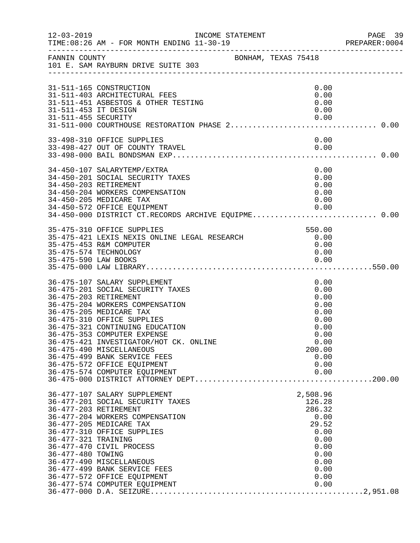| $12 - 03 - 2019$                            | INCOME STATEMENT<br>TIME: 08:26 AM - FOR MONTH ENDING 11-30-19                                                                                                                                                                                                                                                                                                                                                                |                                                                                                               | PAGE 39<br>PREPARER: 0004 |
|---------------------------------------------|-------------------------------------------------------------------------------------------------------------------------------------------------------------------------------------------------------------------------------------------------------------------------------------------------------------------------------------------------------------------------------------------------------------------------------|---------------------------------------------------------------------------------------------------------------|---------------------------|
| FANNIN COUNTY                               | BONHAM, TEXAS 75418<br>101 E. SAM RAYBURN DRIVE SUITE 303                                                                                                                                                                                                                                                                                                                                                                     |                                                                                                               |                           |
| 31-511-453 IT DESIGN<br>31-511-455 SECURITY | 31-511-165 CONSTRUCTION<br>31-511-403 ARCHITECTURAL FEES<br>31-511-451 ASBESTOS & OTHER TESTING                                                                                                                                                                                                                                                                                                                               | 0.00<br>0.00<br>0.00<br>0.00<br>0.00                                                                          |                           |
|                                             | 33-498-310 OFFICE SUPPLIES<br>33-498-427 OUT OF COUNTY TRAVEL                                                                                                                                                                                                                                                                                                                                                                 | 0.00<br>0.00                                                                                                  |                           |
|                                             | 34-450-107 SALARYTEMP/EXTRA<br>34-450-201 SOCIAL SECURITY TAXES<br>34-450-203 RETIREMENT<br>34-450-204 WORKERS COMPENSATION<br>34-450-205 MEDICARE TAX<br>34-450-572 OFFICE EQUIPMENT                                                                                                                                                                                                                                         | 0.00<br>0.00<br>0.00<br>0.00<br>0.00<br>0.00                                                                  |                           |
| 35-475-590 LAW BOOKS                        | 34-450-000 DISTRICT CT.RECORDS ARCHIVE EQUIPME 0.00<br>35-475-310 OFFICE SUPPLIES<br>35-475-421 LEXIS NEXIS ONLINE LEGAL RESEARCH<br>35-475-453 R&M COMPUTER<br>35-475-574 TECHNOLOGY                                                                                                                                                                                                                                         | 550.00<br>0.00<br>0.00<br>0.00<br>0.00                                                                        |                           |
|                                             | 36-475-107 SALARY SUPPLEMENT<br>36-475-201 SOCIAL SECURITY TAXES<br>36-475-203 RETIREMENT<br>36-475-204 WORKERS COMPENSATION<br>36-475-205 MEDICARE TAX<br>36-475-310 OFFICE SUPPLIES<br>36-475-321 CONTINUING EDUCATION<br>36-475-353 COMPUTER EXPENSE<br>36-475-421 INVESTIGATOR/HOT CK. ONLINE<br>36-475-490 MISCELLANEOUS<br>36-475-499 BANK SERVICE FEES<br>36-475-572 OFFICE EQUIPMENT<br>36-475-574 COMPUTER EQUIPMENT | 0.00<br>0.00<br>0.00<br>0.00<br>0.00<br>0.00<br>0.00<br>0.00<br>0.00<br>200.00<br>0.00<br>0.00<br>0.00        |                           |
| 36-477-321 TRAINING<br>36-477-480 TOWING    | 36-477-107 SALARY SUPPLEMENT<br>36-477-201 SOCIAL SECURITY TAXES<br>36-477-203 RETIREMENT<br>36-477-204 WORKERS COMPENSATION<br>36-477-205 MEDICARE TAX<br>36-477-310 OFFICE SUPPLIES<br>36-477-470 CIVIL PROCESS<br>36-477-490 MISCELLANEOUS<br>36-477-499 BANK SERVICE FEES<br>36-477-572 OFFICE EQUIPMENT<br>36-477-574 COMPUTER EQUIPMENT                                                                                 | 2,508.96<br>126.28<br>286.32<br>0.00<br>29.52<br>0.00<br>0.00<br>0.00<br>0.00<br>0.00<br>0.00<br>0.00<br>0.00 |                           |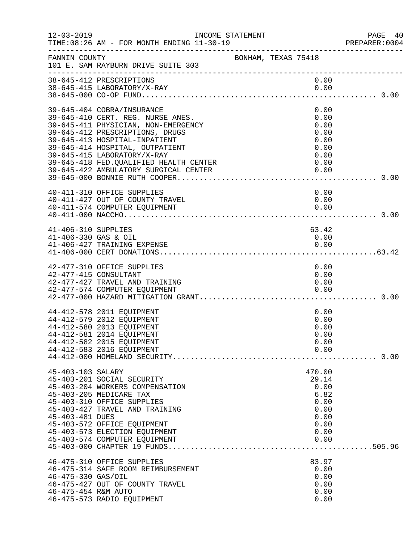| $12 - 03 - 2019$                            | INCOME STATEMENT                                                                                                                                                                                                                                                                        |                     |                                                                                 | PAGE 40       |
|---------------------------------------------|-----------------------------------------------------------------------------------------------------------------------------------------------------------------------------------------------------------------------------------------------------------------------------------------|---------------------|---------------------------------------------------------------------------------|---------------|
|                                             | TIME: 08:26 AM - FOR MONTH ENDING 11-30-19<br>--------------------------------------                                                                                                                                                                                                    |                     |                                                                                 | PREPARER:0004 |
| FANNIN COUNTY                               | 101 E. SAM RAYBURN DRIVE SUITE 303                                                                                                                                                                                                                                                      | BONHAM, TEXAS 75418 |                                                                                 |               |
|                                             | 38-645-412 PRESCRIPTIONS<br>38-645-415 LABORATORY/X-RAY                                                                                                                                                                                                                                 |                     | 0.00<br>0.00                                                                    |               |
|                                             | 39-645-404 COBRA/INSURANCE<br>39-645-410 CERT. REG. NURSE ANES.<br>39-645-411 PHYSICIAN, NON-EMERGENCY<br>39-645-412 PRESCRIPTIONS, DRUGS<br>39-645-413 HOSPITAL-INPATIENT<br>39-645-414 HOSPITAL, OUTPATIENT<br>39-645-415 LABORATORY/X-RAY<br>39-645-418 FED. QUALIFIED HEALTH CENTER |                     | 0.00<br>0.00<br>0.00<br>0.00<br>0.00<br>0.00<br>0.00<br>0.00                    |               |
|                                             | 40-411-310 OFFICE SUPPLIES<br>40-411-427 OUT OF COUNTY TRAVEL<br>40-411-574 COMPUTER EQUIPMENT                                                                                                                                                                                          |                     | 0.00<br>0.00<br>0.00                                                            |               |
| 41-406-310 SUPPLIES<br>41-406-330 GAS & OIL | 41-406-427 TRAINING EXPENSE                                                                                                                                                                                                                                                             |                     | 63.42<br>0.00<br>0.00                                                           |               |
|                                             | 42-477-310 OFFICE SUPPLIES<br>42-477-415 CONSULTANT<br>42-477-427 TRAVEL AND TRAINING<br>42-477-574 COMPUTER EQUIPMENT                                                                                                                                                                  |                     | 0.00<br>0.00<br>0.00<br>0.00                                                    |               |
|                                             | 44-412-578 2011 EQUIPMENT<br>44-412-579 2012 EQUIPMENT<br>44-412-580 2013 EQUIPMENT<br>44-412-581 2014 EQUIPMENT<br>44-412-582 2015 EQUIPMENT<br>44-412-583 2016 EQUIPMENT                                                                                                              |                     | 0.00<br>0.00<br>0.00<br>0.00<br>0.00<br>0.00                                    |               |
| 45-403-103 SALARY<br>45-403-481 DUES        | 45-403-201 SOCIAL SECURITY<br>45-403-204 WORKERS COMPENSATION<br>45-403-205 MEDICARE TAX<br>45-403-310 OFFICE SUPPLIES<br>45-403-427 TRAVEL AND TRAINING<br>45-403-572 OFFICE EQUIPMENT<br>45-403-573 ELECTION EQUIPMENT<br>45-403-574 COMPUTER EQUIPMENT                               |                     | 470.00<br>29.14<br>0.00<br>6.82<br>0.00<br>0.00<br>0.00<br>0.00<br>0.00<br>0.00 |               |
| 46-475-330 GAS/OIL<br>46-475-454 R&M AUTO   | 46-475-310 OFFICE SUPPLIES<br>46-475-314 SAFE ROOM REIMBURSEMENT<br>46-475-427 OUT OF COUNTY TRAVEL<br>46-475-573 RADIO EQUIPMENT                                                                                                                                                       |                     | 83.97<br>0.00<br>0.00<br>0.00<br>0.00<br>0.00                                   |               |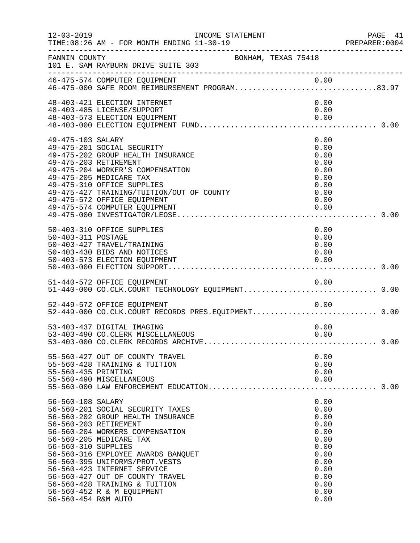| $12 - 03 - 2019$                                                | INCOME STATEMENT<br>TIME: 08:26 AM - FOR MONTH ENDING 11-30-19                                                                                                                                                                                                                                                                                                        |                     |                                                                                                              | PAGE 41<br>PREPARER: 0004 |
|-----------------------------------------------------------------|-----------------------------------------------------------------------------------------------------------------------------------------------------------------------------------------------------------------------------------------------------------------------------------------------------------------------------------------------------------------------|---------------------|--------------------------------------------------------------------------------------------------------------|---------------------------|
| FANNIN COUNTY                                                   | 101 E. SAM RAYBURN DRIVE SUITE 303                                                                                                                                                                                                                                                                                                                                    | BONHAM, TEXAS 75418 |                                                                                                              |                           |
|                                                                 | 0.00 0.00 A6-475-574 COMPUTER EQUIPMENT<br>46-475-000 SAFE ROOM REIMBURSEMENT PROGRAM83.97                                                                                                                                                                                                                                                                            |                     |                                                                                                              |                           |
|                                                                 | 48-403-421 ELECTION INTERNET<br>48-403-485 LICENSE/SUPPORT<br>48-403-573 ELECTION EQUIPMENT                                                                                                                                                                                                                                                                           |                     | 0.00<br>0.00<br>0.00                                                                                         |                           |
| 49-475-103 SALARY                                               | 49-475-201 SOCIAL SECURITY<br>49-475-202 GROUP HEALTH INSURANCE<br>49-475-203 RETIREMENT<br>49-475-204 WORKER'S COMPENSATION<br>49-475-205 MEDICARE TAX<br>49-475-310 OFFICE SUPPLIES<br>49-475-427 TRAINING/TUITION/OUT OF COUNTY<br>49-475-572 OFFICE EQUIPMENT<br>49-475-574 COMPUTER EQUIPMENT                                                                    |                     | 0.00<br>0.00<br>0.00<br>0.00<br>0.00<br>0.00<br>0.00<br>0.00<br>0.00<br>0.00                                 |                           |
| 50-403-311 POSTAGE                                              | 50-403-310 OFFICE SUPPLIES<br>50-403-427 TRAVEL/TRAINING<br>50-403-430 BIDS AND NOTICES<br>50-403-573 ELECTION EQUIPMENT                                                                                                                                                                                                                                              |                     | 0.00<br>0.00<br>0.00<br>0.00<br>0.00                                                                         |                           |
|                                                                 | 51-440-572 OFFICE EQUIPMENT<br>51-440-000 CO.CLK.COURT TECHNOLOGY EQUIPMENT0.00                                                                                                                                                                                                                                                                                       |                     |                                                                                                              |                           |
|                                                                 | 52-449-572 OFFICE EQUIPMENT<br>52-449-000 CO.CLK.COURT RECORDS PRES.EQUIPMENT 0.00                                                                                                                                                                                                                                                                                    |                     | 0.00                                                                                                         |                           |
|                                                                 | 53-403-437 DIGITAL IMAGING<br>53-403-490 CO. CLERK MISCELLANEOUS                                                                                                                                                                                                                                                                                                      |                     | 0.00<br>0.00                                                                                                 |                           |
| 55-560-435 PRINTING                                             | 55-560-427 OUT OF COUNTY TRAVEL<br>55-560-428 TRAINING & TUITION<br>55-560-490 MISCELLANEOUS                                                                                                                                                                                                                                                                          |                     | 0.00<br>0.00<br>0.00<br>0.00                                                                                 |                           |
| 56-560-108 SALARY<br>56-560-310 SUPPLIES<br>56-560-454 R&M AUTO | 56-560-201 SOCIAL SECURITY TAXES<br>56-560-202 GROUP HEALTH INSURANCE<br>56-560-203 RETIREMENT<br>56-560-204 WORKERS COMPENSATION<br>56-560-205 MEDICARE TAX<br>56-560-316 EMPLOYEE AWARDS BANQUET<br>56-560-395 UNIFORMS/PROT.VESTS<br>56-560-423 INTERNET SERVICE<br>56-560-427 OUT OF COUNTY TRAVEL<br>56-560-428 TRAINING & TUITION<br>56-560-452 R & M EQUIPMENT |                     | 0.00<br>0.00<br>0.00<br>0.00<br>0.00<br>0.00<br>0.00<br>0.00<br>0.00<br>0.00<br>0.00<br>0.00<br>0.00<br>0.00 |                           |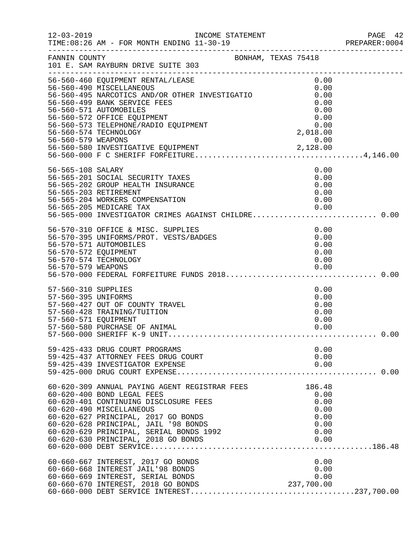| $12 - 03 - 2019$                                                   | INCOME STATEMENT<br>TIME: 08:26 AM - FOR MONTH ENDING 11-30-19                                                                                                                                                                                                                                                    |  |                                                                    | PAGE 42<br>PREPARER: 0004 |
|--------------------------------------------------------------------|-------------------------------------------------------------------------------------------------------------------------------------------------------------------------------------------------------------------------------------------------------------------------------------------------------------------|--|--------------------------------------------------------------------|---------------------------|
|                                                                    | FANNIN COUNTY<br>101 E. SAM RAYBURN DRIVE SUITE 303<br>____________________________________                                                                                                                                                                                                                       |  |                                                                    |                           |
|                                                                    | 56-560-460 EQUIPMENT RENTAL/LEASE<br>56-560-490 MISCELLANEOUS<br>56-560-490 MISCELLANEOUS<br>56-560-495 NARCOTICS AND/OR OTHER INVESTIGATIO<br>56-560-499 BANK SERVICE FEES<br>56-560-571 AUTOMOBILES<br>56-560-572 OFFICE EQUIPMENT<br>56-560-573 TELEPHONE/RADIO EQUIPMENT<br>56-560-574 TECHNOLOGY             |  | 0.00<br>0.00<br>0.00<br>0.00<br>0.00<br>0.00<br>$0.00$<br>2,018.00 |                           |
| 56-565-108 SALARY                                                  | 56-565-201 SOCIAL SECURITY TAXES<br>56-565-202 GROUP HEALTH INSURANCE<br>56-565-203 RETIREMENT<br>56-565-204 WORKERS COMPENSATION<br>56-565-205 MEDICARE TAX<br>56-565-205 MEDICARE TAX                          0.00<br>56-565-000 INVESTIGATOR CRIMES AGAINST CHILDRE 0.00                                      |  | 0.00<br>0.00<br>0.00<br>0.00<br>0.00<br>0.00                       |                           |
| 56-570-572 EQUIPMENT                                               | 56-570-310 OFFICE & MISC. SUPPLIES<br>56-570-395 UNIFORMS/PROT. VESTS/BADGES<br>56-570-571 AUTOMOBILES<br>56-570-574 TECHNOLOGY                                                                                                                                                                                   |  | 0.00<br>0.00<br>0.00<br>0.00<br>0.00                               |                           |
| 57-560-310 SUPPLIES<br>57-560-395 UNIFORMS<br>57-560-571 EQUIPMENT | 57-560-427 OUT OF COUNTY TRAVEL<br>57-560-428 TRAINING/TUITION<br>57-560-580 PURCHASE OF ANIMAL                                                                                                                                                                                                                   |  | 0.00<br>0.00<br>0.00<br>0.00<br>0.00<br>0.00                       |                           |
|                                                                    | 59-425-433 DRUG COURT PROGRAMS<br>59-425-437 ATTORNEY FEES DRUG COURT<br>59-425-439 INVESTIGATOR EXPENSE                                                                                                                                                                                                          |  | 0.00<br>0.00<br>0.00                                               |                           |
|                                                                    | 60-620-309 ANNUAL PAYING AGENT REGISTRAR FEES<br>60-620-400 BOND LEGAL FEES<br>60-620-401 CONTINUING DISCLOSURE FEES<br>60-620-490 MISCELLANEOUS<br>60-620-627 PRINCIPAL, 2017 GO BONDS<br>60-620-628 PRINCIPAL, JAIL '98 BONDS<br>60-620-629 PRINCIPAL, SERIAL BONDS 1992<br>60-620-630 PRINCIPAL, 2018 GO BONDS |  | 186.48<br>0.00<br>0.00<br>0.00<br>0.00<br>0.00<br>0.00<br>0.00     |                           |
|                                                                    | 60-660-667 INTEREST, 2017 GO BONDS<br>60-660-668 INTEREST JAIL'98 BONDS<br>60-660-669 INTEREST, SERIAL BONDS<br>60-660-670 INTEREST, 2018 GO BONDS<br>60-660-670 INTEREST, 2018 GO BONDS                                                                                                                          |  | 0.00<br>0.00<br>0.00<br>237,700.00                                 |                           |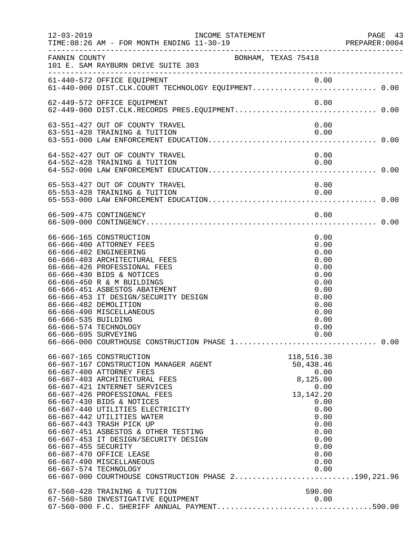| $12 - 03 - 2019$                                                     | INCOME STATEMENT<br>TIME: 08:26 AM - FOR MONTH ENDING 11-30-19<br>-------------------------------------                                                                                                                                                                                                                                                                                                                                                                                                                | PREPARER<br>----------------------------------                                                                                                     | PAGE 43<br>PREPARER:0004 |
|----------------------------------------------------------------------|------------------------------------------------------------------------------------------------------------------------------------------------------------------------------------------------------------------------------------------------------------------------------------------------------------------------------------------------------------------------------------------------------------------------------------------------------------------------------------------------------------------------|----------------------------------------------------------------------------------------------------------------------------------------------------|--------------------------|
| FANNIN COUNTY                                                        | BONHAM, TEXAS 75418<br>101 E. SAM RAYBURN DRIVE SUITE 303                                                                                                                                                                                                                                                                                                                                                                                                                                                              |                                                                                                                                                    |                          |
|                                                                      | 61-440-572 OFFICE EQUIPMENT<br>61-440-000 DIST.CLK.COURT TECHNOLOGY EQUIPMENT0.00                                                                                                                                                                                                                                                                                                                                                                                                                                      |                                                                                                                                                    |                          |
|                                                                      | 62-449-572 OFFICE EQUIPMENT                                                                                                                                                                                                                                                                                                                                                                                                                                                                                            | 0.00                                                                                                                                               |                          |
|                                                                      | 63-551-427 OUT OF COUNTY TRAVEL<br>63-551-428 TRAINING & TUITION                                                                                                                                                                                                                                                                                                                                                                                                                                                       | 0.00<br>0.00                                                                                                                                       |                          |
|                                                                      | 64-552-427 OUT OF COUNTY TRAVEL<br>64-552-428 TRAINING & TUITION                                                                                                                                                                                                                                                                                                                                                                                                                                                       | 0.00<br>0.00                                                                                                                                       |                          |
|                                                                      | 65-553-427 OUT OF COUNTY TRAVEL                                                                                                                                                                                                                                                                                                                                                                                                                                                                                        | 0.00                                                                                                                                               |                          |
|                                                                      | 65-553-428 TRAINING & TUITION                                                                                                                                                                                                                                                                                                                                                                                                                                                                                          | 0.00                                                                                                                                               |                          |
|                                                                      | 66-509-475 CONTINGENCY                                                                                                                                                                                                                                                                                                                                                                                                                                                                                                 | 0.00                                                                                                                                               |                          |
| 66-666-482 DEMOLITION                                                | 66-666-165 CONSTRUCTION<br>66-666-400 ATTORNEY FEES<br>66-666-402 ENGINEERING<br>66-666-403 ARCHITECTURAL FEES<br>66-666-426 PROFESSIONAL FEES<br>66-666-430 BIDS & NOTICES<br>66-666-450 R & M BUILDINGS<br>66-666-451 ASBESTOS ABATEMENT<br>66-666-453 IT DESIGN/SECURITY DESIGN<br>66-666-490 MISCELLANEOUS                                                                                                                                                                                                         | 0.00<br>0.00<br>0.00<br>0.00<br>0.00<br>0.00<br>0.00<br>0.00<br>0.00<br>0.00<br>0.00                                                               |                          |
| 66-666-535 BUILDING<br>66-666-574 TECHNOLOGY<br>66-666-695 SURVEYING | 66-666-000 COURTHOUSE CONSTRUCTION PHASE 1 0.00                                                                                                                                                                                                                                                                                                                                                                                                                                                                        | 0.00<br>0.00<br>0.00                                                                                                                               |                          |
| 66-667-455 SECURITY<br>66-667-574 TECHNOLOGY                         | 66-667-165 CONSTRUCTION<br>66-667-167 CONSTRUCTION MANAGER AGENT<br>66-667-400 ATTORNEY FEES<br>66-667-403 ARCHITECTURAL FEES<br>66-667-421 INTERNET SERVICES<br>66-667-426 PROFESSIONAL FEES<br>66-667-430 BIDS & NOTICES<br>66-667-440 UTILITIES ELECTRICITY<br>66-667-442 UTILITIES WATER<br>66-667-443 TRASH PICK UP<br>66-667-451 ASBESTOS & OTHER TESTING<br>66-667-453 IT DESIGN/SECURITY DESIGN<br>66-667-470 OFFICE LEASE<br>66-667-490 MISCELLANEOUS<br>66-667-000 COURTHOUSE CONSTRUCTION PHASE 2190,221.96 | 118,516.30<br>50,438.46<br>0.00<br>8,125.00<br>0.00<br>13, 142. 20<br>0.00<br>0.00<br>0.00<br>0.00<br>0.00<br>0.00<br>0.00<br>0.00<br>0.00<br>0.00 |                          |
|                                                                      | 67-560-428 TRAINING & TUITION<br>67-560-580 INVESTIGATIVE EQUIPMENT<br>67-560-000 F.C. SHERIFF ANNUAL PAYMENT590.00                                                                                                                                                                                                                                                                                                                                                                                                    | 590.00                                                                                                                                             |                          |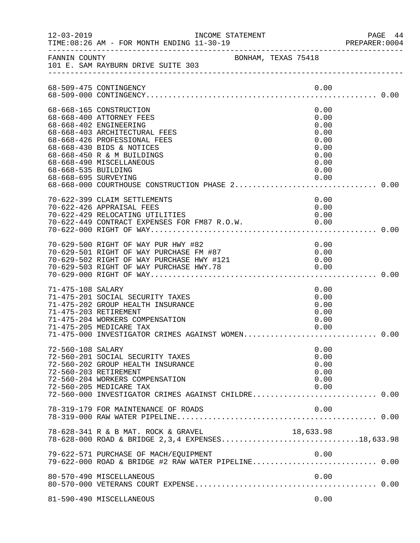| $12 - 03 - 2019$                            | INCOME STATEMENT<br>TIME: 08:26 AM - FOR MONTH ENDING 11-30-19                                                                                                                                                                                                                           |                                                                              | PAGE 44<br>PREPARER: 0004 |
|---------------------------------------------|------------------------------------------------------------------------------------------------------------------------------------------------------------------------------------------------------------------------------------------------------------------------------------------|------------------------------------------------------------------------------|---------------------------|
| FANNIN COUNTY                               | BONHAM, TEXAS 75418<br>101 E. SAM RAYBURN DRIVE SUITE 303                                                                                                                                                                                                                                |                                                                              |                           |
|                                             | 68-509-475 CONTINGENCY                                                                                                                                                                                                                                                                   | 0.00                                                                         |                           |
| 68-668-535 BUILDING<br>68-668-695 SURVEYING | 68-668-165 CONSTRUCTION<br>68-668-400 ATTORNEY FEES<br>68-668-402 ENGINEERING<br>68-668-403 ARCHITECTURAL FEES<br>68-668-426 PROFESSIONAL FEES<br>68-668-430 BIDS & NOTICES<br>68-668-450 R & M BUILDINGS<br>68-668-490 MISCELLANEOUS<br>68-668-000 COURTHOUSE CONSTRUCTION PHASE 2 0.00 | 0.00<br>0.00<br>0.00<br>0.00<br>0.00<br>0.00<br>0.00<br>0.00<br>0.00<br>0.00 |                           |
|                                             | 70-622-399 CLAIM SETTLEMENTS<br>70-622-426 APPRAISAL FEES<br>70-622-429 RELOCATING UTILITIES                                                                                                                                                                                             | 0.00<br>0.00<br>0.00                                                         |                           |
|                                             | 70-629-500 RIGHT OF WAY PUR HWY #82<br>70-629-501 RIGHT OF WAY PURCHASE FM #87<br>70-629-502 RIGHT OF WAY PURCHASE HWY #121<br>70-629-503 RIGHT OF WAY PURCHASE HWY.78<br>70-629-000 BIGHT OF WAY                                                                                        | 0.00<br>0.00<br>0.00                                                         |                           |
| 71-475-108 SALARY                           | 71-475-201 SOCIAL SECURITY TAXES<br>71-475-202 GROUP HEALTH INSURANCE<br>71-475-203 RETIREMENT<br>71-475-204 WORKERS COMPENSATION<br>71-475-205 MEDICARE TAX<br>71-475-000 INVESTIGATOR CRIMES AGAINST WOMEN 0.00                                                                        | 0.00<br>0.00<br>0.00<br>0.00<br>0.00<br>0.00                                 |                           |
| 72-560-108 SALARY                           | 72-560-201 SOCIAL SECURITY TAXES<br>72-560-202 GROUP HEALTH INSURANCE<br>72-560-203 RETIREMENT<br>72-560-204 WORKERS COMPENSATION<br>72-560-205 MEDICARE TAX<br>72-560-000 INVESTIGATOR CRIMES AGAINST CHILDRE 0.00                                                                      | 0.00<br>0.00<br>0.00<br>0.00<br>0.00<br>0.00                                 |                           |
|                                             | 78-319-179 FOR MAINTENANCE OF ROADS                                                                                                                                                                                                                                                      | 0.00                                                                         |                           |
|                                             | 78-628-341 R & B MAT. ROCK & GRAVEL 18,633.98<br>78-628-000 ROAD & BRIDGE 2,3,4 EXPENSES18,633.98                                                                                                                                                                                        | 18,633.98                                                                    |                           |
|                                             | 79-622-571 PURCHASE OF MACH/EQUIPMENT                                                                                                                                                                                                                                                    | 0.00                                                                         |                           |
|                                             | 80-570-490 MISCELLANEOUS                                                                                                                                                                                                                                                                 | 0.00                                                                         |                           |
|                                             | 81-590-490 MISCELLANEOUS                                                                                                                                                                                                                                                                 | 0.00                                                                         |                           |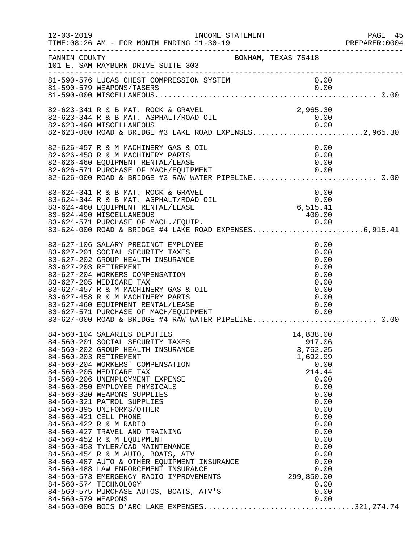| $12 - 03 - 2019$ | INCOME STATEMENT<br>TIME: 08:26 AM - FOR MONTH ENDING 11-30-19<br>-------------------------------------                                                                                                                                                                                                                                                                                                                                         |                                                                                                                                                                               | PAGE 45<br>PREPARER: 0004 |
|------------------|-------------------------------------------------------------------------------------------------------------------------------------------------------------------------------------------------------------------------------------------------------------------------------------------------------------------------------------------------------------------------------------------------------------------------------------------------|-------------------------------------------------------------------------------------------------------------------------------------------------------------------------------|---------------------------|
| FANNIN COUNTY    | BONHAM, TEXAS 75418<br>101 E. SAM RAYBURN DRIVE SUITE 303                                                                                                                                                                                                                                                                                                                                                                                       |                                                                                                                                                                               |                           |
|                  | 81-590-576 LUCAS CHEST COMPRESSION SYSTEM<br>81-590-579 WEAPONS/TASERS                                                                                                                                                                                                                                                                                                                                                                          | 0.00<br>0.00                                                                                                                                                                  |                           |
|                  | 82-623-341 R & B MAT. ROCK & GRAVEL<br>82-623-344 R & B MAT. ASPHALT/ROAD OIL<br>82-623-490 MISCELLANEOUS 0.00<br>82-623-000 ROAD & BRIDGE #3 LAKE ROAD EXPENSES2,965.30                                                                                                                                                                                                                                                                        | 2,965.30<br>0.00                                                                                                                                                              |                           |
|                  | 82-626-457 R & M MACHINERY GAS & OIL<br>82-626-458 R & M MACHINERY PARTS<br>82-626-460 EQUIPMENT RENTAL/LEASE<br>82-626-571 PURCHASE OF MACH/EQUIPMENT 0.00<br>82-626-000 ROAD & BRIDGE #3 RAW WATER PIPELINE0.00                                                                                                                                                                                                                               | 0.00<br>0.00<br>0.00                                                                                                                                                          |                           |
|                  | 83-624-341 R & B MAT. ROCK & GRAVEL 0.00<br>83-624-344 R & B MAT. ASPHALT/ROAD OIL 0.00<br>83-624-460 EQUIPMENT RENTAL/LEASE 6,515.41<br>83-624-490 MISCELLANEOUS<br>83-624-571 PURCHASE OF MACH./EQUIP. 0.00<br>83-624-000 ROAD & BRIDGE #4 LAKE ROAD EXPENSES6,915.41                                                                                                                                                                         |                                                                                                                                                                               |                           |
|                  | 83-627-106 SALARY PRECINCT EMPLOYEE<br>83-627-201 SOCIAL SECURITY TAXES<br>83-627-202 GROUP HEALTH INSURANCE<br>83-627-203 RETIREMENT<br>83-627-204 WORKERS COMPENSATION<br>83-627-205 MEDICARE TAX<br>83-627-457 R & M MACHINERY GAS & OIL<br>83-627-458 R & M MACHINERY PARTS<br>83-627-460 EQUIPMENT RENTAL/LEASE<br>83-627-571 PURCHASE OF MACH/EQUIPMENT<br>83-627-000 POAR 6 PRESE<br>83-627-000 ROAD & BRIDGE #4 RAW WATER PIPELINE 0.00 | 0.00<br>0.00<br>0.00<br>0.00<br>0.00<br>0.00<br>0.00<br>0.00<br>0.00<br>0.00                                                                                                  |                           |
|                  | 0.00 0 .00<br>84-560-573 EMERGENCY RADIO IMPROVEMENTS 299,850.00<br>84-560-574 TECHNOLOGY                                                                                                                                                                                                                                                                                                                                                       | 14,838.00<br>917.06<br>3,762.25<br>1,692.99<br>0.00<br>214.44<br>0.00<br>0.00<br>0.00<br>0.00<br>0.00<br>0.00<br>0.00<br>0.00<br>0.00<br>0.00<br>0.00<br>0.00<br>0.00<br>0.00 |                           |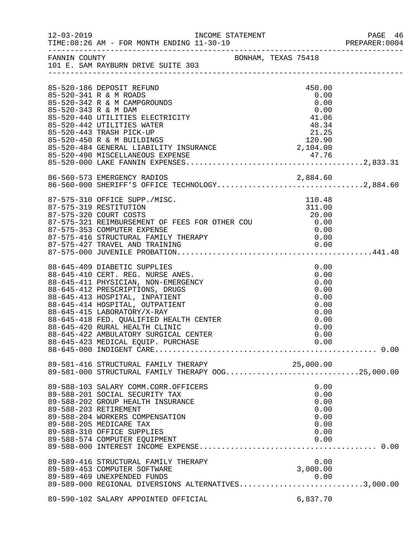| $12 - 03 - 2019$     | INCOME STATEMENT                                                                                                                                                                                                                                                                                                                                                      |  |                                                                              | PREPARER: 0004 |
|----------------------|-----------------------------------------------------------------------------------------------------------------------------------------------------------------------------------------------------------------------------------------------------------------------------------------------------------------------------------------------------------------------|--|------------------------------------------------------------------------------|----------------|
|                      | FANNIN COUNTY<br>101 E. SAM RAYBURN DRIVE SUITE 303                                                                                                                                                                                                                                                                                                                   |  |                                                                              |                |
|                      | 85-520-186 DEPOSIT REFUND<br>85-520-341 R & M ROADS<br>85-520-342 R & M CAMPGROUNDS                                                                                                                                                                                                                                                                                   |  | 450.00<br>0.00<br>0.00                                                       |                |
| 85-520-343 R & M DAM | 85-520-440 UTILITIES ELECTRICITY<br>85-520-442 UTILITIES WATER                                                                                                                                                                                                                                                                                                        |  | 0.00<br>41.06<br>48.34                                                       |                |
|                      | 85-520-443 TRASH PICK-UP<br>85-520-443 TRASH PICK-UP<br>85-520-450 R & M BUILDINGS 120.90<br>85-520-484 GENERAL LIABILITY INSURANCE 2,104.00                                                                                                                                                                                                                          |  | 21.25                                                                        |                |
|                      |                                                                                                                                                                                                                                                                                                                                                                       |  |                                                                              |                |
|                      | 86-560-573 EMERGENCY RADIOS 2,884.60<br>86-560-000 SHERIFF'S OFFICE TECHNOLOGY2,884.60                                                                                                                                                                                                                                                                                |  |                                                                              |                |
|                      | 87-575-310 OFFICE SUPP./MISC.<br>87-575-319 RESTITUTION<br>87-575-416 STRUCTURAL FAMILY THERAPY<br>87-575-427 TRAVEL AND THATLY THERAPY                                                                                                                                                                                                                               |  | 110.48<br>311.00                                                             |                |
|                      |                                                                                                                                                                                                                                                                                                                                                                       |  |                                                                              |                |
|                      | 88-645-409 DIABETIC SUPPLIES<br>88-645-410 CERT. REG. NURSE ANES.<br>88-645-411 PHYSICIAN, NON-EMERGENCY<br>88-645-412 PRESCRIPTIONS, DRUGS<br>88-645-413 HOSPITAL, INPATIENT<br>88-645-414 HOSPITAL, OUTPATIENT<br>88-645-415 LABORATORY/X-RAY<br>88-645-418 FED. QUALIFIED HEALTH CENTER<br>88-645-420 RURAL HEALTH CLINIC<br>88-645-422 AMBULATORY SURGICAL CENTER |  | 0.00<br>0.00<br>0.00<br>0.00<br>0.00<br>0.00<br>0.00<br>0.00<br>0.00<br>0.00 |                |
|                      | 89-581-416 STRUCTURAL FAMILY THERAPY 25,000.00<br>89-581-000 STRUCTURAL FAMILY THERAPY OOG25,000.00                                                                                                                                                                                                                                                                   |  |                                                                              |                |
|                      | 89-588-103 SALARY COMM.CORR.OFFICERS<br>89-588-201 SOCIAL SECURITY TAX<br>89-588-202 GROUP HEALTH INSURANCE<br>89-588-203 RETIREMENT<br>89-588-204 WORKERS COMPENSATION<br>89-588-205 MEDICARE TAX<br>89-588-310 OFFICE SUPPLIES<br>89-588-574 COMPUTER EQUIPMENT                                                                                                     |  | 0.00<br>0.00<br>0.00<br>0.00<br>0.00<br>0.00<br>0.00<br>0.00                 |                |
|                      | 89-589-416 STRUCTURAL FAMILY THERAPY<br>89-589-453 COMPUTER SOFTWARE<br>89-589-469 UNEXPENDED FUNDS<br>89-589-000 REGIONAL DIVERSIONS ALTERNATIVES3,000.00                                                                                                                                                                                                            |  | 0.00<br>3,000.00                                                             |                |
|                      | 89-590-102 SALARY APPOINTED OFFICIAL                                                                                                                                                                                                                                                                                                                                  |  | 6,837.70                                                                     |                |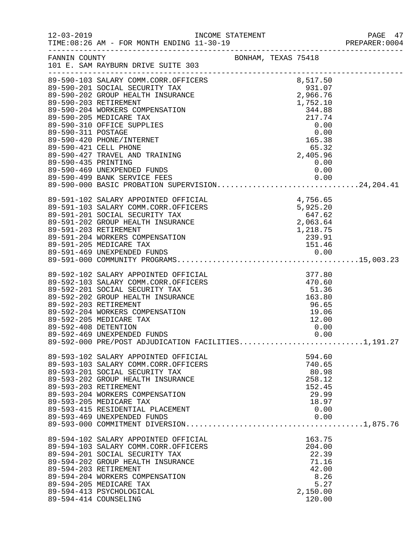|                      |                                                                                                                                                                                                                                                                                                                                  |                                                                        |                      |                                                                                   | PAGE 47 |
|----------------------|----------------------------------------------------------------------------------------------------------------------------------------------------------------------------------------------------------------------------------------------------------------------------------------------------------------------------------|------------------------------------------------------------------------|----------------------|-----------------------------------------------------------------------------------|---------|
| FANNIN COUNTY        | BONHAM, TEXAS 75418<br>101 E. SAM RAYBURN DRIVE SUITE 303                                                                                                                                                                                                                                                                        |                                                                        |                      |                                                                                   |         |
| 89-590-435 PRINTING  | 39-590-103 SALARY COMM.CORR.OFFICERS<br>89-590-201 SOCIAL SECURITY TAX<br>89-590-201 SOCIAL SECURITY TAX<br>89-590-202 GROUP HEALTH INSURANCE<br>89-590-203 RETIREMENT<br>89-590-204 MORKERS COMPENSATION<br>89-590-204 MORKERS COMPENSATI<br>89-590-421 CELL PHONE<br>89-590-427 TRAVEL AND TRAINING                            |                                                                        | $-55.32$<br>2,405.96 | 0.00                                                                              |         |
|                      | 89-590-455 PRINTING<br>89-590-469 UNEXPENDED FUNDS 0.00<br>89-590-499 BANK SERVICE FEES 0.00<br>89-590-000 BASIC PROBATION SUPERVISION24,204.41                                                                                                                                                                                  |                                                                        |                      |                                                                                   |         |
|                      | 89-591-102 SALARY APPOINTED OFFICIAL<br>89-591-103 SALARY COMM.CORR.OFFICERS<br>89-591-201 SOCIAL SECURITY TAX<br>89-591-202 GROUP HEALTH INSURANCE<br>89-591-203 RETIREMENT<br>89-591-204 WORKERS COMPENSATION                                                                                                                  | ICIAL<br>ICERS<br>5,925.20<br>547.62<br>2 063.64<br>1,218.75<br>239.91 |                      |                                                                                   |         |
| 89-592-408 DETENTION | 89-592-102 SALARY APPOINTED OFFICIAL<br>89-592-103 SALARY COMM.CORR.OFFICERS<br>89-592-201 SOCIAL SECURITY TAX<br>89-592-202 GROUP HEALTH INSURANCE<br>89-592-203 RETIREMENT<br>89-592-204 WORKERS COMPENSATION<br>89-592-205 MEDICARE TAX<br>89-592-469 UNEXPENDED FUNDS<br>89-592-000 PRE/POST ADJUDICATION FACILITIES1,191.27 | TAL<br>ERS 470.60<br>51.36<br>163.80                                   |                      | 96.65<br>19.06<br>12.00<br>0.00<br>0.00                                           |         |
|                      | 89-593-102 SALARY APPOINTED OFFICIAL<br>89-593-103 SALARY COMM.CORR.OFFICERS<br>89-593-201 SOCIAL SECURITY TAX<br>89-593-202 GROUP HEALTH INSURANCE<br>89-593-203 RETIREMENT<br>89-593-204 WORKERS COMPENSATION<br>89-593-205 MEDICARE TAX<br>89-593-415 RESIDENTIAL PLACEMENT<br>89-593-469 UNEXPENDED FUNDS                    |                                                                        |                      | 594.60<br>740.65<br>80.98<br>258.12<br>152.45<br>29.99<br>18.97<br>0.00<br>0.00   |         |
|                      | 89-594-102 SALARY APPOINTED OFFICIAL<br>89-594-103 SALARY COMM.CORR.OFFICERS<br>89-594-201 SOCIAL SECURITY TAX<br>89-594-202 GROUP HEALTH INSURANCE<br>89-594-203 RETIREMENT<br>89-594-204 WORKERS COMPENSATION<br>89-594-205 MEDICARE TAX<br>89-594-413 PSYCHOLOGICAL<br>89-594-414 COUNSELING                                  |                                                                        |                      | 163.75<br>204.00<br>22.39<br>71.16<br>42.00<br>8.26<br>5.27<br>2,150.00<br>120.00 |         |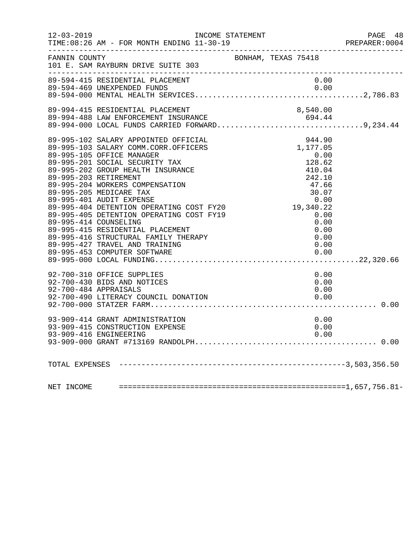| $12 - 03 - 2019$ | INCOME STATEMENT                                          |              | PAGE 48<br>PREPARER: 0004 |
|------------------|-----------------------------------------------------------|--------------|---------------------------|
|                  | FANNIN COUNTY<br>101 E. SAM RAYBURN DRIVE SUITE 303       |              |                           |
|                  |                                                           |              |                           |
|                  |                                                           |              |                           |
|                  |                                                           |              |                           |
|                  |                                                           |              |                           |
|                  |                                                           |              |                           |
|                  |                                                           |              |                           |
|                  |                                                           |              |                           |
|                  |                                                           |              |                           |
|                  |                                                           |              |                           |
|                  |                                                           |              |                           |
|                  |                                                           |              |                           |
|                  |                                                           |              |                           |
|                  |                                                           |              |                           |
|                  |                                                           |              |                           |
|                  |                                                           |              |                           |
|                  | 89-995-427 TRAVEL AND TRAINING                            | 0.00         |                           |
|                  |                                                           |              |                           |
|                  |                                                           |              |                           |
|                  | 92-700-310 OFFICE SUPPLIES                                | 0.00         |                           |
|                  | 92-700-430 BIDS AND NOTICES                               | 0.00         |                           |
|                  | 92-700-484 APPRAISALS                                     | 0.00         |                           |
|                  | 92-700-490 LITERACY COUNCIL DONATION                      | 0.00         |                           |
|                  |                                                           |              |                           |
|                  | 93-909-414 GRANT ADMINISTRATION                           | 0.00         |                           |
|                  | 93-909-415 CONSTRUCTION EXPENSE<br>93-909-416 ENGINEERING | 0.00<br>0.00 |                           |
|                  |                                                           |              |                           |
|                  |                                                           |              |                           |
|                  |                                                           |              |                           |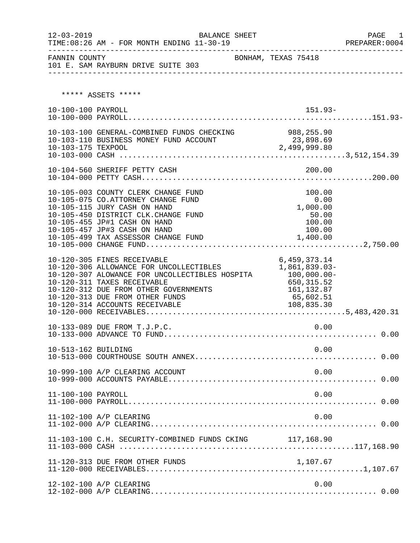| $12 - 03 - 2019$    | <b>BALANCE SHEET</b>                                                                                                                                                                                                                                                              |                                                                                        | PAGE 1<br>PREPARER:0004 |
|---------------------|-----------------------------------------------------------------------------------------------------------------------------------------------------------------------------------------------------------------------------------------------------------------------------------|----------------------------------------------------------------------------------------|-------------------------|
| FANNIN COUNTY       | 101 E. SAM RAYBURN DRIVE SUITE 303                                                                                                                                                                                                                                                | BONHAM, TEXAS 75418                                                                    |                         |
|                     | ***** ASSETS *****                                                                                                                                                                                                                                                                |                                                                                        |                         |
| 10-100-100 PAYROLL  |                                                                                                                                                                                                                                                                                   | $151.93-$                                                                              |                         |
| 10-103-175 TEXPOOL  | 10-103-100 GENERAL-COMBINED FUNDS CHECKING 988,255.90<br>10-103-110 BUSINESS MONEY FUND ACCOUNT                                                                                                                                                                                   | $23,898.69$<br>2,499,999.80                                                            |                         |
|                     |                                                                                                                                                                                                                                                                                   |                                                                                        |                         |
|                     | 10-105-003 COUNTY CLERK CHANGE FUND<br>10-105-075 CO.ATTORNEY CHANGE FUND<br>10-105-115 JURY CASH ON HAND<br>10-105-450 DISTRICT CLK.CHANGE FUND<br>10-105-455 JP#1 CASH ON HAND<br>10-105-457 JP#3 CASH ON HAND                                                                  | 100.00<br>0.00<br>1,000.00<br>50.00<br>100.00<br>100.00                                |                         |
|                     | 10-120-305 FINES RECEIVABLE<br>10-120-306 ALLOWANCE FOR UNCOLLECTIBLES<br>10-120-307 ALOWANCE FOR UNCOLLECTIBLES HOSPITA 100,000.00-<br>10-120-311 TAXES RECEIVABLE<br>10-120-312 DUE FROM OTHER GOVERNMENTS<br>10-120-313 DUE FROM OTHER FUNDS<br>10-120-314 ACCOUNTS RECEIVABLE | 6,459,373.14<br>1,861,839.03-<br>650, 315.52<br>161, 132.87<br>65,602.51<br>108,835.30 |                         |
|                     | 10-133-089 DUE FROM T.J.P.C.                                                                                                                                                                                                                                                      | 0.00                                                                                   |                         |
| 10-513-162 BUILDING |                                                                                                                                                                                                                                                                                   | 0.00                                                                                   |                         |
|                     | 10-999-100 A/P CLEARING ACCOUNT                                                                                                                                                                                                                                                   | 0.00                                                                                   |                         |
| 11-100-100 PAYROLL  |                                                                                                                                                                                                                                                                                   | 0.00                                                                                   |                         |
|                     | 11-102-100 A/P CLEARING                                                                                                                                                                                                                                                           | 0.00                                                                                   |                         |
|                     | 11-103-100 C.H. SECURITY-COMBINED FUNDS CKING 117,168.90                                                                                                                                                                                                                          |                                                                                        |                         |
|                     | 11-120-313 DUE FROM OTHER FUNDS                                                                                                                                                                                                                                                   | 1,107.67                                                                               |                         |
|                     | 12-102-100 A/P CLEARING                                                                                                                                                                                                                                                           | 0.00                                                                                   |                         |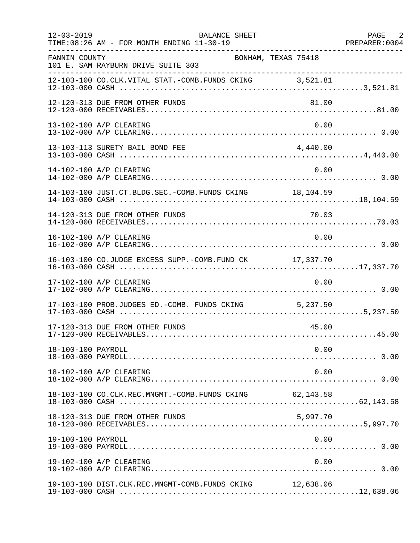| $12 - 03 - 2019$   | BALANCE SHEET<br>TIME: 08:26 AM - FOR MONTH ENDING 11-30-19<br>________________ |           | PAGE 2 |
|--------------------|---------------------------------------------------------------------------------|-----------|--------|
| FANNIN COUNTY      | BONHAM, TEXAS 75418<br>101 E. SAM RAYBURN DRIVE SUITE 303                       |           |        |
|                    | 12-103-100 CO.CLK.VITAL STAT.-COMB.FUNDS CKING 3,521.81                         |           |        |
|                    | 12-120-313 DUE FROM OTHER FUNDS                                                 | 81.00     |        |
|                    | 13-102-100 A/P CLEARING                                                         | 0.00      |        |
|                    | 13-103-113 SURETY BAIL BOND FEE                                                 | 4,440.00  |        |
|                    | 14-102-100 A/P CLEARING                                                         | 0.00      |        |
|                    | 14-103-100 JUST.CT.BLDG.SEC.-COMB.FUNDS CKING 18, 104.59                        |           |        |
|                    |                                                                                 |           |        |
|                    | 16-102-100 A/P CLEARING                                                         | 0.00      |        |
|                    | 16-103-100 CO.JUDGE EXCESS SUPP.-COMB.FUND CK 17,337.70                         |           |        |
|                    | 17-102-100 A/P CLEARING                                                         | 0.00      |        |
|                    | 17-103-100 PROB.JUDGES ED.-COMB. FUNDS CKING 5,237.50                           |           |        |
|                    | 17-120-313 DUE FROM OTHER FUNDS                                                 | 45.00     |        |
| 18-100-100 PAYROLL |                                                                                 | 0.00      |        |
|                    | 18-102-100 A/P CLEARING                                                         | 0.00      |        |
|                    | 18-103-100 CO.CLK.REC.MNGMT.-COMB.FUNDS CKING                                   | 62,143.58 |        |
|                    | 18-120-313 DUE FROM OTHER FUNDS                                                 | 5,997.70  |        |
| 19-100-100 PAYROLL |                                                                                 | 0.00      |        |
|                    | 19-102-100 A/P CLEARING                                                         | 0.00      |        |
|                    | 19-103-100 DIST.CLK.REC.MNGMT-COMB.FUNDS CKING                                  | 12,638.06 |        |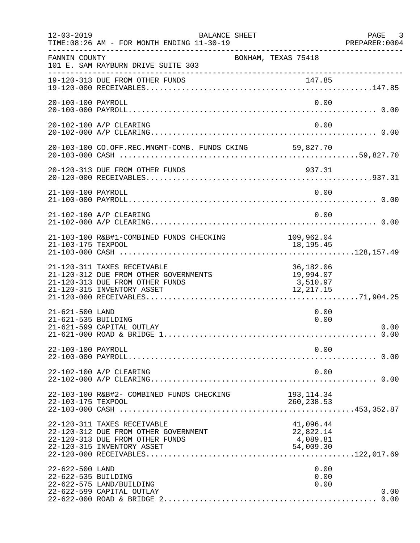| $12 - 03 - 2019$                       | BALANCE SHEET<br>TIME: 08:26 AM - FOR MONTH ENDING 11-30-19<br>--------------                                                         |                                                  | PAGE 3<br>PREPARER: 0004 |
|----------------------------------------|---------------------------------------------------------------------------------------------------------------------------------------|--------------------------------------------------|--------------------------|
| FANNIN COUNTY                          | 101 E. SAM RAYBURN DRIVE SUITE 303                                                                                                    | BONHAM, TEXAS 75418                              |                          |
|                                        | 19-120-313 DUE FROM OTHER FUNDS                                                                                                       |                                                  |                          |
| 20-100-100 PAYROLL                     |                                                                                                                                       | 0.00                                             |                          |
|                                        | 20-102-100 A/P CLEARING                                                                                                               | 0.00                                             |                          |
|                                        | 20-103-100 CO.OFF.REC.MNGMT-COMB. FUNDS CKING 59,827.70                                                                               |                                                  |                          |
|                                        | 20-120-313 DUE FROM OTHER FUNDS                                                                                                       | 937.31                                           |                          |
| 21-100-100 PAYROLL                     |                                                                                                                                       | 0.00                                             |                          |
|                                        | 21-102-100 A/P CLEARING                                                                                                               | 0.00                                             |                          |
| 21-103-175 TEXPOOL                     | 21-103-100 R&B#1-COMBINED FUNDS CHECKING 109,962.04                                                                                   | 18, 195. 45                                      |                          |
|                                        | 21-120-311 TAXES RECEIVABLE<br>21-120-312 DUE FROM OTHER GOVERNMENTS<br>21-120-313 DUE FROM OTHER FUNDS<br>21-120-315 INVENTORY ASSET | 36,182.06<br>19,994.07<br>3,510.97<br>12, 217.15 |                          |
| 21-621-500 LAND<br>21-621-535 BUILDING | 21-621-599 CAPITAL OUTLAY                                                                                                             | 0.00<br>0.00                                     | 0.00<br>0.00             |
| 22-100-100 PAYROLL                     |                                                                                                                                       | 0.00                                             |                          |
|                                        | 22-102-100 A/P CLEARING                                                                                                               | 0.00                                             |                          |
| 22-103-175 TEXPOOL                     | 22-103-100 R&B#2- COMBINED FUNDS CHECKING                                                                                             | 193, 114.34<br>260, 238.53                       |                          |
|                                        | 22-120-311 TAXES RECEIVABLE<br>22-120-312 DUE FROM OTHER GOVERNMENT<br>22-120-313 DUE FROM OTHER FUNDS<br>22-120-315 INVENTORY ASSET  | 41,096.44<br>22,822.14<br>4,089.81<br>54,009.30  |                          |
| 22-622-500 LAND<br>22-622-535 BUILDING | 22-622-575 LAND/BUILDING<br>22-622-599 CAPITAL OUTLAY                                                                                 | 0.00<br>0.00<br>0.00                             | 0.00<br>0.00             |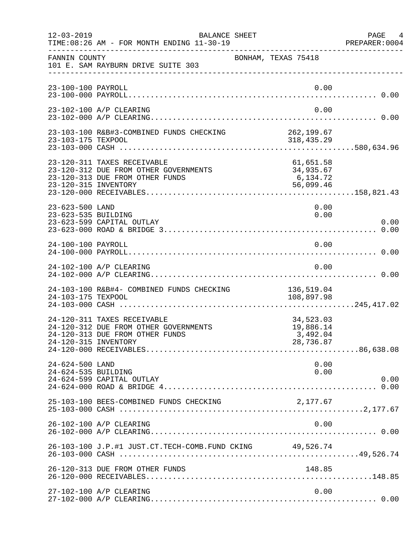| $12 - 03 - 2019$                       | BALANCE SHEET<br>TIME: 08:26 AM - FOR MONTH ENDING 11-30-19                                             |                                                 | PAGE<br>4<br>PREPARER: 0004 |
|----------------------------------------|---------------------------------------------------------------------------------------------------------|-------------------------------------------------|-----------------------------|
| FANNIN COUNTY                          | 101 E. SAM RAYBURN DRIVE SUITE 303                                                                      | BONHAM, TEXAS 75418                             |                             |
| 23-100-100 PAYROLL                     |                                                                                                         | 0.00                                            |                             |
|                                        | 23-102-100 A/P CLEARING                                                                                 | 0.00                                            |                             |
| 23-103-175 TEXPOOL                     | 23-103-100 R&B#3-COMBINED FUNDS CHECKING                                                                | 262,199.67<br>318,435.29                        |                             |
| 23-120-315 INVENTORY                   | 23-120-311 TAXES RECEIVABLE<br>23-120-312 DUE FROM OTHER GOVERNMENTS<br>23-120-313 DUE FROM OTHER FUNDS | 61,651.58<br>34,935.67<br>6,134.72<br>56,099.46 |                             |
| 23-623-500 LAND<br>23-623-535 BUILDING | 23-623-599 CAPITAL OUTLAY                                                                               | 0.00<br>0.00                                    | 0.00                        |
| 24-100-100 PAYROLL                     |                                                                                                         | 0.00                                            |                             |
|                                        | 24-102-100 A/P CLEARING                                                                                 | 0.00                                            |                             |
| 24-103-175 TEXPOOL                     | 24-103-100 R&B#4- COMBINED FUNDS CHECKING                                                               | 136,519.04<br>108,897.98                        |                             |
| 24-120-315 INVENTORY                   | 24-120-311 TAXES RECEIVABLE<br>24-120-312 DUE FROM OTHER GOVERNMENTS<br>24-120-313 DUE FROM OTHER FUNDS | 34,523.03<br>19,886.14<br>3,492.04<br>28,736.87 |                             |
| 24-624-500 LAND<br>24-624-535 BUILDING | 24-624-599 CAPITAL OUTLAY                                                                               | 0.00<br>0.00                                    | 0.00                        |
|                                        | 25-103-100 BEES-COMBINED FUNDS CHECKING                                                                 | 2,177.67                                        |                             |
|                                        | 26-102-100 A/P CLEARING                                                                                 | 0.00                                            |                             |
|                                        | 26-103-100 J.P.#1 JUST.CT.TECH-COMB.FUND CKING 49,526.74                                                |                                                 |                             |
|                                        | 26-120-313 DUE FROM OTHER FUNDS                                                                         | 148.85                                          |                             |
|                                        | 27-102-100 A/P CLEARING                                                                                 | 0.00                                            |                             |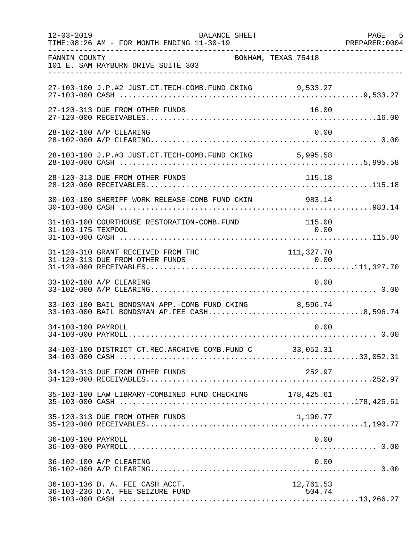| $12 - 03 - 2019$   | BALANCE SHEET<br>TIME: 08:26 AM - FOR MONTH ENDING 11-30-19                                            |                     | PAGE 5<br>PREPARER: 0004 |
|--------------------|--------------------------------------------------------------------------------------------------------|---------------------|--------------------------|
| FANNIN COUNTY      | BONHAM, TEXAS 75418<br>101 E. SAM RAYBURN DRIVE SUITE 303                                              |                     |                          |
|                    | 27-103-100 J.P.#2 JUST.CT.TECH-COMB.FUND CKING 9,533.27                                                |                     |                          |
|                    | 27-120-313 DUE FROM OTHER FUNDS                                                                        | 16.00               |                          |
|                    | 28-102-100 A/P CLEARING                                                                                | 0.00                |                          |
|                    | 28-103-100 J.P.#3 JUST.CT.TECH-COMB.FUND CKING 5,995.58                                                |                     |                          |
|                    | 28-120-313 DUE FROM OTHER FUNDS                                                                        | 115.18              |                          |
|                    | 30-103-100 SHERIFF WORK RELEASE-COMB FUND CKIN 983.14                                                  |                     |                          |
| 31-103-175 TEXPOOL | 31-103-100 COURTHOUSE RESTORATION-COMB.FUND                                                            | 115.00<br>0.00      |                          |
|                    | 31-120-310 GRANT RECEIVED FROM THC                                                                     | 111, 327.70         |                          |
|                    | 33-102-100 A/P CLEARING                                                                                | 0.00                |                          |
|                    | 33-103-100 BAIL BONDSMAN APP.-COMB FUND CKING 8,596.74<br>33-103-000 BAIL BONDSMAN AP.FEE CASH8,596.74 |                     |                          |
| 34-100-100 PAYROLL |                                                                                                        | 0.00                |                          |
|                    | 34-103-100 DISTRICT CT.REC.ARCHIVE COMB.FUND C 33,052.31                                               |                     |                          |
|                    | 34-120-313 DUE FROM OTHER FUNDS                                                                        | 252.97              |                          |
|                    | 35-103-100 LAW LIBRARY-COMBINED FUND CHECKING 178,425.61                                               |                     |                          |
|                    | 35-120-313 DUE FROM OTHER FUNDS                                                                        | 1,190.77            |                          |
| 36-100-100 PAYROLL |                                                                                                        | 0.00                |                          |
|                    | 36-102-100 A/P CLEARING                                                                                | 0.00                |                          |
|                    | 36-103-136 D. A. FEE CASH ACCT.<br>36-103-236 D.A. FEE SEIZURE FUND                                    | 12,761.53<br>504.74 |                          |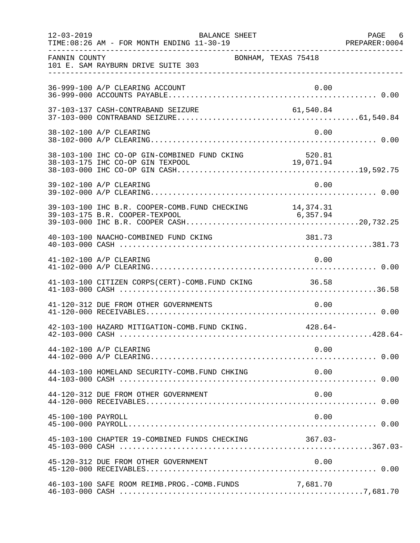|                    | $12 - 03 - 2019$<br>BALANCE SHEET<br>TIME: 08:26 AM - FOR MONTH ENDING 11-30-19 |           | PAGE 6 |
|--------------------|---------------------------------------------------------------------------------|-----------|--------|
| FANNIN COUNTY      | BONHAM, TEXAS 75418<br>101 E. SAM RAYBURN DRIVE SUITE 303                       |           |        |
|                    | 36-999-100 A/P CLEARING ACCOUNT                                                 | 0.00      |        |
|                    | 37-103-137 CASH-CONTRABAND SEIZURE                                              | 61,540.84 |        |
|                    | 38-102-100 A/P CLEARING                                                         | 0.00      |        |
|                    |                                                                                 |           |        |
|                    | 39-102-100 A/P CLEARING                                                         | 0.00      |        |
|                    |                                                                                 |           |        |
|                    | 40-103-100 NAACHO-COMBINED FUND CKING                                           | 381.73    |        |
|                    | 41-102-100 A/P CLEARING                                                         | 0.00      |        |
|                    | 41-103-100 CITIZEN CORPS(CERT)-COMB. FUND CKING 36.58                           |           |        |
|                    | 41-120-312 DUE FROM OTHER GOVERNMENTS                                           | 0.00      |        |
|                    | 42-103-100 HAZARD MITIGATION-COMB. FUND CKING. 428.64-                          |           |        |
|                    | 44-102-100 A/P CLEARING                                                         | 0.00      |        |
|                    | 44-103-100 HOMELAND SECURITY-COMB.FUND CHKING                                   | 0.00      |        |
|                    | 44-120-312 DUE FROM OTHER GOVERNMENT                                            | 0.00      |        |
| 45-100-100 PAYROLL |                                                                                 | 0.00      |        |
|                    | 45-103-100 CHAPTER 19-COMBINED FUNDS CHECKING                                   | $367.03-$ |        |
|                    | 45-120-312 DUE FROM OTHER GOVERNMENT                                            | 0.00      |        |
|                    | 46-103-100 SAFE ROOM REIMB. PROG. - COMB. FUNDS                                 | 7,681.70  |        |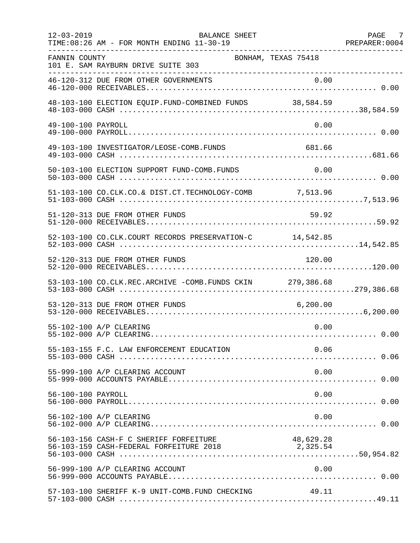| $12 - 03 - 2019$   | BALANCE SHEET<br>TIME: 08:26 AM - FOR MONTH ENDING 11-30-19<br>----------------   |                       | PAGE 7 |
|--------------------|-----------------------------------------------------------------------------------|-----------------------|--------|
| FANNIN COUNTY      | BONHAM, TEXAS 75418<br>101 E. SAM RAYBURN DRIVE SUITE 303                         |                       |        |
|                    |                                                                                   |                       |        |
|                    |                                                                                   |                       |        |
| 49-100-100 PAYROLL |                                                                                   | 0.00                  |        |
|                    | 49-103-100 INVESTIGATOR/LEOSE-COMB.FUNDS                                          | 681.66                |        |
|                    | 50-103-100 ELECTION SUPPORT FUND-COMB.FUNDS                                       | 0.00                  |        |
|                    | 51-103-100 CO.CLK.CO.& DIST.CT.TECHNOLOGY-COMB 7,513.96                           |                       |        |
|                    | 51-120-313 DUE FROM OTHER FUNDS                                                   | 59.92                 |        |
|                    | 52-103-100 CO.CLK.COURT RECORDS PRESERVATION-C 14,542.85                          |                       |        |
|                    | 52-120-313 DUE FROM OTHER FUNDS                                                   | 120.00                |        |
|                    | 53-103-100 CO.CLK.REC.ARCHIVE -COMB.FUNDS CKIN 279,386.68                         |                       |        |
|                    | 53-120-313 DUE FROM OTHER FUNDS                                                   |                       |        |
|                    | 55-102-100 A/P CLEARING                                                           | 0.00                  |        |
|                    | 55-103-155 F.C. LAW ENFORCEMENT EDUCATION                                         | 0.06                  |        |
|                    | 55-999-100 A/P CLEARING ACCOUNT                                                   | 0.00                  |        |
| 56-100-100 PAYROLL |                                                                                   | 0.00                  |        |
|                    | 56-102-100 A/P CLEARING                                                           | 0.00                  |        |
|                    | 56-103-156 CASH-F C SHERIFF FORFEITURE<br>56-103-159 CASH-FEDERAL FORFEITURE 2018 | 48,629.28<br>2,325.54 |        |
|                    | 56-999-100 A/P CLEARING ACCOUNT                                                   | 0.00                  |        |
|                    | 57-103-100 SHERIFF K-9 UNIT-COMB.FUND CHECKING                                    | 49.11                 |        |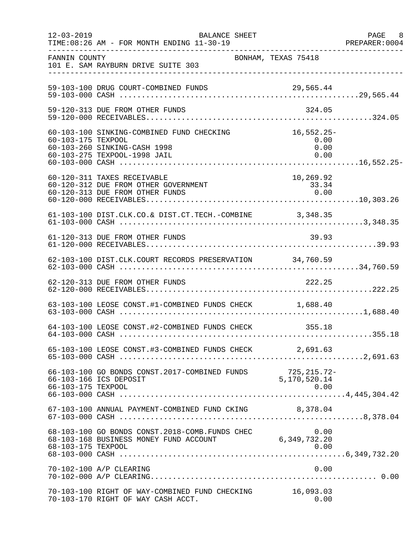| $12 - 03 - 2019$   | BALANCE SHEET<br>TIME: 08:26 AM - FOR MONTH ENDING 11-30-19                                               |                                      | PAGE 8<br>PREPARER: 0004 |
|--------------------|-----------------------------------------------------------------------------------------------------------|--------------------------------------|--------------------------|
| FANNIN COUNTY      | 101 E. SAM RAYBURN DRIVE SUITE 303                                                                        | BONHAM, TEXAS 75418                  |                          |
|                    | 59-103-100 DRUG COURT-COMBINED FUNDS                                                                      |                                      |                          |
|                    | 59-120-313 DUE FROM OTHER FUNDS                                                                           | 324.05                               |                          |
| 60-103-175 TEXPOOL | 60-103-100 SINKING-COMBINED FUND CHECKING<br>60-103-260 SINKING-CASH 1998<br>60-103-275 TEXPOOL-1998 JAIL | $16,552.25-$<br>0.00<br>0.00<br>0.00 |                          |
|                    | 60-120-311 TAXES RECEIVABLE<br>60-120-312 DUE FROM OTHER GOVERNMENT<br>60-120-313 DUE FROM OTHER FUNDS    | 10,269.92<br>33.34<br>0.00           |                          |
|                    | 61-103-100 DIST.CLK.CO.& DIST.CT.TECH.-COMBINE 3,348.35                                                   |                                      |                          |
|                    | 61-120-313 DUE FROM OTHER FUNDS                                                                           | 39.93                                |                          |
|                    | 62-103-100 DIST.CLK.COURT RECORDS PRESERVATION 34,760.59                                                  |                                      |                          |
|                    | 62-120-313 DUE FROM OTHER FUNDS                                                                           | 222.25                               |                          |
|                    | 63-103-100 LEOSE CONST.#1-COMBINED FUNDS CHECK 1,688.40                                                   |                                      |                          |
|                    | 64-103-100 LEOSE CONST.#2-COMBINED FUNDS CHECK 355.18                                                     |                                      |                          |
|                    | 65-103-100 LEOSE CONST.#3-COMBINED FUNDS CHECK 2,691.63                                                   |                                      |                          |
| 66-103-175 TEXPOOL | 66-103-100 GO BONDS CONST.2017-COMBINED FUNDS 725, 215.72.<br>2011 - 5, 170, 520.14                       | 725,215.72-<br>0.00                  |                          |
|                    | 67-103-100 ANNUAL PAYMENT-COMBINED FUND CKING 8,378.04                                                    |                                      |                          |
| 68-103-175 TEXPOOL | 68-103-100 GO BONDS CONST. 2018-COMB. FUNDS CHEC<br>68-103-168 BUSINESS MONEY FUND ACCOUNT                | 0.00<br>6,349,732.20<br>0.00         |                          |
|                    | 70-102-100 A/P CLEARING                                                                                   | 0.00                                 |                          |
|                    | 70-103-100 RIGHT OF WAY-COMBINED FUND CHECKING<br>70-103-170 RIGHT OF WAY CASH ACCT.                      | 16,093.03<br>0.00                    |                          |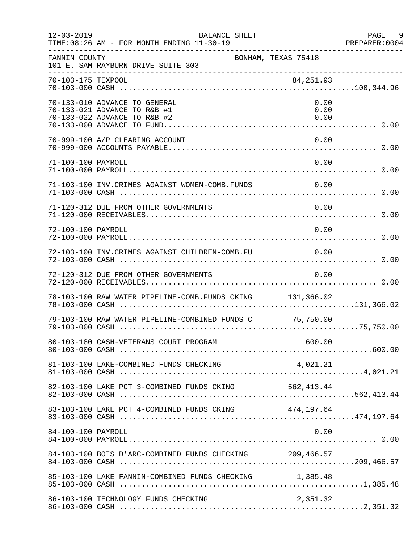| $12 - 03 - 2019$   | <b>BALANCE SHEET</b><br>TIME: 08:26 AM - FOR MONTH ENDING 11-30-19                            |                      | PAGE<br>9<br>PREPARER: 0004 |
|--------------------|-----------------------------------------------------------------------------------------------|----------------------|-----------------------------|
| FANNIN COUNTY      | BONHAM, TEXAS 75418<br>101 E. SAM RAYBURN DRIVE SUITE 303                                     |                      |                             |
| 70-103-175 TEXPOOL |                                                                                               | 84,251.93            |                             |
|                    | 70-133-010 ADVANCE TO GENERAL<br>70-133-021 ADVANCE TO R&B #1<br>70-133-022 ADVANCE TO R&B #2 | 0.00<br>0.00<br>0.00 |                             |
|                    | 70-999-100 A/P CLEARING ACCOUNT                                                               | 0.00                 |                             |
| 71-100-100 PAYROLL |                                                                                               | 0.00                 |                             |
|                    | 71-103-100 INV. CRIMES AGAINST WOMEN-COMB. FUNDS                                              | $\sim 0.00$          |                             |
|                    | 71-120-312 DUE FROM OTHER GOVERNMENTS                                                         | 0.00                 |                             |
| 72-100-100 PAYROLL |                                                                                               | 0.00                 |                             |
|                    | 72-103-100 INV.CRIMES AGAINST CHILDREN-COMB.FU                                                | 0.00                 |                             |
|                    | 72-120-312 DUE FROM OTHER GOVERNMENTS                                                         | 0.00                 |                             |
|                    | 78-103-100 RAW WATER PIPELINE-COMB. FUNDS CKING 131,366.02                                    |                      |                             |
|                    | 79-103-100 RAW WATER PIPELINE-COMBINED FUNDS C 75,750.00                                      |                      |                             |
|                    |                                                                                               |                      |                             |
|                    |                                                                                               |                      |                             |
|                    |                                                                                               |                      |                             |
|                    | 83-103-100 LAKE PCT 4-COMBINED FUNDS CKING 474,197.64                                         |                      |                             |
| 84-100-100 PAYROLL |                                                                                               | 0.00                 |                             |
|                    | 84-103-100 BOIS D'ARC-COMBINED FUNDS CHECKING 209,466.57                                      |                      |                             |
|                    | 85-103-100 LAKE FANNIN-COMBINED FUNDS CHECKING 1,385.48                                       |                      |                             |
|                    | 86-103-100 TECHNOLOGY FUNDS CHECKING                                                          | 2,351.32             |                             |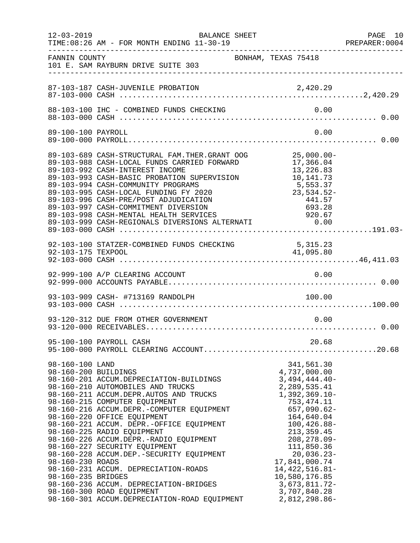| $12 - 03 - 2019$                                                                  | BALANCE SHEET<br>TIME: 08:26 AM - FOR MONTH ENDING 11-30-19<br>--------------------------------------                                                                                                                                                                                                                                                                                                                                                                                                                                                                                                 |                                                                                                                                                                                                                                                                                                                        | PAGE 10<br>PREPARER: 0004 |
|-----------------------------------------------------------------------------------|-------------------------------------------------------------------------------------------------------------------------------------------------------------------------------------------------------------------------------------------------------------------------------------------------------------------------------------------------------------------------------------------------------------------------------------------------------------------------------------------------------------------------------------------------------------------------------------------------------|------------------------------------------------------------------------------------------------------------------------------------------------------------------------------------------------------------------------------------------------------------------------------------------------------------------------|---------------------------|
| FANNIN COUNTY                                                                     | BONHAM, TEXAS 75418<br>101 E. SAM RAYBURN DRIVE SUITE 303                                                                                                                                                                                                                                                                                                                                                                                                                                                                                                                                             |                                                                                                                                                                                                                                                                                                                        |                           |
|                                                                                   | 87-103-187 CASH-JUVENILE PROBATION                                                                                                                                                                                                                                                                                                                                                                                                                                                                                                                                                                    | 2,420.29                                                                                                                                                                                                                                                                                                               |                           |
|                                                                                   |                                                                                                                                                                                                                                                                                                                                                                                                                                                                                                                                                                                                       | 0.00                                                                                                                                                                                                                                                                                                                   |                           |
| 89-100-100 PAYROLL                                                                |                                                                                                                                                                                                                                                                                                                                                                                                                                                                                                                                                                                                       | 0.00                                                                                                                                                                                                                                                                                                                   |                           |
|                                                                                   | 89-103-689 CASH-STRUCTURAL FAM.THER.GRANT OOG 25,000.00-<br>89-103-988 CASH-LOCAL FUNDS CARRIED FORWARD<br>89-103-992 CASH-INTEREST INCOME<br>89-103-993 CASH-BASIC PROBATION SUPERVISION<br>89-103-994 CASH-COMMUNITY PROGRAMS<br>89-103-995 CASH-LOCAL FUNDING FY 2020<br>89-103-996 CASH-PRE/POST ADJUDICATION                                                                                                                                                                                                                                                                                     | 17,366.04<br>13,226.83<br>13,226.83<br>10,141.73<br>5,553.37<br>23,534.52-<br>441.57                                                                                                                                                                                                                                   |                           |
| 92-103-175 TEXPOOL                                                                | 92-103-100 STATZER-COMBINED FUNDS CHECKING 5,315.23                                                                                                                                                                                                                                                                                                                                                                                                                                                                                                                                                   | 41,095.80                                                                                                                                                                                                                                                                                                              |                           |
|                                                                                   | 92-999-100 A/P CLEARING ACCOUNT                                                                                                                                                                                                                                                                                                                                                                                                                                                                                                                                                                       | 0.00                                                                                                                                                                                                                                                                                                                   |                           |
|                                                                                   |                                                                                                                                                                                                                                                                                                                                                                                                                                                                                                                                                                                                       |                                                                                                                                                                                                                                                                                                                        |                           |
|                                                                                   | 93-120-312 DUE FROM OTHER GOVERNMENT                                                                                                                                                                                                                                                                                                                                                                                                                                                                                                                                                                  | 0.00                                                                                                                                                                                                                                                                                                                   |                           |
|                                                                                   | 95-100-100 PAYROLL CASH                                                                                                                                                                                                                                                                                                                                                                                                                                                                                                                                                                               | 20.68                                                                                                                                                                                                                                                                                                                  |                           |
| 98-160-100 LAND<br>98-160-200 BUILDINGS<br>98-160-230 ROADS<br>98-160-235 BRIDGES | 98-160-201 ACCUM.DEPRECIATION-BUILDINGS<br>98-160-210 AUTOMOBILES AND TRUCKS<br>98-160-211 ACCUM.DEPR.AUTOS AND TRUCKS<br>98-160-215 COMPUTER EQUIPMENT<br>98-160-216 ACCUM.DEPR.-COMPUTER EQUIPMENT<br>98-160-220 OFFICE EQUIPMENT<br>98-160-221 ACCUM. DEPR.-OFFICE EQUIPMENT<br>98-160-225 RADIO EQUIPMENT<br>98-160-226 ACCUM.DEPR.-RADIO EQUIPMENT<br>98-160-227 SECURITY EQUIPMENT<br>98-160-228 ACCUM.DEP. - SECURITY EQUIPMENT<br>98-160-231 ACCUM. DEPRECIATION-ROADS<br>98-160-236 ACCUM. DEPRECIATION-BRIDGES<br>98-160-300 ROAD EQUIPMENT<br>98-160-301 ACCUM.DEPRECIATION-ROAD EQUIPMENT | 341,561.30<br>4,737,000.00<br>$3,494,444.40-$<br>2,289,535.41<br>$1,392,369.10-$<br>753,474.11<br>657,090.62-<br>164,640.04<br>$100, 426.88 -$<br>213, 359.45<br>$208, 278.09 -$<br>111,850.36<br>20,036.23-<br>17,841,000.74<br>14, 422, 516.81-<br>10,580,176.85<br>$3,673,811.72-$<br>3,707,840.28<br>2,812,298.86- |                           |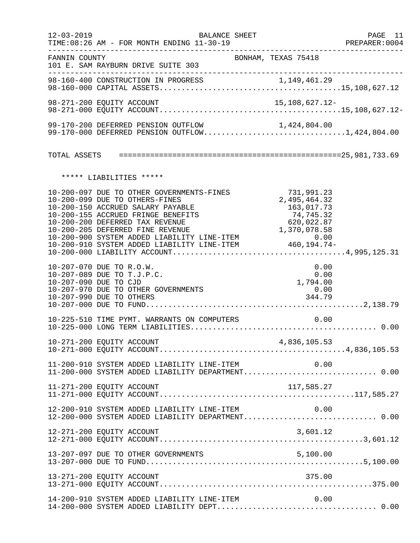| $12 - 03 - 2019$      | <b>BALANCE SHEET</b><br>TIME: 08:26 AM - FOR MONTH ENDING 11-30-19                                                                                                                        |                                                                     | PAGE 11<br>PREPARER:0004 |
|-----------------------|-------------------------------------------------------------------------------------------------------------------------------------------------------------------------------------------|---------------------------------------------------------------------|--------------------------|
| FANNIN COUNTY         | 101 E. SAM RAYBURN DRIVE SUITE 303                                                                                                                                                        | ______________________________________<br>BONHAM, TEXAS 75418       |                          |
|                       |                                                                                                                                                                                           |                                                                     |                          |
|                       | 98-271-200 EQUITY ACCOUNT                                                                                                                                                                 | 15,108,627.12-                                                      |                          |
|                       | 99-170-200 DEFERRED PENSION OUTFLOW<br>99-170-200 DEFERRED PENSION OUTFLOW 1,424,804.00<br>99-170-000 DEFERRED PENSION OUTFLOW1,424,804.00                                                |                                                                     |                          |
|                       |                                                                                                                                                                                           |                                                                     |                          |
|                       | ***** LIABILITIES *****                                                                                                                                                                   |                                                                     |                          |
|                       | 10-200-097 DUE TO OTHER GOVERNMENTS-FINES<br>10-200-099 DUE TO OTHERS-FINES<br>10-200-150 ACCRUED SALARY PAYABLE<br>10-200-155 ACCRUED FRINGE BENEFITS<br>10-200-200 DEFERRED TAX REVENUE | 731,991.23<br>2,495,464.32<br>163,017.73<br>74,745.32<br>620,022.87 |                          |
| 10-207-090 DUE TO CJD | 10-207-070 DUE TO R.O.W.<br>10-207-089 DUE TO T.J.P.C.<br>10-207-970 DUE TO OTHER GOVERNMENTS<br>10-207-990 DUE TO OTHERS                                                                 | 0.00<br>0.00<br>1,794.00<br>0.00<br>344.79                          |                          |
|                       | 10-225-510 TIME PYMT. WARRANTS ON COMPUTERS                                                                                                                                               | 0.00                                                                |                          |
|                       |                                                                                                                                                                                           |                                                                     |                          |
|                       | 11-200-910 SYSTEM ADDED LIABILITY LINE-ITEM $0.00$<br>11-200-000 SYSTEM ADDED LIABILITY DEPARTMENT0.00                                                                                    |                                                                     |                          |
|                       | 11-271-200 EQUITY ACCOUNT                                                                                                                                                                 |                                                                     |                          |
|                       | 12-200-910 SYSTEM ADDED LIABILITY LINE-ITEM<br>12-200-000 SYSTEM ADDED LIABILITY DEPARTMENT 0.00                                                                                          | 0.00                                                                |                          |
|                       | 12-271-200 EQUITY ACCOUNT                                                                                                                                                                 | 3,601.12                                                            |                          |
|                       | 13-207-097 DUE TO OTHER GOVERNMENTS                                                                                                                                                       |                                                                     |                          |
|                       | 13-271-200 EQUITY ACCOUNT                                                                                                                                                                 | 375.00                                                              |                          |
|                       | 14-200-910 SYSTEM ADDED LIABILITY LINE-ITEM                                                                                                                                               | 0.00                                                                |                          |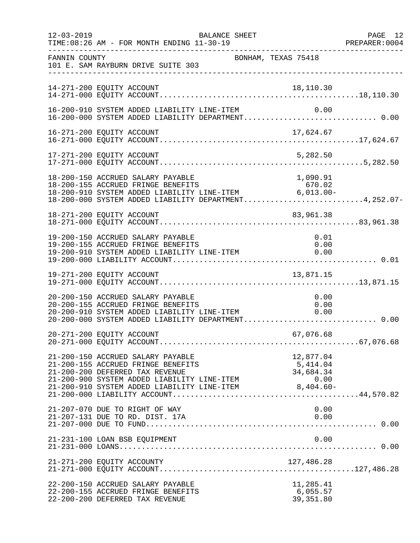| $12 - 03 - 2019$ | BALANCE SHEET<br>TIME: 08:26 AM - FOR MONTH ENDING 11-30-19                                                                                                                                                                          |                                                           | PAGE 12<br>PREPARER:0004 |
|------------------|--------------------------------------------------------------------------------------------------------------------------------------------------------------------------------------------------------------------------------------|-----------------------------------------------------------|--------------------------|
| FANNIN COUNTY    | 101 E. SAM RAYBURN DRIVE SUITE 303                                                                                                                                                                                                   | BONHAM, TEXAS 75418                                       |                          |
|                  | 14-271-200 EQUITY ACCOUNT                                                                                                                                                                                                            | 18,110.30                                                 |                          |
|                  | 16-200-910 SYSTEM ADDED LIABILITY LINE-ITEM                                                                                                                                                                                          | 0.00                                                      |                          |
|                  |                                                                                                                                                                                                                                      |                                                           |                          |
|                  | 17-271-200 EQUITY ACCOUNT                                                                                                                                                                                                            | 5,282.50                                                  |                          |
|                  | 18-200-150 ACCRUED SALARY PAYABLE<br>18-200-155 ACCRUED FRINGE BENEFITS<br>18-200-910 SYSTEM ADDED LIABILITY LINE-ITEM 6,013.00-<br>18-200-000 SYSTEM ADDED LIABILITY DEPARTMENT4,252.07-                                            | 1,090.91                                                  |                          |
|                  | 18-271-200 EQUITY ACCOUNT                                                                                                                                                                                                            | 83,961.38                                                 |                          |
|                  | 19-200-150 ACCRUED SALARY PAYABLE<br>19-200-155 ACCRUED FRINGE BENEFITS<br>19-200-910 SYSTEM ADDED LIABILITY LINE-ITEM                                                                                                               | 0.01<br>0.00<br>0.00                                      |                          |
|                  | 19-271-200 EQUITY ACCOUNT                                                                                                                                                                                                            | 13,871.15                                                 |                          |
|                  | 20-200-150 ACCRUED SALARY PAYABLE<br>20-200-155 ACCRUED FRINGE BENEFITS<br>20-200-910 SYSTEM ADDED LIABILITY LINE-ITEM 0.00<br>20.200.000 SYSTEM ADDED LIABILITY LINE-ITEM 0.00<br>20-200-000 SYSTEM ADDED LIABILITY DEPARTMENT 0.00 | 0.00                                                      |                          |
|                  | 20-271-200 EQUITY ACCOUNT                                                                                                                                                                                                            | 67,076.68                                                 |                          |
|                  | 21-200-150 ACCRUED SALARY PAYABLE<br>21-200-155 ACCRUED FRINGE BENEFITS<br>21-200-200 DEFERRED TAX REVENUE<br>21-200-900 SYSTEM ADDED LIABILITY LINE-ITEM<br>21-200-910 SYSTEM ADDED LIABILITY LINE-ITEM                             | 12,877.04<br>5,414.04<br>34,684.34<br>0.00<br>$8,404.60-$ |                          |
|                  | 21-207-070 DUE TO RIGHT OF WAY<br>21-207-131 DUE TO RD. DIST. 17A                                                                                                                                                                    | 0.00<br>0.00                                              |                          |
|                  | 21-231-100 LOAN BSB EQUIPMENT                                                                                                                                                                                                        | 0.00                                                      |                          |
|                  |                                                                                                                                                                                                                                      |                                                           |                          |
|                  | 22-200-150 ACCRUED SALARY PAYABLE<br>22-200-155 ACCRUED FRINGE BENEFITS<br>22-200-200 DEFERRED TAX REVENUE                                                                                                                           | 11,285.41<br>6,055.57<br>39, 351.80                       |                          |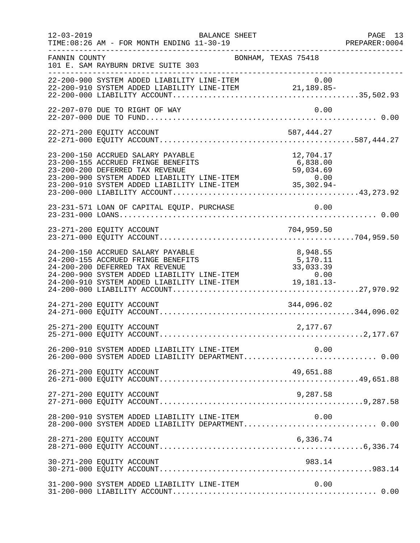| $12 - 03 - 2019$ | BALANCE SHEET<br>TIME: 08:26 AM - FOR MONTH ENDING 11-30-19<br>______________                                                                                                                                                                                                 |                                   | PAGE 13<br>PREPARER: 0004<br>--------------------- |
|------------------|-------------------------------------------------------------------------------------------------------------------------------------------------------------------------------------------------------------------------------------------------------------------------------|-----------------------------------|----------------------------------------------------|
| FANNIN COUNTY    | BONHAM, TEXAS 75418<br>101 E. SAM RAYBURN DRIVE SUITE 303                                                                                                                                                                                                                     |                                   |                                                    |
|                  | 22-200-900 SYSTEM ADDED LIABILITY LINE-ITEM $0.00$<br>22-200-910 SYSTEM ADDED LIABILITY LINE-ITEM 21,189.85-                                                                                                                                                                  |                                   |                                                    |
|                  | 22-207-070 DUE TO RIGHT OF WAY                                                                                                                                                                                                                                                | 0.00                              |                                                    |
|                  | 22-271-200 EQUITY ACCOUNT                                                                                                                                                                                                                                                     | 587,444.27                        |                                                    |
|                  | 23-200-150 ACCRUED SALARY PAYABLE<br>23-200-155 ACCRUED FRINGE BENEFITS<br>23-200-200 DEFERRED TAX REVENUE<br>23-200-900 SYSTEM ADDED LIABILITY LINE-ITEM<br>23-200-910 SYSTEM ADDED LIABILITY LINE-ITEM<br>23-200-910 SYSTEM ADDED LIABILITY LINE-ITEM<br>23-200-000 LIABILI | 12,704.17                         |                                                    |
|                  | 23-231-571 LOAN OF CAPITAL EQUIP. PURCHASE                                                                                                                                                                                                                                    | 0.00                              |                                                    |
|                  |                                                                                                                                                                                                                                                                               |                                   |                                                    |
|                  | 24-200-150 ACCRUED SALARY PAYABLE<br>24-200-155 ACCRUED FRINGE BENEFITS<br>24-200-200 DEFERRED TAX REVENUE<br>24-200-900 SYSTEM ADDED LIABILITY LINE-ITEM<br>$24-200-900$ SYSTEM ADDED LIABILITY LINE-ITEM $0.00$<br>24-200-910 SYSTEM ADDED LIABILITY LINE-ITEM $19,181.13-$ | 8,948.55<br>5,170.11<br>33,033.39 |                                                    |
|                  | 24-271-200 EQUITY ACCOUNT                                                                                                                                                                                                                                                     | 344,096.02                        |                                                    |
|                  | 25-271-200 EQUITY ACCOUNT                                                                                                                                                                                                                                                     | 2,177.67                          |                                                    |
|                  | 26-200-910 SYSTEM ADDED LIABILITY LINE-ITEM<br>26-200-000 SYSTEM ADDED LIABILITY DEPARTMENT 0.00                                                                                                                                                                              | 0.00                              |                                                    |
|                  | 26-271-200 EQUITY ACCOUNT                                                                                                                                                                                                                                                     | 49,651.88                         |                                                    |
|                  |                                                                                                                                                                                                                                                                               |                                   |                                                    |
|                  | 28-200-910 SYSTEM ADDED LIABILITY LINE-ITEM<br>28-200-000 SYSTEM ADDED LIABILITY DEPARTMENT 0.00                                                                                                                                                                              | 0.00                              |                                                    |
|                  | 28-271-200 EQUITY ACCOUNT                                                                                                                                                                                                                                                     | 6,336.74                          |                                                    |
|                  | 30-271-200 EQUITY ACCOUNT                                                                                                                                                                                                                                                     | 983.14                            |                                                    |
|                  | 31-200-900 SYSTEM ADDED LIABILITY LINE-ITEM                                                                                                                                                                                                                                   | 0.00                              |                                                    |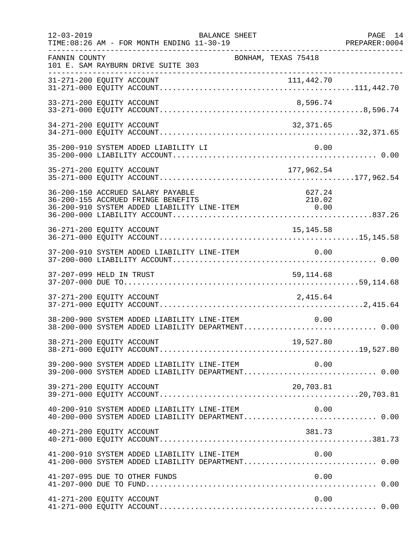| $12 - 03 - 2019$ | TIME: 08:26 AM - FOR MONTH ENDING 11-30-19                                                                                                                        | <b>BALANCE SHEET</b> |                     | PAGE 14<br>PREPARER: 0004 |
|------------------|-------------------------------------------------------------------------------------------------------------------------------------------------------------------|----------------------|---------------------|---------------------------|
| FANNIN COUNTY    | 101 E. SAM RAYBURN DRIVE SUITE 303                                                                                                                                |                      | BONHAM, TEXAS 75418 |                           |
|                  |                                                                                                                                                                   |                      |                     |                           |
|                  | 33-271-200 EQUITY ACCOUNT                                                                                                                                         |                      | 8,596.74            |                           |
|                  | 34-271-200 EQUITY ACCOUNT                                                                                                                                         |                      | 32,371.65           |                           |
|                  | 35-200-910 SYSTEM ADDED LIABILITY LI                                                                                                                              |                      | 0.00                |                           |
|                  | 35-271-200 EQUITY ACCOUNT                                                                                                                                         |                      | 177,962.54          |                           |
|                  | 36-200-150 ACCRUED SALARY PAYABLE<br>36-200-155 ACCRUED FRINGE BENEFITS<br>36-200-155 ACCROED FRINGE BENEFITS<br>36-200-910 SYSTEM ADDED LIABILITY LINE-ITEM 6.00 |                      | 627.24<br>210.02    |                           |
|                  | 36-271-200 EQUITY ACCOUNT                                                                                                                                         |                      | 15, 145.58          |                           |
|                  | 37-200-910 SYSTEM ADDED LIABILITY LINE-ITEM                                                                                                                       |                      | 0.00                |                           |
|                  | 37-207-099 HELD IN TRUST                                                                                                                                          |                      | 59, 114.68          |                           |
|                  |                                                                                                                                                                   |                      |                     |                           |
|                  | 38-200-900 SYSTEM ADDED LIABILITY LINE-ITEM<br>38-200-000 SYSTEM ADDED LIABILITY DEPARTMENT 0.00                                                                  |                      | 0.00                |                           |
|                  | 38-271-200 EQUITY ACCOUNT<br>19,527.80    19,527.80    19,527.80    19,527.80    19,527.80    19,527.80    19,527.80    19,527.80                                 |                      | 19,527.80           |                           |
|                  | 39-200-900 SYSTEM ADDED LIABILITY LINE-ITEM 0.00<br>39-200-000 SYSTEM ADDED LIABILITY DEPARTMENT 0.00                                                             |                      |                     |                           |
|                  | 39-271-200 EQUITY ACCOUNT                                                                                                                                         |                      | 20,703.81           |                           |
|                  | 40-200-910 SYSTEM ADDED LIABILITY LINE-ITEM<br>40-200-000 SYSTEM ADDED LIABILITY DEPARTMENT 0.00                                                                  |                      | 0.00                |                           |
|                  | 40-271-200 EQUITY ACCOUNT                                                                                                                                         |                      | 381.73              |                           |
|                  | 41-200-910 SYSTEM ADDED LIABILITY LINE-ITEM $0.00$<br>41-200-000 SYSTEM ADDED LIABILITY DEPARTMENT0.00                                                            |                      |                     |                           |
|                  | 41-207-095 DUE TO OTHER FUNDS                                                                                                                                     |                      | 0.00                |                           |
|                  | 41-271-200 EQUITY ACCOUNT                                                                                                                                         |                      | 0.00                |                           |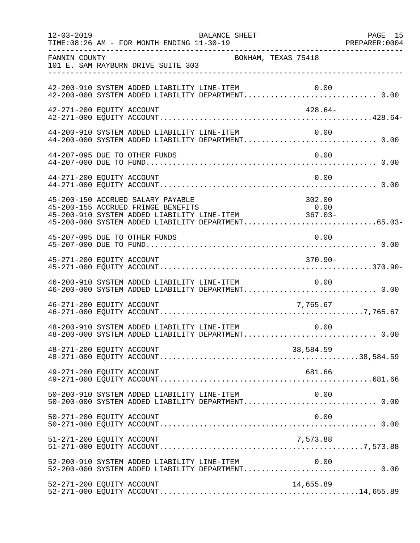| $12 - 03 - 2019$          | TIME: 08:26 AM - FOR MONTH ENDING 11-30-19  | BALANCE SHEET                               |                                                                                                                                                                                                                                                                                      | PAGE 15<br>PREPARER: 0004 |
|---------------------------|---------------------------------------------|---------------------------------------------|--------------------------------------------------------------------------------------------------------------------------------------------------------------------------------------------------------------------------------------------------------------------------------------|---------------------------|
| FANNIN COUNTY             | 101 E. SAM RAYBURN DRIVE SUITE 303          | BONHAM, TEXAS 75418                         |                                                                                                                                                                                                                                                                                      |                           |
|                           |                                             |                                             | 42-200-910 SYSTEM ADDED LIABILITY LINE-ITEM 0.00<br>42-200-000 SYSTEM ADDED LIABILITY DEPARTMENT 0.00                                                                                                                                                                                |                           |
| 42-271-200 EQUITY ACCOUNT |                                             |                                             | 428.64-                                                                                                                                                                                                                                                                              |                           |
|                           |                                             | 44-200-910 SYSTEM ADDED LIABILITY LINE-ITEM | 0.00<br>44-200-000 SYSTEM ADDED LIABILITY DEPARTMENT 0.00                                                                                                                                                                                                                            |                           |
|                           | 44-207-095 DUE TO OTHER FUNDS               |                                             | 0.00                                                                                                                                                                                                                                                                                 |                           |
| 44-271-200 EQUITY ACCOUNT |                                             |                                             | 0.00                                                                                                                                                                                                                                                                                 |                           |
|                           | 45-200-150 ACCRUED SALARY PAYABLE           |                                             | 302.00<br>45-200 150 ACCRUBE BABANI INITEDE<br>45-200-155 ACCRUED FRINGE BENEFITS 0.00<br>45-200-910 SYSTEM ADDED LIABILITY LINE-ITEM 367.03-<br>45-200-000 SYSTEM ADDED LIABILITY DEPARTMENT65.03-                                                                                  |                           |
|                           | 45-207-095 DUE TO OTHER FUNDS               |                                             | 0.00                                                                                                                                                                                                                                                                                 |                           |
| 45-271-200 EQUITY ACCOUNT |                                             |                                             | $370.90 -$                                                                                                                                                                                                                                                                           |                           |
|                           | 46-200-910 SYSTEM ADDED LIABILITY LINE-ITEM |                                             | 0.00                                                                                                                                                                                                                                                                                 |                           |
| 46-271-200 EQUITY ACCOUNT |                                             |                                             | 7,765.67                                                                                                                                                                                                                                                                             |                           |
|                           |                                             |                                             | $\begin{array}{ll}48-200-910 & \text{SYSTEM} & \text{ADDED} & \text{LIABILITY} & \text{LINE-ITEM} & 0.00 \\ 48-200-000 & \text{SYSTEM} & \text{ADDED} & \text{LIABILITY} & \text{DEPARTMENT}.\dots\dots\dots\dots\dots\dots\dots\dots\dots\dots\dots \end{array} \label{eq:200-910}$ |                           |
| 48-271-200 EQUITY ACCOUNT |                                             |                                             | 38,584.59                                                                                                                                                                                                                                                                            |                           |
| 49-271-200 EQUITY ACCOUNT |                                             |                                             | 681.66                                                                                                                                                                                                                                                                               |                           |
|                           | 50-200-910 SYSTEM ADDED LIABILITY LINE-ITEM |                                             | 0.00<br>50-200-000 SYSTEM ADDED LIABILITY DEPARTMENT 0.00                                                                                                                                                                                                                            |                           |
| 50-271-200 EQUITY ACCOUNT |                                             |                                             | 0.00                                                                                                                                                                                                                                                                                 |                           |
| 51-271-200 EQUITY ACCOUNT |                                             |                                             | 7,573.88                                                                                                                                                                                                                                                                             |                           |
|                           | 52-200-910 SYSTEM ADDED LIABILITY LINE-ITEM |                                             | 0.00                                                                                                                                                                                                                                                                                 |                           |
| 52-271-200 EQUITY ACCOUNT |                                             |                                             | 14,655.89                                                                                                                                                                                                                                                                            |                           |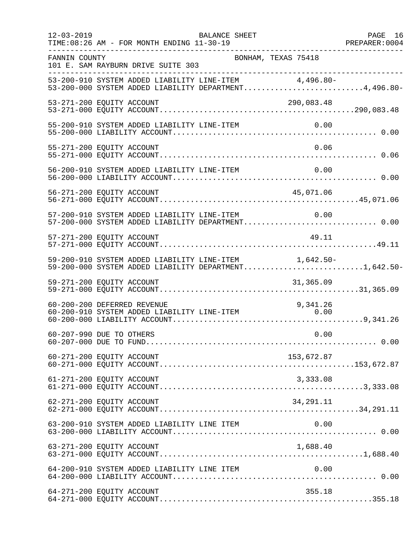| $12 - 03 - 2019$ | <b>BALANCE SHEET</b><br>TIME: 08:26 AM - FOR MONTH ENDING 11-30-19                                             | PAGE 16 |
|------------------|----------------------------------------------------------------------------------------------------------------|---------|
| FANNIN COUNTY    | BONHAM, TEXAS 75418<br>101 E. SAM RAYBURN DRIVE SUITE 303                                                      |         |
|                  | 53-200-910 SYSTEM ADDED LIABILITY LINE-ITEM 4,496.80-<br>53-200-000 SYSTEM ADDED LIABILITY DEPARTMENT4,496.80- |         |
|                  | 53-271-200 EQUITY ACCOUNT<br>290,083.48                                                                        |         |
|                  | 55-200-910 SYSTEM ADDED LIABILITY LINE-ITEM<br>0.00                                                            |         |
|                  | 0.06<br>55-271-200 EQUITY ACCOUNT                                                                              |         |
|                  | 56-200-910 SYSTEM ADDED LIABILITY LINE-ITEM<br>0.00                                                            |         |
|                  | 56-271-200 EQUITY ACCOUNT<br>45,071.06                                                                         |         |
|                  | 57-200-910 SYSTEM ADDED LIABILITY LINE-ITEM<br>0.00<br>57-200-000 SYSTEM ADDED LIABILITY DEPARTMENT 0.00       |         |
|                  | 49.11<br>57-271-200 EQUITY ACCOUNT                                                                             |         |
|                  | 59-200-910 SYSTEM ADDED LIABILITY LINE-ITEM 1,642.50-<br>59-200-000 SYSTEM ADDED LIABILITY DEPARTMENT1,642.50- |         |
|                  | 59-271-200 EQUITY ACCOUNT<br>31,365.09                                                                         |         |
|                  | 60-200-200 DEFERRED REVENUE<br>9,341.26<br>60-200-910 SYSTEM ADDED LIABILITY LINE-ITEM<br>0.00                 |         |
|                  | 0.00<br>60-207-990 DUE TO OTHERS                                                                               |         |
|                  | 153,672.87<br>60-271-200 EQUITY ACCOUNT                                                                        |         |
|                  | 61-271-200 EQUITY ACCOUNT<br>3,333.08                                                                          |         |
|                  | 62-271-200 EQUITY ACCOUNT<br>34,291.11                                                                         |         |
|                  | 63-200-910 SYSTEM ADDED LIABILITY LINE ITEM<br>0.00                                                            |         |
|                  | 1,688.40<br>63-271-200 EQUITY ACCOUNT                                                                          |         |
|                  | 64-200-910 SYSTEM ADDED LIABILITY LINE ITEM<br>0.00                                                            |         |
|                  | 64-271-200 EQUITY ACCOUNT<br>355.18                                                                            |         |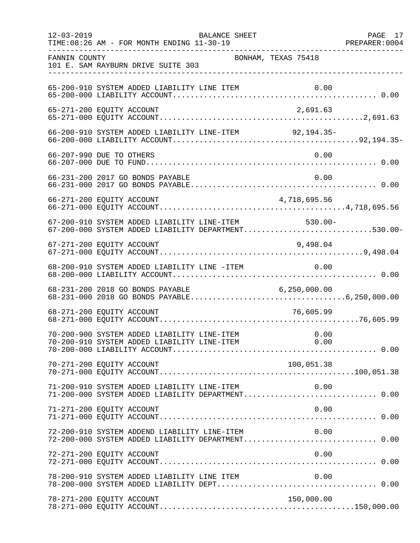| $12 - 03 - 2019$ | TIME: 08:26 AM - FOR MONTH ENDING 11-30-19                                                         | BALANCE SHEET |                     | PAGE 17 |
|------------------|----------------------------------------------------------------------------------------------------|---------------|---------------------|---------|
| FANNIN COUNTY    | 101 E. SAM RAYBURN DRIVE SUITE 303                                                                 |               | BONHAM, TEXAS 75418 |         |
|                  |                                                                                                    |               |                     |         |
|                  | 65-271-200 EQUITY ACCOUNT                                                                          |               | 2,691.63            |         |
|                  | 66-200-910 SYSTEM ADDED LIABILITY LINE-ITEM 92,194.35-                                             |               |                     |         |
|                  | 66-207-990 DUE TO OTHERS                                                                           |               | 0.00                |         |
|                  | 66-231-200 2017 GO BONDS PAYABLE                                                                   |               | 0.00                |         |
|                  | 66-271-200 EQUITY ACCOUNT                                                                          |               | 4,718,695.56        |         |
|                  | 67-200-910 SYSTEM ADDED LIABILITY LINE-ITEM<br>67-200-000 SYSTEM ADDED LIABILITY DEPARTMENT530.00- |               | $530.00 -$          |         |
|                  | 67-271-200 EQUITY ACCOUNT                                                                          |               | 9,498.04            |         |
|                  | 68-200-910 SYSTEM ADDED LIABILITY LINE -ITEM 0.00                                                  |               |                     |         |
|                  |                                                                                                    |               |                     |         |
|                  | 68-271-200 EQUITY ACCOUNT                                                                          |               | 76,605.99           |         |
|                  |                                                                                                    |               |                     |         |
|                  | 70-271-200 EQUITY ACCOUNT                                                                          |               | 100,051.38          |         |
|                  | 71-200-910 SYSTEM ADDED LIABILITY LINE-ITEM<br>71-200-000 SYSTEM ADDED LIABILITY DEPARTMENT 0.00   |               | 0.00                |         |
|                  | 71-271-200 EQUITY ACCOUNT                                                                          |               | 0.00                |         |
|                  | 72-200-910 SYSTEM ADDEND LIABILITY LINE-ITEM<br>72-200-000 SYSTEM ADDED LIABILITY DEPARTMENT 0.00  |               | 0.00                |         |
|                  | 72-271-200 EQUITY ACCOUNT                                                                          |               | 0.00                |         |
|                  | 78-200-910 SYSTEM ADDED LIABILITY LINE ITEM                                                        |               | 0.00                |         |
|                  | 78-271-200 EQUITY ACCOUNT                                                                          |               | 150,000.00          |         |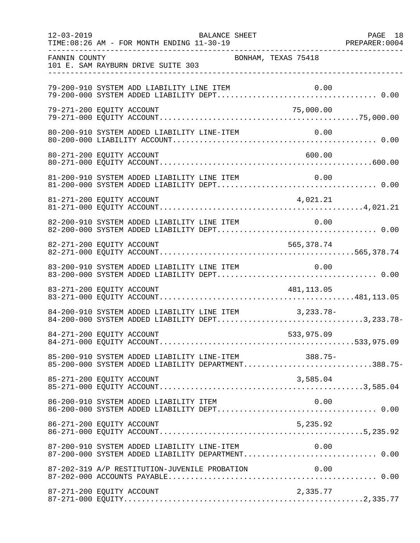| $12 - 03 - 2019$ | BALANCE SHEET<br>TIME: 08:26 AM - FOR MONTH ENDING 11-30-19                                                | PAGE 18 |
|------------------|------------------------------------------------------------------------------------------------------------|---------|
| FANNIN COUNTY    | BONHAM, TEXAS 75418<br>101 E. SAM RAYBURN DRIVE SUITE 303                                                  |         |
|                  | 79-200-910 SYSTEM ADD LIABILITY LINE ITEM                                                                  |         |
|                  | 79-271-200 EQUITY ACCOUNT<br>75,000.00                                                                     |         |
|                  | 80-200-910 SYSTEM ADDED LIABILITY LINE-ITEM<br>0.00                                                        |         |
|                  | 600.00<br>80-271-200 EQUITY ACCOUNT                                                                        |         |
|                  | 81-200-910 SYSTEM ADDED LIABILITY LINE ITEM                                                                |         |
|                  | 81-271-200 EQUITY ACCOUNT<br>4,021.21                                                                      |         |
|                  | 82-200-910 SYSTEM ADDED LIABILITY LINE ITEM<br>0.00                                                        |         |
|                  | 82-271-200 EQUITY ACCOUNT<br>565,378.74                                                                    |         |
|                  | 83-200-910 SYSTEM ADDED LIABILITY LINE ITEM<br>0.00                                                        |         |
|                  | 83-271-200 EQUITY ACCOUNT<br>481,113.05                                                                    |         |
|                  | 84-200-910 SYSTEM ADDED LIABILITY LINE ITEM 3,233.78-<br>84-200-000 SYSTEM ADDED LIABILITY DEPT3,233.78-   |         |
|                  | 84-271-200 EQUITY ACCOUNT<br>533,975.09                                                                    |         |
|                  | 85-200-910 SYSTEM ADDED LIABILITY LINE-ITEM 388.75-<br>85-200-000 SYSTEM ADDED LIABILITY DEPARTMENT388.75- |         |
|                  | 85-271-200 EQUITY ACCOUNT<br>3,585.04                                                                      |         |
|                  | 86-200-910 SYSTEM ADDED LIABILITY ITEM<br>0.00                                                             |         |
|                  | 5,235.92<br>86-271-200 EQUITY ACCOUNT                                                                      |         |
|                  |                                                                                                            |         |
|                  | 87-202-319 A/P RESTITUTION-JUVENILE PROBATION<br>0.00                                                      |         |
|                  | 87-271-200 EQUITY ACCOUNT<br>2,335.77                                                                      |         |